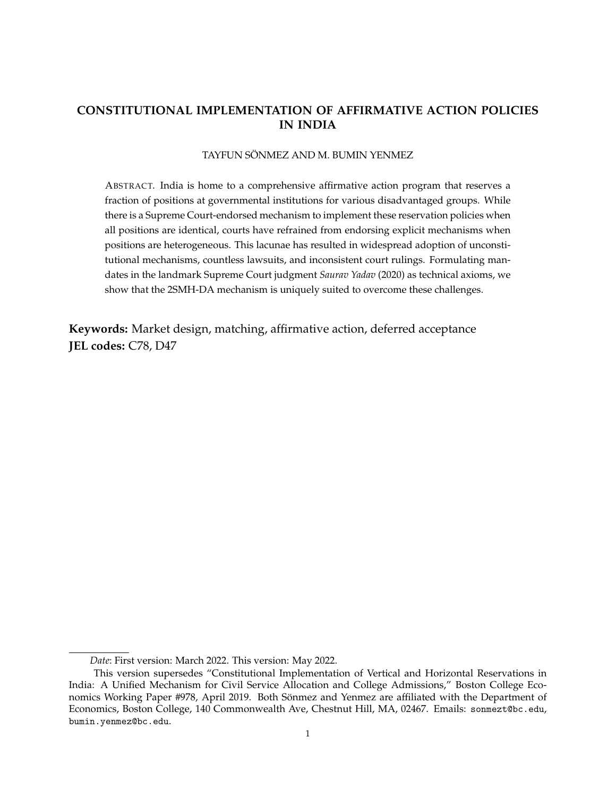# **CONSTITUTIONAL IMPLEMENTATION OF AFFIRMATIVE ACTION POLICIES IN INDIA**

#### TAYFUN SÖNMEZ AND M. BUMIN YENMEZ

ABSTRACT. India is home to a comprehensive affirmative action program that reserves a fraction of positions at governmental institutions for various disadvantaged groups. While there is a Supreme Court-endorsed mechanism to implement these reservation policies when all positions are identical, courts have refrained from endorsing explicit mechanisms when positions are heterogeneous. This lacunae has resulted in widespread adoption of unconstitutional mechanisms, countless lawsuits, and inconsistent court rulings. Formulating mandates in the landmark Supreme Court judgment *Saurav Yadav* (2020) as technical axioms, we show that the 2SMH-DA mechanism is uniquely suited to overcome these challenges.

**Keywords:** Market design, matching, affirmative action, deferred acceptance **JEL codes:** C78, D47

*Date*: First version: March 2022. This version: May 2022.

This version supersedes "Constitutional Implementation of Vertical and Horizontal Reservations in India: A Unified Mechanism for Civil Service Allocation and College Admissions," Boston College Economics Working Paper #978, April 2019. Both Sönmez and Yenmez are affiliated with the Department of Economics, Boston College, 140 Commonwealth Ave, Chestnut Hill, MA, 02467. Emails: sonmezt@bc.edu, bumin.yenmez@bc.edu.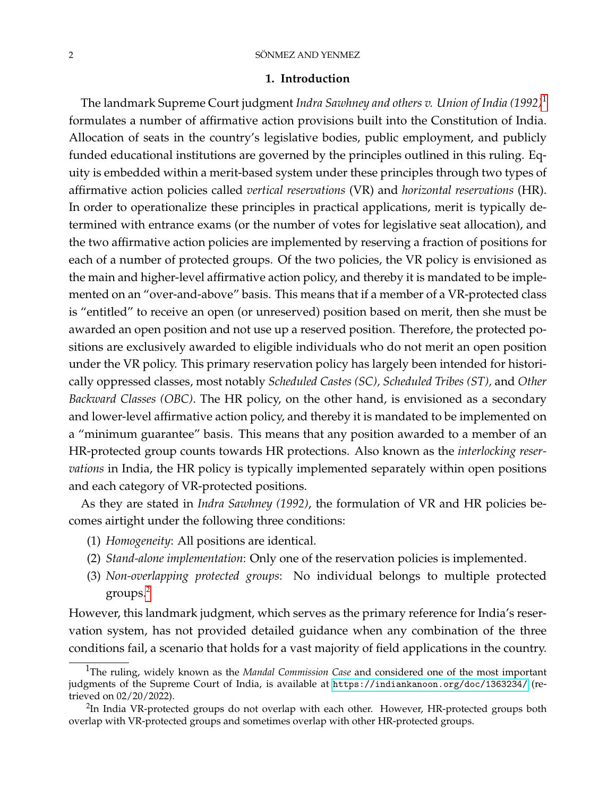#### 2 SÖNMEZ AND YENMEZ

#### **1. Introduction**

The landmark Supreme Court judgment *Indra Sawhney and others v. Union of India (1992)*[1](#page-1-0) formulates a number of affirmative action provisions built into the Constitution of India. Allocation of seats in the country's legislative bodies, public employment, and publicly funded educational institutions are governed by the principles outlined in this ruling. Equity is embedded within a merit-based system under these principles through two types of affirmative action policies called *vertical reservations* (VR) and *horizontal reservations* (HR). In order to operationalize these principles in practical applications, merit is typically determined with entrance exams (or the number of votes for legislative seat allocation), and the two affirmative action policies are implemented by reserving a fraction of positions for each of a number of protected groups. Of the two policies, the VR policy is envisioned as the main and higher-level affirmative action policy, and thereby it is mandated to be implemented on an "over-and-above" basis. This means that if a member of a VR-protected class is "entitled" to receive an open (or unreserved) position based on merit, then she must be awarded an open position and not use up a reserved position. Therefore, the protected positions are exclusively awarded to eligible individuals who do not merit an open position under the VR policy. This primary reservation policy has largely been intended for historically oppressed classes, most notably *Scheduled Castes (SC), Scheduled Tribes (ST),* and *Other Backward Classes (OBC)*. The HR policy, on the other hand, is envisioned as a secondary and lower-level affirmative action policy, and thereby it is mandated to be implemented on a "minimum guarantee" basis. This means that any position awarded to a member of an HR-protected group counts towards HR protections. Also known as the *interlocking reservations* in India, the HR policy is typically implemented separately within open positions and each category of VR-protected positions.

As they are stated in *Indra Sawhney (1992)*, the formulation of VR and HR policies becomes airtight under the following three conditions:

- (1) *Homogeneity*: All positions are identical.
- (2) *Stand-alone implementation*: Only one of the reservation policies is implemented.
- (3) *Non-overlapping protected groups*: No individual belongs to multiple protected groups.[2](#page-1-1)

However, this landmark judgment, which serves as the primary reference for India's reservation system, has not provided detailed guidance when any combination of the three conditions fail, a scenario that holds for a vast majority of field applications in the country.

<span id="page-1-0"></span><sup>1</sup>The ruling, widely known as the *Mandal Commission Case* and considered one of the most important judgments of the Supreme Court of India, is available at <https://indiankanoon.org/doc/1363234/> (retrieved on 02/20/2022).

<span id="page-1-1"></span> $^{2}$ In India VR-protected groups do not overlap with each other. However, HR-protected groups both overlap with VR-protected groups and sometimes overlap with other HR-protected groups.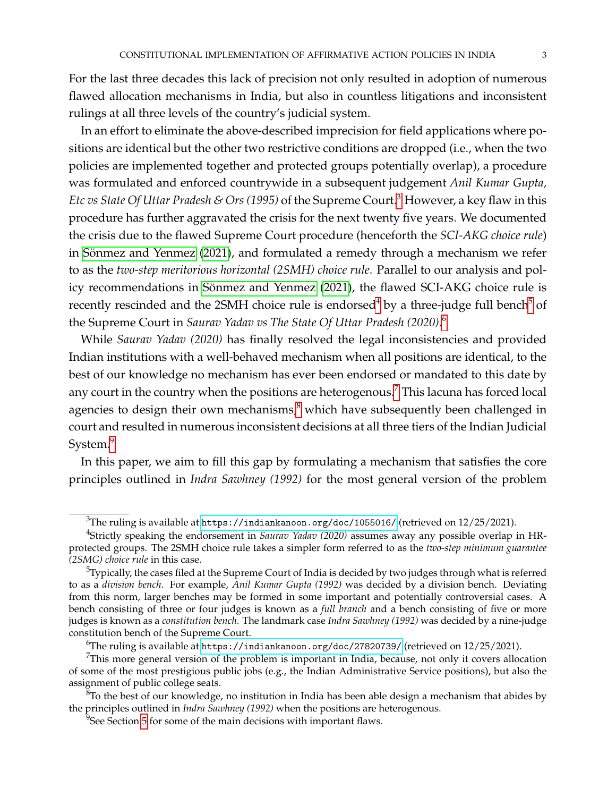For the last three decades this lack of precision not only resulted in adoption of numerous flawed allocation mechanisms in India, but also in countless litigations and inconsistent rulings at all three levels of the country's judicial system.

In an effort to eliminate the above-described imprecision for field applications where positions are identical but the other two restrictive conditions are dropped (i.e., when the two policies are implemented together and protected groups potentially overlap), a procedure was formulated and enforced countrywide in a subsequent judgement *Anil Kumar Gupta, Etc vs State Of Uttar Pradesh & Ors (1995)* of the Supreme Court.<sup>[3](#page-2-0)</sup> However, a key flaw in this procedure has further aggravated the crisis for the next twenty five years. We documented the crisis due to the flawed Supreme Court procedure (henceforth the *SCI-AKG choice rule*) in Sönmez and Yenmez [\(2021\)](#page-40-0), and formulated a remedy through a mechanism we refer to as the *two-step meritorious horizontal (2SMH) choice rule*. Parallel to our analysis and pol-icy recommendations in Sönmez and Yenmez [\(2021\)](#page-40-0), the flawed SCI-AKG choice rule is recently rescinded and the 2SMH choice rule is endorsed<sup>[4](#page-2-1)</sup> by a three-judge full bench<sup>[5](#page-2-2)</sup> of the Supreme Court in *Saurav Yadav vs The State Of Uttar Pradesh (2020)*. [6](#page-2-3)

While *Saurav Yadav (2020)* has finally resolved the legal inconsistencies and provided Indian institutions with a well-behaved mechanism when all positions are identical, to the best of our knowledge no mechanism has ever been endorsed or mandated to this date by any court in the country when the positions are heterogenous.<sup>[7](#page-2-4)</sup> This lacuna has forced local agencies to design their own mechanisms,<sup>[8](#page-2-5)</sup> which have subsequently been challenged in court and resulted in numerous inconsistent decisions at all three tiers of the Indian Judicial System.<sup>[9](#page-2-6)</sup>

In this paper, we aim to fill this gap by formulating a mechanism that satisfies the core principles outlined in *Indra Sawhney (1992)* for the most general version of the problem

<span id="page-2-1"></span><span id="page-2-0"></span> $3$ The ruling is available at <https://indiankanoon.org/doc/1055016/> (retrieved on  $12/25/2021$ ).

<sup>4</sup> Strictly speaking the endorsement in *Saurav Yadav (2020)* assumes away any possible overlap in HRprotected groups. The 2SMH choice rule takes a simpler form referred to as the *two-step minimum guarantee (2SMG) choice rule* in this case.

<span id="page-2-2"></span> $5$ Typically, the cases filed at the Supreme Court of India is decided by two judges through what is referred to as a *division bench*. For example, *Anil Kumar Gupta (1992)* was decided by a division bench. Deviating from this norm, larger benches may be formed in some important and potentially controversial cases. A bench consisting of three or four judges is known as a *full branch* and a bench consisting of five or more judges is known as a *constitution bench*. The landmark case *Indra Sawhney (1992)* was decided by a nine-judge constitution bench of the Supreme Court.

<span id="page-2-4"></span><span id="page-2-3"></span><sup>&</sup>lt;sup>6</sup>The ruling is available at <https://indiankanoon.org/doc/27820739/> (retrieved on  $12/25/2021$ ).

 $7$ This more general version of the problem is important in India, because, not only it covers allocation of some of the most prestigious public jobs (e.g., the Indian Administrative Service positions), but also the assignment of public college seats.

<span id="page-2-5"></span> ${}^{8}$ To the best of our knowledge, no institution in India has been able design a mechanism that abides by the principles outlined in *Indra Sawhney (1992)* when the positions are heterogenous.

<span id="page-2-6"></span> $9$ See Section [5](#page-24-0) for some of the main decisions with important flaws.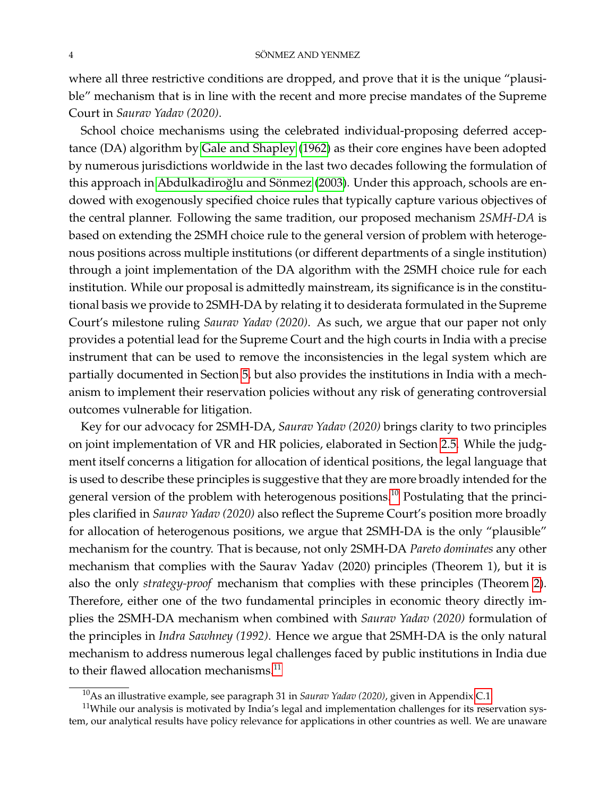where all three restrictive conditions are dropped, and prove that it is the unique "plausible" mechanism that is in line with the recent and more precise mandates of the Supreme Court in *Saurav Yadav (2020)*.

School choice mechanisms using the celebrated individual-proposing deferred acceptance (DA) algorithm by [Gale and Shapley](#page-40-1) [\(1962\)](#page-40-1) as their core engines have been adopted by numerous jurisdictions worldwide in the last two decades following the formulation of this approach in Abdulkadiroğlu and Sönmez [\(2003\)](#page-39-0). Under this approach, schools are endowed with exogenously specified choice rules that typically capture various objectives of the central planner. Following the same tradition, our proposed mechanism *2SMH-DA* is based on extending the 2SMH choice rule to the general version of problem with heterogenous positions across multiple institutions (or different departments of a single institution) through a joint implementation of the DA algorithm with the 2SMH choice rule for each institution. While our proposal is admittedly mainstream, its significance is in the constitutional basis we provide to 2SMH-DA by relating it to desiderata formulated in the Supreme Court's milestone ruling *Saurav Yadav (2020)*. As such, we argue that our paper not only provides a potential lead for the Supreme Court and the high courts in India with a precise instrument that can be used to remove the inconsistencies in the legal system which are partially documented in Section [5,](#page-24-0) but also provides the institutions in India with a mechanism to implement their reservation policies without any risk of generating controversial outcomes vulnerable for litigation.

Key for our advocacy for 2SMH-DA, *Saurav Yadav (2020)* brings clarity to two principles on joint implementation of VR and HR policies, elaborated in Section [2.5.](#page-13-0) While the judgment itself concerns a litigation for allocation of identical positions, the legal language that is used to describe these principles is suggestive that they are more broadly intended for the general version of the problem with heterogenous positions.<sup>[10](#page-3-0)</sup> Postulating that the principles clarified in *Saurav Yadav (2020)* also reflect the Supreme Court's position more broadly for allocation of heterogenous positions, we argue that 2SMH-DA is the only "plausible" mechanism for the country. That is because, not only 2SMH-DA *Pareto dominates* any other mechanism that complies with the Saurav Yadav (2020) principles (Theorem 1), but it is also the only *strategy-proof* mechanism that complies with these principles (Theorem [2\)](#page-21-0). Therefore, either one of the two fundamental principles in economic theory directly implies the 2SMH-DA mechanism when combined with *Saurav Yadav (2020)* formulation of the principles in *Indra Sawhney (1992)*. Hence we argue that 2SMH-DA is the only natural mechanism to address numerous legal challenges faced by public institutions in India due to their flawed allocation mechanisms.<sup>[11](#page-3-1)</sup>

<span id="page-3-1"></span><span id="page-3-0"></span><sup>10</sup>As an illustrative example, see paragraph 31 in *Saurav Yadav (2020)*, given in Appendix [C.1.](#page-56-0)

<sup>&</sup>lt;sup>11</sup>While our analysis is motivated by India's legal and implementation challenges for its reservation system, our analytical results have policy relevance for applications in other countries as well. We are unaware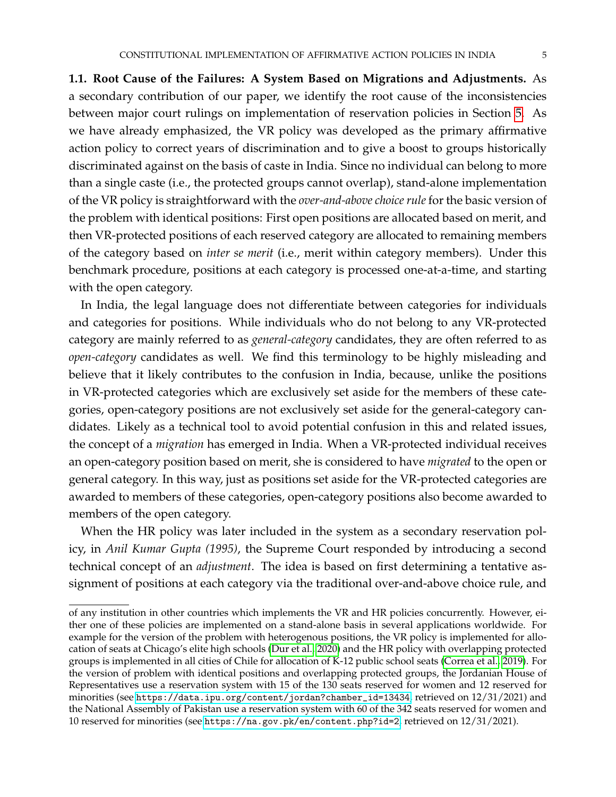**1.1. Root Cause of the Failures: A System Based on Migrations and Adjustments.** As a secondary contribution of our paper, we identify the root cause of the inconsistencies between major court rulings on implementation of reservation policies in Section [5.](#page-24-0) As we have already emphasized, the VR policy was developed as the primary affirmative action policy to correct years of discrimination and to give a boost to groups historically discriminated against on the basis of caste in India. Since no individual can belong to more than a single caste (i.e., the protected groups cannot overlap), stand-alone implementation of the VR policy is straightforward with the *over-and-above choice rule* for the basic version of the problem with identical positions: First open positions are allocated based on merit, and then VR-protected positions of each reserved category are allocated to remaining members of the category based on *inter se merit* (i.e., merit within category members). Under this benchmark procedure, positions at each category is processed one-at-a-time, and starting with the open category.

In India, the legal language does not differentiate between categories for individuals and categories for positions. While individuals who do not belong to any VR-protected category are mainly referred to as *general-category* candidates, they are often referred to as *open-category* candidates as well. We find this terminology to be highly misleading and believe that it likely contributes to the confusion in India, because, unlike the positions in VR-protected categories which are exclusively set aside for the members of these categories, open-category positions are not exclusively set aside for the general-category candidates. Likely as a technical tool to avoid potential confusion in this and related issues, the concept of a *migration* has emerged in India. When a VR-protected individual receives an open-category position based on merit, she is considered to have *migrated* to the open or general category. In this way, just as positions set aside for the VR-protected categories are awarded to members of these categories, open-category positions also become awarded to members of the open category.

When the HR policy was later included in the system as a secondary reservation policy, in *Anil Kumar Gupta (1995)*, the Supreme Court responded by introducing a second technical concept of an *adjustment*. The idea is based on first determining a tentative assignment of positions at each category via the traditional over-and-above choice rule, and

of any institution in other countries which implements the VR and HR policies concurrently. However, either one of these policies are implemented on a stand-alone basis in several applications worldwide. For example for the version of the problem with heterogenous positions, the VR policy is implemented for allocation of seats at Chicago's elite high schools [\(Dur et al., 2020\)](#page-39-1) and the HR policy with overlapping protected groups is implemented in all cities of Chile for allocation of K-12 public school seats [\(Correa et al., 2019\)](#page-39-2). For the version of problem with identical positions and overlapping protected groups, the Jordanian House of Representatives use a reservation system with 15 of the 130 seats reserved for women and 12 reserved for minorities (see [https://data.ipu.org/content/jordan?chamber\\_id=13434](https://data.ipu.org/content/jordan?chamber_id=13434), retrieved on 12/31/2021) and the National Assembly of Pakistan use a reservation system with 60 of the 342 seats reserved for women and 10 reserved for minorities (see <https://na.gov.pk/en/content.php?id=2>, retrieved on 12/31/2021).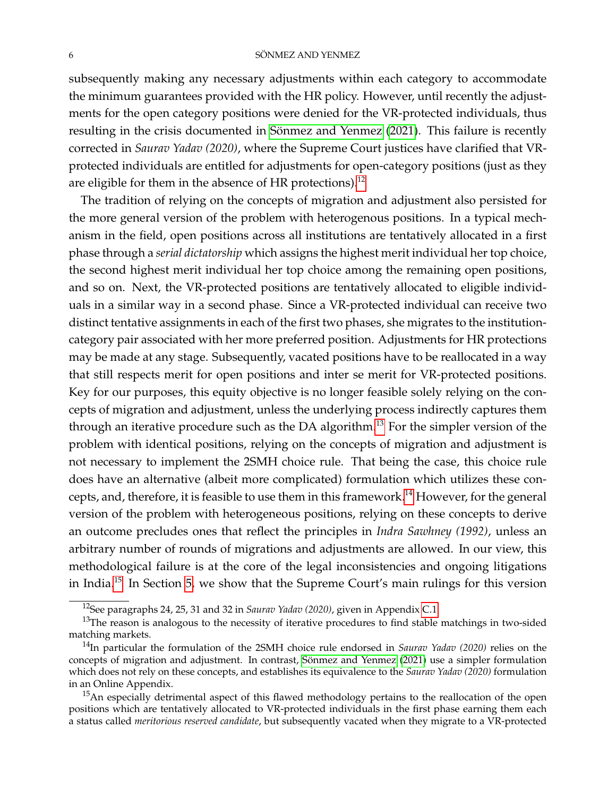#### 6 SÖNMEZ AND YENMEZ

subsequently making any necessary adjustments within each category to accommodate the minimum guarantees provided with the HR policy. However, until recently the adjustments for the open category positions were denied for the VR-protected individuals, thus resulting in the crisis documented in Sönmez and Yenmez [\(2021\)](#page-40-0). This failure is recently corrected in *Saurav Yadav (2020)*, where the Supreme Court justices have clarified that VRprotected individuals are entitled for adjustments for open-category positions (just as they are eligible for them in the absence of HR protections).<sup>[12](#page-5-0)</sup>

The tradition of relying on the concepts of migration and adjustment also persisted for the more general version of the problem with heterogenous positions. In a typical mechanism in the field, open positions across all institutions are tentatively allocated in a first phase through a *serial dictatorship* which assigns the highest merit individual her top choice, the second highest merit individual her top choice among the remaining open positions, and so on. Next, the VR-protected positions are tentatively allocated to eligible individuals in a similar way in a second phase. Since a VR-protected individual can receive two distinct tentative assignments in each of the first two phases, she migrates to the institutioncategory pair associated with her more preferred position. Adjustments for HR protections may be made at any stage. Subsequently, vacated positions have to be reallocated in a way that still respects merit for open positions and inter se merit for VR-protected positions. Key for our purposes, this equity objective is no longer feasible solely relying on the concepts of migration and adjustment, unless the underlying process indirectly captures them through an iterative procedure such as the DA algorithm.[13](#page-5-1) For the simpler version of the problem with identical positions, relying on the concepts of migration and adjustment is not necessary to implement the 2SMH choice rule. That being the case, this choice rule does have an alternative (albeit more complicated) formulation which utilizes these con-cepts, and, therefore, it is feasible to use them in this framework.<sup>[14](#page-5-2)</sup> However, for the general version of the problem with heterogeneous positions, relying on these concepts to derive an outcome precludes ones that reflect the principles in *Indra Sawhney (1992)*, unless an arbitrary number of rounds of migrations and adjustments are allowed. In our view, this methodological failure is at the core of the legal inconsistencies and ongoing litigations in India.[15](#page-5-3) In Section [5,](#page-24-0) we show that the Supreme Court's main rulings for this version

<span id="page-5-1"></span><span id="page-5-0"></span><sup>12</sup>See paragraphs 24, 25, 31 and 32 in *Saurav Yadav (2020)*, given in Appendix [C.1.](#page-56-0)

 $13$ The reason is analogous to the necessity of iterative procedures to find stable matchings in two-sided matching markets.

<span id="page-5-2"></span><sup>14</sup>In particular the formulation of the 2SMH choice rule endorsed in *Saurav Yadav (2020)* relies on the concepts of migration and adjustment. In contrast, Sönmez and Yenmez [\(2021\)](#page-40-0) use a simpler formulation which does not rely on these concepts, and establishes its equivalence to the *Saurav Yadav (2020)* formulation in an Online Appendix.

<span id="page-5-3"></span><sup>&</sup>lt;sup>15</sup>An especially detrimental aspect of this flawed methodology pertains to the reallocation of the open positions which are tentatively allocated to VR-protected individuals in the first phase earning them each a status called *meritorious reserved candidate*, but subsequently vacated when they migrate to a VR-protected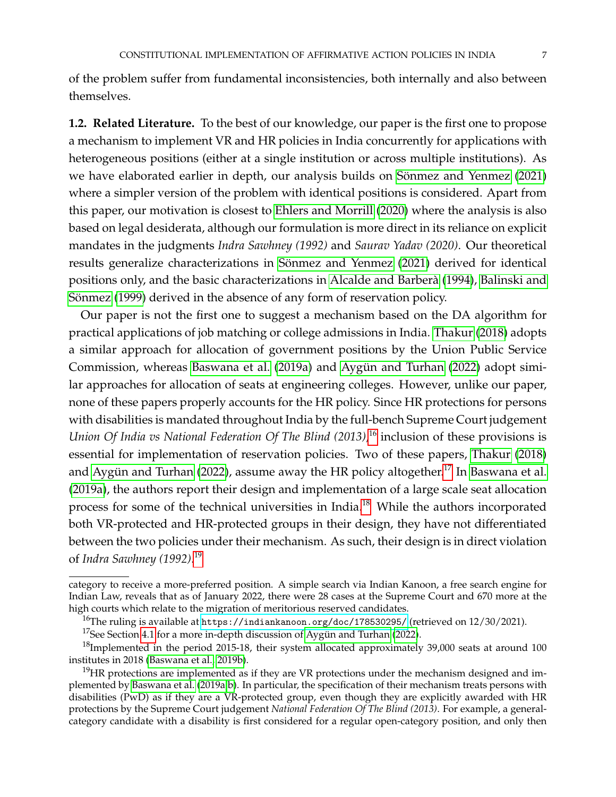of the problem suffer from fundamental inconsistencies, both internally and also between themselves.

**1.2. Related Literature.** To the best of our knowledge, our paper is the first one to propose a mechanism to implement VR and HR policies in India concurrently for applications with heterogeneous positions (either at a single institution or across multiple institutions). As we have elaborated earlier in depth, our analysis builds on Sönmez and Yenmez [\(2021\)](#page-40-0) where a simpler version of the problem with identical positions is considered. Apart from this paper, our motivation is closest to [Ehlers and Morrill](#page-40-2) [\(2020\)](#page-40-2) where the analysis is also based on legal desiderata, although our formulation is more direct in its reliance on explicit mandates in the judgments *Indra Sawhney (1992)* and *Saurav Yadav (2020)*. Our theoretical results generalize characterizations in Sönmez and Yenmez [\(2021\)](#page-40-0) derived for identical positions only, and the basic characterizations in [Alcalde and Barbera](#page-39-3) [\(1994\)](#page-39-3), [Balinski and](#page-39-4) ` Sönmez [\(1999\)](#page-39-4) derived in the absence of any form of reservation policy.

Our paper is not the first one to suggest a mechanism based on the DA algorithm for practical applications of job matching or college admissions in India. [Thakur](#page-40-3) [\(2018\)](#page-40-3) adopts a similar approach for allocation of government positions by the Union Public Service Commission, whereas [Baswana et al.](#page-39-5) [\(2019a\)](#page-39-5) and Aygün and Turhan [\(2022\)](#page-39-6) adopt similar approaches for allocation of seats at engineering colleges. However, unlike our paper, none of these papers properly accounts for the HR policy. Since HR protections for persons with disabilities is mandated throughout India by the full-bench Supreme Court judgement *Union Of India vs National Federation Of The Blind (2013)*, [16](#page-6-0) inclusion of these provisions is essential for implementation of reservation policies. Two of these papers, [Thakur](#page-40-3) [\(2018\)](#page-40-3) and Aygün and Turhan [\(2022\)](#page-39-6), assume away the HR policy altogether. $^{17}$  $^{17}$  $^{17}$  In [Baswana et al.](#page-39-5) [\(2019a\)](#page-39-5), the authors report their design and implementation of a large scale seat allocation process for some of the technical universities in India.<sup>[18](#page-6-2)</sup> While the authors incorporated both VR-protected and HR-protected groups in their design, they have not differentiated between the two policies under their mechanism. As such, their design is in direct violation of *Indra Sawhney (1992)*. [19](#page-6-3)

category to receive a more-preferred position. A simple search via Indian Kanoon, a free search engine for Indian Law, reveals that as of January 2022, there were 28 cases at the Supreme Court and 670 more at the high courts which relate to the migration of meritorious reserved candidates.

<span id="page-6-0"></span><sup>&</sup>lt;sup>16</sup>The ruling is available at <https://indiankanoon.org/doc/178530295/> (retrieved on  $12/30/2021$ ).

<span id="page-6-2"></span><span id="page-6-1"></span><sup>&</sup>lt;sup>17</sup>See Section [4.1](#page-21-1) for a more in-depth discussion of Aygün and Turhan [\(2022\)](#page-39-6).

 $18$ Implemented in the period 2015-18, their system allocated approximately 39,000 seats at around 100 institutes in 2018 [\(Baswana et al., 2019b\)](#page-39-7).

<span id="page-6-3"></span> $19$ HR protections are implemented as if they are VR protections under the mechanism designed and implemented by [Baswana et al.](#page-39-5) [\(2019a,](#page-39-5)[b\)](#page-39-7). In particular, the specification of their mechanism treats persons with disabilities (PwD) as if they are a VR-protected group, even though they are explicitly awarded with HR protections by the Supreme Court judgement *National Federation Of The Blind (2013)*. For example, a generalcategory candidate with a disability is first considered for a regular open-category position, and only then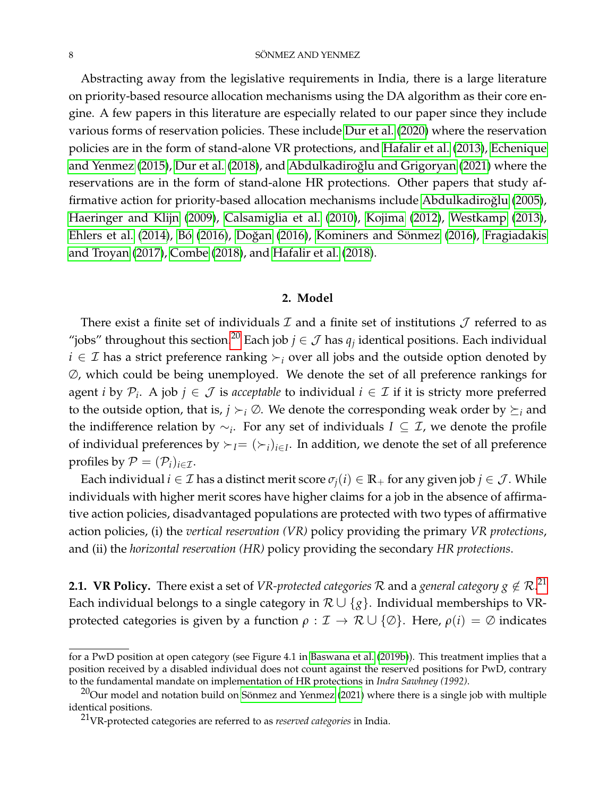Abstracting away from the legislative requirements in India, there is a large literature on priority-based resource allocation mechanisms using the DA algorithm as their core engine. A few papers in this literature are especially related to our paper since they include various forms of reservation policies. These include [Dur et al.](#page-39-1) [\(2020\)](#page-39-1) where the reservation policies are in the form of stand-alone VR protections, and [Hafalir et al.](#page-40-4) [\(2013\)](#page-40-4), [Echenique](#page-39-8) [and Yenmez](#page-39-8) [\(2015\)](#page-39-8), [Dur et al.](#page-39-9) [\(2018\)](#page-39-9), and Abdulkadiroğlu and Grigoryan [\(2021\)](#page-38-0) where the reservations are in the form of stand-alone HR protections. Other papers that study af-firmative action for priority-based allocation mechanisms include Abdulkadiroğlu [\(2005\)](#page-38-1), [Haeringer and Klijn](#page-40-5) [\(2009\)](#page-40-5), [Calsamiglia et al.](#page-39-10) [\(2010\)](#page-39-10), [Kojima](#page-40-6) [\(2012\)](#page-40-6), [Westkamp](#page-41-0) [\(2013\)](#page-41-0), [Ehlers et al.](#page-40-7) [\(2014\)](#page-40-7), Bó [\(2016\)](#page-40-8), Doğan (2016), [Kominers and S](#page-40-8)önmez (2016), [Fragiadakis](#page-40-9) [and Troyan](#page-40-9) [\(2017\)](#page-40-9), [Combe](#page-39-13) [\(2018\)](#page-39-13), and [Hafalir et al.](#page-40-10) [\(2018\)](#page-40-10).

#### **2. Model**

<span id="page-7-2"></span>There exist a finite set of individuals  $\mathcal I$  and a finite set of institutions  $\mathcal J$  referred to as "jobs" throughout this section.<sup>[20](#page-7-0)</sup> Each job  $j \in \mathcal{J}$  has  $q_j$  identical positions. Each individual  $i \in \mathcal{I}$  has a strict preference ranking  $\succ_i$  over all jobs and the outside option denoted by ∅, which could be being unemployed. We denote the set of all preference rankings for agent *i* by  $\mathcal{P}_i$ . A job  $j \in \mathcal{J}$  is *acceptable* to individual  $i \in \mathcal{I}$  if it is stricty more preferred to the outside option, that is,  $j \succ_i \emptyset$ . We denote the corresponding weak order by  $\succeq_i$  and the indifference relation by ∼*<sup>i</sup>* . For any set of individuals *I* ⊆ I, we denote the profile of individual preferences by  $\succ_l = (\succ_i)_{i \in I}$ . In addition, we denote the set of all preference profiles by  $\mathcal{P} = (\mathcal{P}_i)_{i \in \mathcal{I}}$ .

Each individual  $i \in \mathcal{I}$  has a distinct merit score  $\sigma_j(i) \in \mathbb{R}_+$  for any given job  $j \in \mathcal{J}$ . While individuals with higher merit scores have higher claims for a job in the absence of affirmative action policies, disadvantaged populations are protected with two types of affirmative action policies, (i) the *vertical reservation (VR)* policy providing the primary *VR protections*, and (ii) the *horizontal reservation (HR)* policy providing the secondary *HR protections*.

**2.1. VR Policy.** There exist a set of *VR-protected categories*  ${\cal R}$  *and a general category*  $g \notin {\cal R}.^{21}$  $g \notin {\cal R}.^{21}$  $g \notin {\cal R}.^{21}$ Each individual belongs to a single category in  $\mathcal{R} \cup \{g\}$ . Individual memberships to VRprotected categories is given by a function  $\rho : \mathcal{I} \to \mathcal{R} \cup \{\emptyset\}$ . Here,  $\rho(i) = \emptyset$  indicates

for a PwD position at open category (see Figure 4.1 in [Baswana et al.](#page-39-7) [\(2019b\)](#page-39-7)). This treatment implies that a position received by a disabled individual does not count against the reserved positions for PwD, contrary to the fundamental mandate on implementation of HR protections in *Indra Sawhney (1992)*.

<span id="page-7-0"></span> $^{20}$ Our model and notation build on Sönmez and Yenmez [\(2021\)](#page-40-0) where there is a single job with multiple identical positions.

<span id="page-7-1"></span><sup>21</sup>VR-protected categories are referred to as *reserved categories* in India.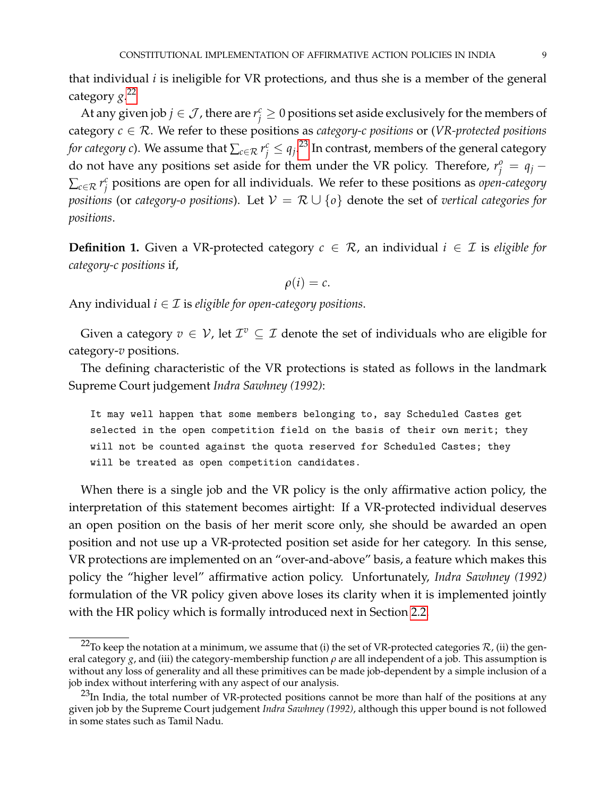that individual *i* is ineligible for VR protections, and thus she is a member of the general category *g*. [22](#page-8-0)

At any given job  $j \in \mathcal{J}$  , there are  $r_j^c \geq 0$  positions set aside exclusively for the members of category *c* ∈ R. We refer to these positions as *category-c positions* or (*VR-protected positions for category*  $c$ ). We assume that  $\sum_{c \in \mathcal{R}} r^c_j \leq q_j$ . $^{23}$  $^{23}$  $^{23}$  In contrast, members of the general category do not have any positions set aside for them under the VR policy. Therefore,  $r_j^o = q_j - q_j$  $\sum_{c \in \mathcal{R}} r_i^c$ *j* positions are open for all individuals. We refer to these positions as *open-category positions* (or *category-o positions*). Let  $V = \mathcal{R} \cup \{o\}$  denote the set of *vertical categories for positions*.

**Definition 1.** Given a VR-protected category  $c \in \mathcal{R}$ , an individual  $i \in \mathcal{I}$  is *eligible for category-c positions* if,

$$
\rho(i)=c.
$$

Any individual  $i \in \mathcal{I}$  is *eligible for open-category positions*.

Given a category  $v \in V$ , let  $\mathcal{I}^v \subseteq \mathcal{I}$  denote the set of individuals who are eligible for category-*v* positions.

The defining characteristic of the VR protections is stated as follows in the landmark Supreme Court judgement *Indra Sawhney (1992)*:

It may well happen that some members belonging to, say Scheduled Castes get selected in the open competition field on the basis of their own merit; they will not be counted against the quota reserved for Scheduled Castes; they will be treated as open competition candidates.

When there is a single job and the VR policy is the only affirmative action policy, the interpretation of this statement becomes airtight: If a VR-protected individual deserves an open position on the basis of her merit score only, she should be awarded an open position and not use up a VR-protected position set aside for her category. In this sense, VR protections are implemented on an "over-and-above" basis, a feature which makes this policy the "higher level" affirmative action policy. Unfortunately, *Indra Sawhney (1992)* formulation of the VR policy given above loses its clarity when it is implemented jointly with the HR policy which is formally introduced next in Section [2.2.](#page-9-0)

<span id="page-8-0"></span><sup>&</sup>lt;sup>22</sup>To keep the notation at a minimum, we assume that (i) the set of VR-protected categories  $\mathcal{R}$ , (ii) the general category  $g$ , and (iii) the category-membership function  $\rho$  are all independent of a job. This assumption is without any loss of generality and all these primitives can be made job-dependent by a simple inclusion of a job index without interfering with any aspect of our analysis.

<span id="page-8-1"></span> $^{23}$ In India, the total number of VR-protected positions cannot be more than half of the positions at any given job by the Supreme Court judgement *Indra Sawhney (1992)*, although this upper bound is not followed in some states such as Tamil Nadu.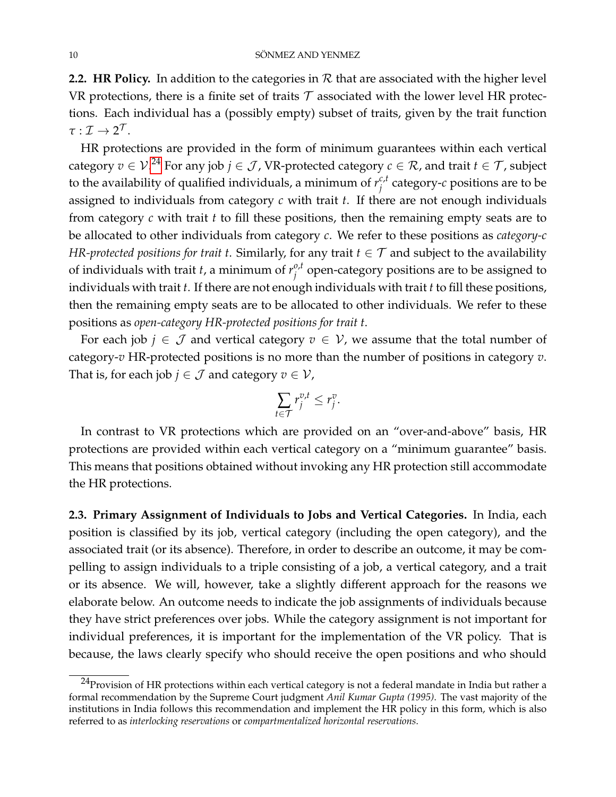<span id="page-9-0"></span>2.2. HR Policy. In addition to the categories in  $R$  that are associated with the higher level VR protections, there is a finite set of traits  $\mathcal T$  associated with the lower level HR protections. Each individual has a (possibly empty) subset of traits, given by the trait function  $\tau:\mathcal{I}\to 2^{\mathcal{T}}.$ 

HR protections are provided in the form of minimum guarantees within each vertical category  $v\in\mathcal{V}.^{24}$  $v\in\mathcal{V}.^{24}$  $v\in\mathcal{V}.^{24}$  For any job  $j\in\mathcal{J}$  , VR-protected category  $c\in\mathcal{R}$  , and trait  $t\in\mathcal{T}$  , subject to the availability of qualified individuals, a minimum of  $r_i^{c,t}$  $\hat{c}^{c,\iota}_j$  category- $c$  positions are to be assigned to individuals from category *c* with trait *t*. If there are not enough individuals from category *c* with trait *t* to fill these positions, then the remaining empty seats are to be allocated to other individuals from category *c*. We refer to these positions as *category-c HR-protected positions for trait t*. Similarly, for any trait  $t \in \mathcal{T}$  and subject to the availability of individuals with trait *t*, a minimum of  $r_i^{o,t}$  $j^{o,\mu}$  open-category positions are to be assigned to individuals with trait *t*. If there are not enough individuals with trait *t* to fill these positions, then the remaining empty seats are to be allocated to other individuals. We refer to these positions as *open-category HR-protected positions for trait t*.

For each job  $j \in \mathcal{J}$  and vertical category  $v \in \mathcal{V}$ , we assume that the total number of category-*v* HR-protected positions is no more than the number of positions in category *v*. That is, for each job *j*  $\in \mathcal{J}$  and category  $v \in \mathcal{V}$ ,

$$
\sum_{t\in\mathcal{T}}r_j^{v,t}\leq r_j^v.
$$

In contrast to VR protections which are provided on an "over-and-above" basis, HR protections are provided within each vertical category on a "minimum guarantee" basis. This means that positions obtained without invoking any HR protection still accommodate the HR protections.

**2.3. Primary Assignment of Individuals to Jobs and Vertical Categories.** In India, each position is classified by its job, vertical category (including the open category), and the associated trait (or its absence). Therefore, in order to describe an outcome, it may be compelling to assign individuals to a triple consisting of a job, a vertical category, and a trait or its absence. We will, however, take a slightly different approach for the reasons we elaborate below. An outcome needs to indicate the job assignments of individuals because they have strict preferences over jobs. While the category assignment is not important for individual preferences, it is important for the implementation of the VR policy. That is because, the laws clearly specify who should receive the open positions and who should

<span id="page-9-1"></span><sup>&</sup>lt;sup>24</sup>Provision of HR protections within each vertical category is not a federal mandate in India but rather a formal recommendation by the Supreme Court judgment *Anil Kumar Gupta (1995)*. The vast majority of the institutions in India follows this recommendation and implement the HR policy in this form, which is also referred to as *interlocking reservations* or *compartmentalized horizontal reservations*.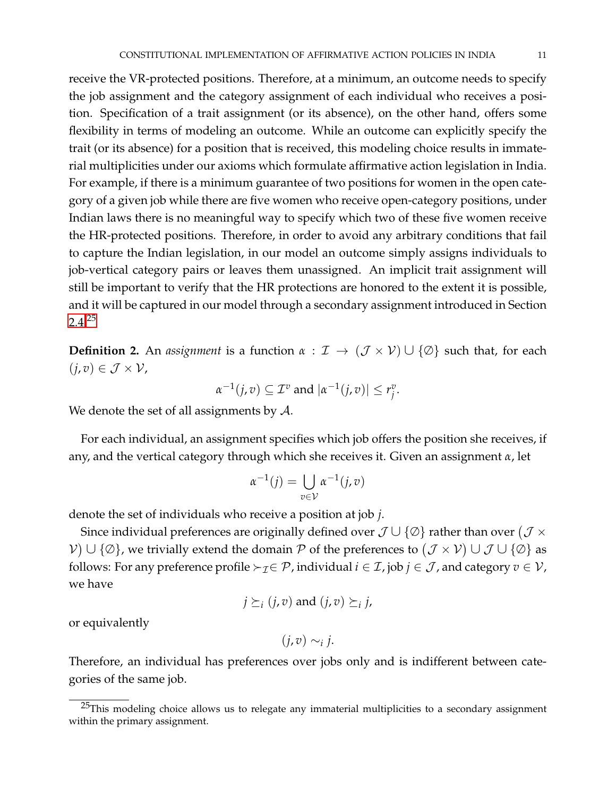receive the VR-protected positions. Therefore, at a minimum, an outcome needs to specify the job assignment and the category assignment of each individual who receives a position. Specification of a trait assignment (or its absence), on the other hand, offers some flexibility in terms of modeling an outcome. While an outcome can explicitly specify the trait (or its absence) for a position that is received, this modeling choice results in immaterial multiplicities under our axioms which formulate affirmative action legislation in India. For example, if there is a minimum guarantee of two positions for women in the open category of a given job while there are five women who receive open-category positions, under Indian laws there is no meaningful way to specify which two of these five women receive the HR-protected positions. Therefore, in order to avoid any arbitrary conditions that fail to capture the Indian legislation, in our model an outcome simply assigns individuals to job-vertical category pairs or leaves them unassigned. An implicit trait assignment will still be important to verify that the HR protections are honored to the extent it is possible, and it will be captured in our model through a secondary assignment introduced in Section  $2.4.^{25}$  $2.4.^{25}$  $2.4.^{25}$  $2.4.^{25}$ 

**Definition 2.** An *assignment* is a function  $\alpha$  :  $\mathcal{I} \rightarrow (\mathcal{J} \times \mathcal{V}) \cup \{\emptyset\}$  such that, for each  $(j, v) \in \mathcal{J} \times \mathcal{V}$ ,

$$
\alpha^{-1}(j,v) \subseteq \mathcal{I}^v \text{ and } |\alpha^{-1}(j,v)| \leq r_j^v.
$$

We denote the set of all assignments by  $A$ .

For each individual, an assignment specifies which job offers the position she receives, if any, and the vertical category through which she receives it. Given an assignment *α*, let

$$
\alpha^{-1}(j) = \bigcup_{v \in \mathcal{V}} \alpha^{-1}(j, v)
$$

denote the set of individuals who receive a position at job *j*.

Since individual preferences are originally defined over  $\mathcal{J}\cup\{\varnothing\}$  rather than over  $(\mathcal{J}\times\mathcal{J})$  $V) \cup \{\emptyset\}$ , we trivially extend the domain  $P$  of the preferences to  $(\mathcal{J} \times \mathcal{V}) \cup \mathcal{J} \cup \{\emptyset\}$  as follows: For any preference profile  $\succ_{\mathcal{I}} \in \mathcal{P}$ , individual  $i \in \mathcal{I}$ , job  $j \in \mathcal{J}$ , and category  $v \in \mathcal{V}$ , we have

$$
j \succeq_i (j, v)
$$
 and  $(j, v) \succeq_i j$ ,

or equivalently

$$
(j,v)\sim_{i} j.
$$

Therefore, an individual has preferences over jobs only and is indifferent between categories of the same job.

<span id="page-10-0"></span> $25$ This modeling choice allows us to relegate any immaterial multiplicities to a secondary assignment within the primary assignment.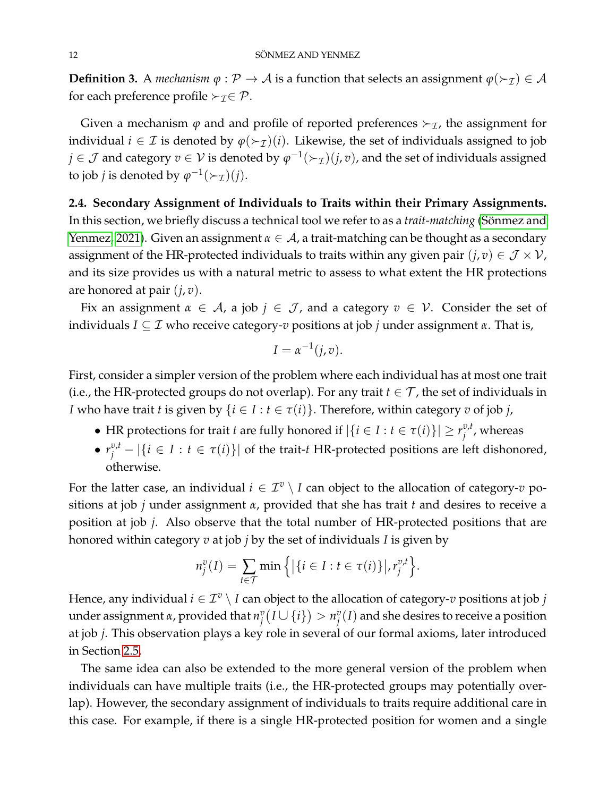**Definition 3.** A *mechanism*  $\varphi : \mathcal{P} \to \mathcal{A}$  is a function that selects an assignment  $\varphi(\succ_{\mathcal{I}}) \in \mathcal{A}$ for each preference profile  $\succ_{\mathcal{I}} \in \mathcal{P}$ .

Given a mechanism  $\varphi$  and and profile of reported preferences  $\succ_{\mathcal{I}}$ , the assignment for individual  $i \in \mathcal{I}$  is denoted by  $\varphi(\succ_{\mathcal{I}})(i)$ . Likewise, the set of individuals assigned to job  $j\in\mathcal{J}$  and category  $v\in\mathcal{V}$  is denoted by  $\varphi^{-1}(\succ_{\mathcal{I}})(j,v)$ , and the set of individuals assigned to job *j* is denoted by  $\varphi^{-1}(\succ_{\mathcal{I}})(j)$ .

<span id="page-11-0"></span>**2.4. Secondary Assignment of Individuals to Traits within their Primary Assignments.** In this section, we briefly discuss a technical tool we refer to as a *trait-matching* (Sönmez and [Yenmez, 2021\)](#page-40-0). Given an assignment  $\alpha \in A$ , a trait-matching can be thought as a secondary assignment of the HR-protected individuals to traits within any given pair  $(j, v) \in \mathcal{J} \times \mathcal{V}$ , and its size provides us with a natural metric to assess to what extent the HR protections are honored at pair (*j*, *v*).

Fix an assignment  $\alpha \in A$ , a job  $j \in J$ , and a category  $v \in V$ . Consider the set of individuals *I* ⊆ I who receive category-*v* positions at job *j* under assignment *α*. That is,

$$
I=\alpha^{-1}(j,v).
$$

First, consider a simpler version of the problem where each individual has at most one trait (i.e., the HR-protected groups do not overlap). For any trait  $t \in \mathcal{T}$ , the set of individuals in *I* who have trait *t* is given by  $\{i \in I : t \in \tau(i)\}$ . Therefore, within category *v* of job *j*,

- HR protections for trait *t* are fully honored if  $|\{i \in I : t \in \tau(i)\}| \geq r_i^{v,t}$  $j^{\nu,\iota}$ , whereas
- $r_j^{v,t} |\{i \in I : t \in \tau(i)\}|$  of the trait-*t* HR-protected positions are left dishonored, otherwise.

For the latter case, an individual  $i \in \mathcal{I}^v \setminus I$  can object to the allocation of category- $v$  positions at job *j* under assignment *α*, provided that she has trait *t* and desires to receive a position at job *j*. Also observe that the total number of HR-protected positions that are honored within category *v* at job *j* by the set of individuals *I* is given by

$$
n_j^v(I) = \sum_{t \in \mathcal{T}} \min \left\{ \left| \{ i \in I : t \in \tau(i) \} \right|, r_j^{v,t} \right\}.
$$

Hence, any individual  $i \in \mathcal{I}^v \setminus I$  can object to the allocation of category- $v$  positions at job  $j$ under assignment  $\alpha$ , provided that  $n_i^v$  $\sum_{j}^{v} (I \cup \{i\}) > n_j^v$  $\binom{v}{j}(I)$  and she desires to receive a position at job *j*. This observation plays a key role in several of our formal axioms, later introduced in Section [2.5.](#page-13-0)

The same idea can also be extended to the more general version of the problem when individuals can have multiple traits (i.e., the HR-protected groups may potentially overlap). However, the secondary assignment of individuals to traits require additional care in this case. For example, if there is a single HR-protected position for women and a single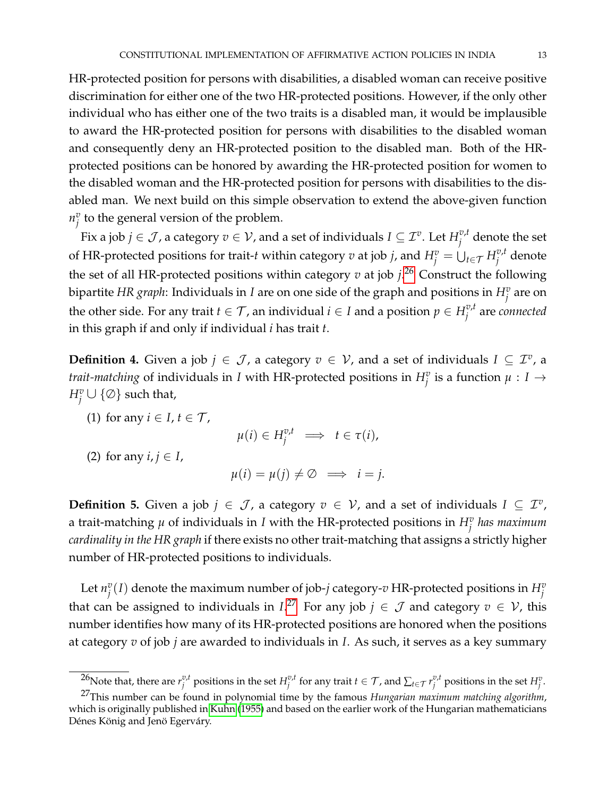HR-protected position for persons with disabilities, a disabled woman can receive positive discrimination for either one of the two HR-protected positions. However, if the only other individual who has either one of the two traits is a disabled man, it would be implausible to award the HR-protected position for persons with disabilities to the disabled woman and consequently deny an HR-protected position to the disabled man. Both of the HRprotected positions can be honored by awarding the HR-protected position for women to the disabled woman and the HR-protected position for persons with disabilities to the disabled man. We next build on this simple observation to extend the above-given function  $n_i^v$  $\frac{v}{j}$  to the general version of the problem.

Fix a job  $j \in \mathcal{J}$  , a category  $v \in \mathcal{V}$  , and a set of individuals  $I \subseteq \mathcal{I}^v$ . Let  $H^{v,t}_i$  $j^{\nu,\iota}$  denote the set of HR-protected positions for trait-*t* within category  $v$  at job *j*, and  $H_j^v = \bigcup_{t \in \mathcal{T}} H_j^{v,t}$ *j* denote the set of all HR-protected positions within category *v* at job *j*. [26](#page-12-0) Construct the following bipartite *HR graph*: Individuals in *I* are on one side of the graph and positions in  $H^v_j$  are on the other side. For any trait  $t \in \mathcal{T}$ , an individual  $i \in I$  and a position  $p \in H_i^{v,t}$ *j* are *connected* in this graph if and only if individual *i* has trait *t*.

**Definition 4.** Given a job  $j \in \mathcal{J}$ , a category  $v \in \mathcal{V}$ , and a set of individuals  $I \subseteq \mathcal{I}^v$ , a *trait-matching* of individuals in *I* with HR-protected positions in  $H^v_j$  is a function  $\mu: I \to I$  $H^v_j \cup \{\emptyset\}$  such that,

(1) for any  $i \in I$ ,  $t \in \mathcal{T}$ ,

 $\mu(i) \in H_j^{v,t} \implies t \in \tau(i)$ ,

(2) for any  $i, j \in I$ ,

 $\mu(i) = \mu(j) \neq \emptyset \implies i = j.$ 

**Definition 5.** Given a job  $j \in \mathcal{J}$ , a category  $v \in \mathcal{V}$ , and a set of individuals  $I \subseteq \mathcal{I}^v$ , a trait-matching  $\mu$  of individuals in *I* with the HR-protected positions in  $H^v_j$  has maximum *cardinality in the HR graph* if there exists no other trait-matching that assigns a strictly higher number of HR-protected positions to individuals.

Let  $n_i^v$  $\sigma_j^v(I)$  denote the maximum number of job-*j* category- $v$  HR-protected positions in  $H_j^v$ that can be assigned to individuals in  $I^{27}$  $I^{27}$  $I^{27}$  For any job  $j \in \mathcal{J}$  and category  $v \in \mathcal{V}$ , this number identifies how many of its HR-protected positions are honored when the positions at category *v* of job *j* are awarded to individuals in *I*. As such, it serves as a key summary

<span id="page-12-1"></span><span id="page-12-0"></span><sup>&</sup>lt;sup>26</sup>Note that, there are  $r_i^{v,t}$  $v^{v,t}_{j}$  positions in the set  $H^{v,t}_{j}$  $\sum_{j}^{v,t}$  for any trait  $t \in \mathcal{T}$ , and  $\sum_{t \in \mathcal{T}} r^{v,t}_{j}$  $j^{v,t}$  positions in the set  $H_j^v$ .

<sup>27</sup>This number can be found in polynomial time by the famous *Hungarian maximum matching algorithm*, which is originally published in [Kuhn](#page-40-11) [\(1955\)](#page-40-11) and based on the earlier work of the Hungarian mathematicians Dénes König and Jenö Egerváry.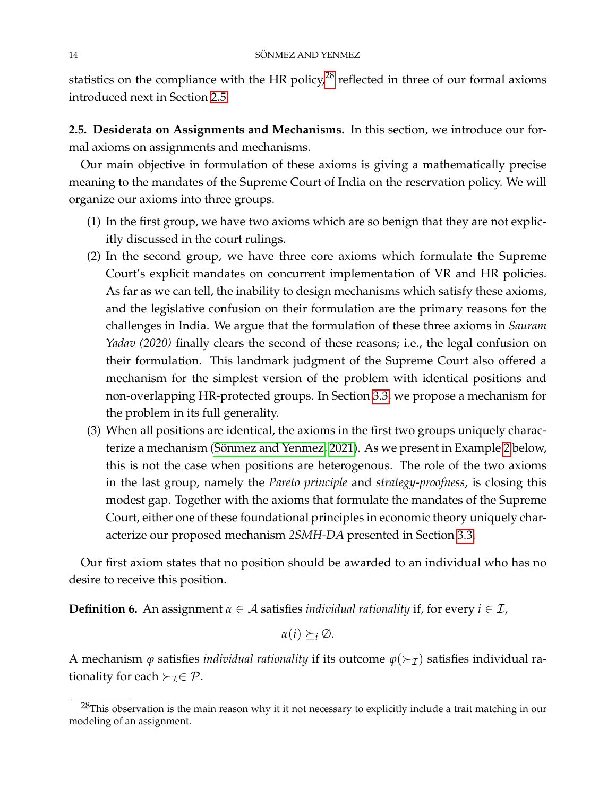statistics on the compliance with the HR policy, $^{28}$  $^{28}$  $^{28}$  reflected in three of our formal axioms introduced next in Section [2.5.](#page-13-0)

<span id="page-13-0"></span>**2.5. Desiderata on Assignments and Mechanisms.** In this section, we introduce our formal axioms on assignments and mechanisms.

Our main objective in formulation of these axioms is giving a mathematically precise meaning to the mandates of the Supreme Court of India on the reservation policy. We will organize our axioms into three groups.

- (1) In the first group, we have two axioms which are so benign that they are not explicitly discussed in the court rulings.
- (2) In the second group, we have three core axioms which formulate the Supreme Court's explicit mandates on concurrent implementation of VR and HR policies. As far as we can tell, the inability to design mechanisms which satisfy these axioms, and the legislative confusion on their formulation are the primary reasons for the challenges in India. We argue that the formulation of these three axioms in *Sauram Yadav (2020)* finally clears the second of these reasons; i.e., the legal confusion on their formulation. This landmark judgment of the Supreme Court also offered a mechanism for the simplest version of the problem with identical positions and non-overlapping HR-protected groups. In Section [3.3,](#page-19-0) we propose a mechanism for the problem in its full generality.
- (3) When all positions are identical, the axioms in the first two groups uniquely charac-terize a mechanism (Sönmez and Yenmez, [2](#page-20-0)021). As we present in Example 2 below, this is not the case when positions are heterogenous. The role of the two axioms in the last group, namely the *Pareto principle* and *strategy-proofness*, is closing this modest gap. Together with the axioms that formulate the mandates of the Supreme Court, either one of these foundational principles in economic theory uniquely characterize our proposed mechanism *2SMH-DA* presented in Section [3.3.](#page-19-0)

Our first axiom states that no position should be awarded to an individual who has no desire to receive this position.

**Definition 6.** An assignment  $\alpha \in A$  satisfies *individual rationality* if, for every  $i \in \mathcal{I}$ ,

 $\alpha(i) \succ_i \varnothing$ .

A mechanism  $\varphi$  satisfies *individual rationality* if its outcome  $\varphi(\succ_{\mathcal{I}})$  satisfies individual rationality for each  $\succ_{\mathcal{I}} \in \mathcal{P}.$ 

<span id="page-13-1"></span> $28$ This observation is the main reason why it it not necessary to explicitly include a trait matching in our modeling of an assignment.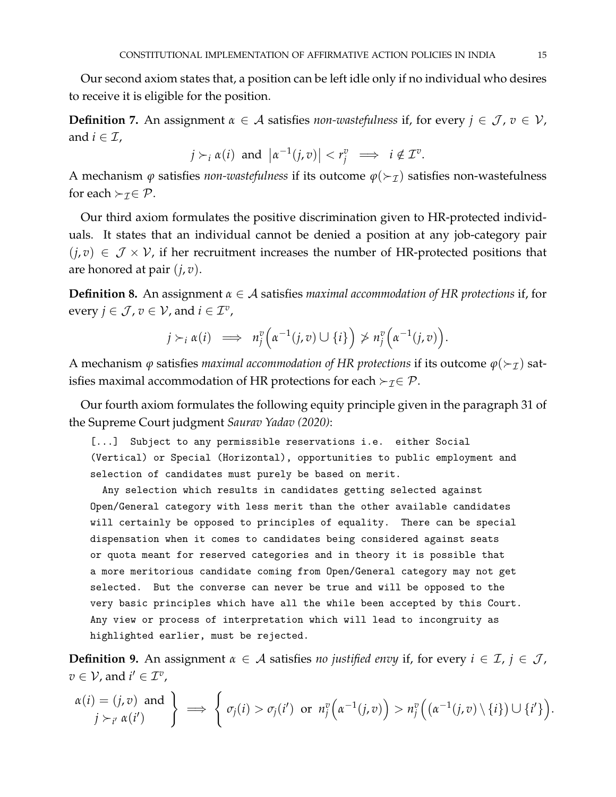Our second axiom states that, a position can be left idle only if no individual who desires to receive it is eligible for the position.

**Definition 7.** An assignment  $\alpha \in A$  satisfies *non-wastefulness* if, for every  $j \in \mathcal{J}$ ,  $v \in \mathcal{V}$ , and  $i \in \mathcal{I}$ ,

$$
j \succ_i \alpha(i)
$$
 and  $|\alpha^{-1}(j, v)| < r_j^v \implies i \notin \mathcal{I}^v$ .

A mechanism  $\varphi$  satisfies *non-wastefulness* if its outcome  $\varphi(\succ_{\mathcal{I}})$  satisfies non-wastefulness for each  $\succ_{\tau} \in \mathcal{P}$ .

Our third axiom formulates the positive discrimination given to HR-protected individuals. It states that an individual cannot be denied a position at any job-category pair  $(j, v) \in \mathcal{J} \times \mathcal{V}$ , if her recruitment increases the number of HR-protected positions that are honored at pair (*j*, *v*).

**Definition 8.** An assignment *α* ∈ A satisfies *maximal accommodation of HR protections* if, for every  $j \in \mathcal{J}$ ,  $v \in \mathcal{V}$ , and  $i \in \mathcal{I}^v$ ,

$$
j \succ_i \alpha(i) \implies n_j^v\Big(\alpha^{-1}(j,v) \cup \{i\}\Big) \ngtr n_j^v\Big(\alpha^{-1}(j,v)\Big).
$$

A mechanism  $\varphi$  satisfies *maximal accommodation of HR protections* if its outcome  $\varphi(\succ_{\mathcal{I}})$  satisfies maximal accommodation of HR protections for each  $\succ_{\mathcal{I}} \in \mathcal{P}$ .

Our fourth axiom formulates the following equity principle given in the paragraph 31 of the Supreme Court judgment *Saurav Yadav (2020)*:

[...] Subject to any permissible reservations i.e. either Social (Vertical) or Special (Horizontal), opportunities to public employment and selection of candidates must purely be based on merit.

Any selection which results in candidates getting selected against Open/General category with less merit than the other available candidates will certainly be opposed to principles of equality. There can be special dispensation when it comes to candidates being considered against seats or quota meant for reserved categories and in theory it is possible that a more meritorious candidate coming from Open/General category may not get selected. But the converse can never be true and will be opposed to the very basic principles which have all the while been accepted by this Court. Any view or process of interpretation which will lead to incongruity as highlighted earlier, must be rejected.

**Definition 9.** An assignment  $\alpha \in A$  satisfies *no justified envy* if, for every  $i \in \mathcal{I}$ ,  $j \in \mathcal{J}$ ,  $v \in V$ , and  $i' \in \mathcal{I}^v$ ,

$$
\begin{array}{c}\n\alpha(i) = (j, v) \text{ and } \\
j \succ_{i'} \alpha(i')\n\end{array}\n\right\} \implies \left\{\n\sigma_j(i) > \sigma_j(i') \text{ or } n_j^v\left(\alpha^{-1}(j, v)\right) > n_j^v\left(\left(\alpha^{-1}(j, v)\setminus\{i\}\right) \cup \{i'\}\right).\n\end{array}
$$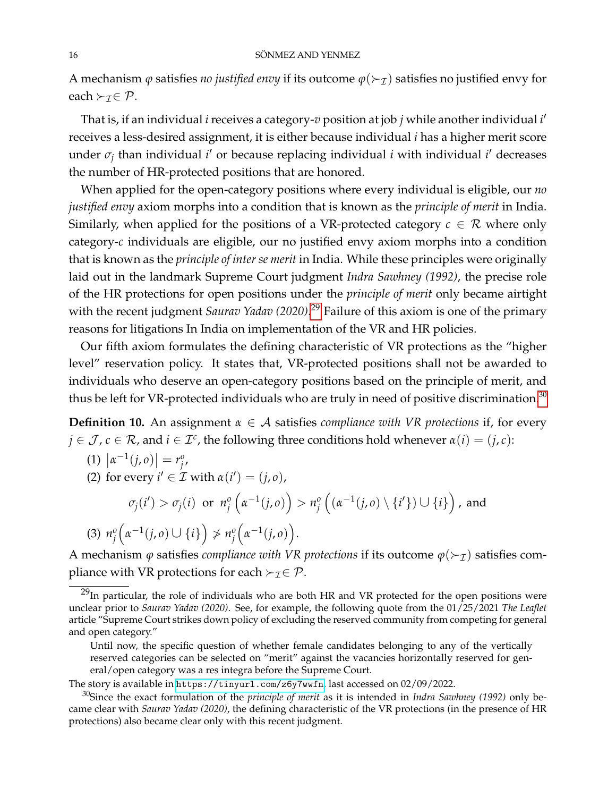#### 16 SÖNMEZ AND YENMEZ

A mechanism  $\varphi$  satisfies *no justified envy* if its outcome  $\varphi(\succ_{\mathcal{I}})$  satisfies no justified envy for each  $\succ$ <sub>*T*</sub> $\in$  *P*.

That is, if an individual *i* receives a category-*v* position at job *j* while another individual *i* 0 receives a less-desired assignment, it is either because individual *i* has a higher merit score under *σ<sub>j</sub>* than individual *i'* or because replacing individual *i* with individual *i'* decreases the number of HR-protected positions that are honored.

When applied for the open-category positions where every individual is eligible, our *no justified envy* axiom morphs into a condition that is known as the *principle of merit* in India. Similarly, when applied for the positions of a VR-protected category  $c \in \mathcal{R}$  where only category-*c* individuals are eligible, our no justified envy axiom morphs into a condition that is known as the *principle of inter se merit* in India. While these principles were originally laid out in the landmark Supreme Court judgment *Indra Sawhney (1992)*, the precise role of the HR protections for open positions under the *principle of merit* only became airtight with the recent judgment *Saurav Yadav (2020)*. [29](#page-15-0) Failure of this axiom is one of the primary reasons for litigations In India on implementation of the VR and HR policies.

Our fifth axiom formulates the defining characteristic of VR protections as the "higher level" reservation policy. It states that, VR-protected positions shall not be awarded to individuals who deserve an open-category positions based on the principle of merit, and thus be left for VR-protected individuals who are truly in need of positive discrimination.<sup>[30](#page-15-1)</sup>

<span id="page-15-2"></span>**Definition 10.** An assignment *α* ∈ A satisfies *compliance with VR protections* if, for every  $j \in \mathcal{J}$ ,  $c \in \mathcal{R}$ , and  $i \in \mathcal{I}^c$ , the following three conditions hold whenever  $\alpha(i) = (j, c)$ :

(1) 
$$
|\alpha^{-1}(j, o)| = r_j^o
$$
,  
\n(2) for every  $i' \in \mathcal{I}$  with  $\alpha(i') = (j, o)$ ,  
\n $\sigma_j(i') > \sigma_j(i)$  or  $n_j^o\left(\alpha^{-1}(j, o)\right) > n_j^o\left(\left(\alpha^{-1}(j, o)\setminus\{i'\}\right) \cup \{i\}\right)$ , and  
\n(3)  $n_j^o\left(\alpha^{-1}(j, o) \cup \{i\}\right) \nsim n_j^o\left(\alpha^{-1}(j, o)\right)$ .

A mechanism  $\varphi$  satisfies *compliance with VR protections* if its outcome  $\varphi(\succ_{\mathcal{I}})$  satisfies compliance with VR protections for each  $\succ_{\mathcal{I}} \in \mathcal{P}$ .

The story is available in <https://tinyurl.com/z6y7wwfn>, last accessed on 02/09/2022.

<span id="page-15-0"></span><sup>&</sup>lt;sup>29</sup>In particular, the role of individuals who are both HR and VR protected for the open positions were unclear prior to *Saurav Yadav (2020)*. See, for example, the following quote from the 01/25/2021 *The Leaflet* article "Supreme Court strikes down policy of excluding the reserved community from competing for general and open category."

Until now, the specific question of whether female candidates belonging to any of the vertically reserved categories can be selected on "merit" against the vacancies horizontally reserved for general/open category was a res integra before the Supreme Court.

<span id="page-15-1"></span><sup>30</sup>Since the exact formulation of the *principle of merit* as it is intended in *Indra Sawhney (1992)* only became clear with *Saurav Yadav (2020)*, the defining characteristic of the VR protections (in the presence of HR protections) also became clear only with this recent judgment.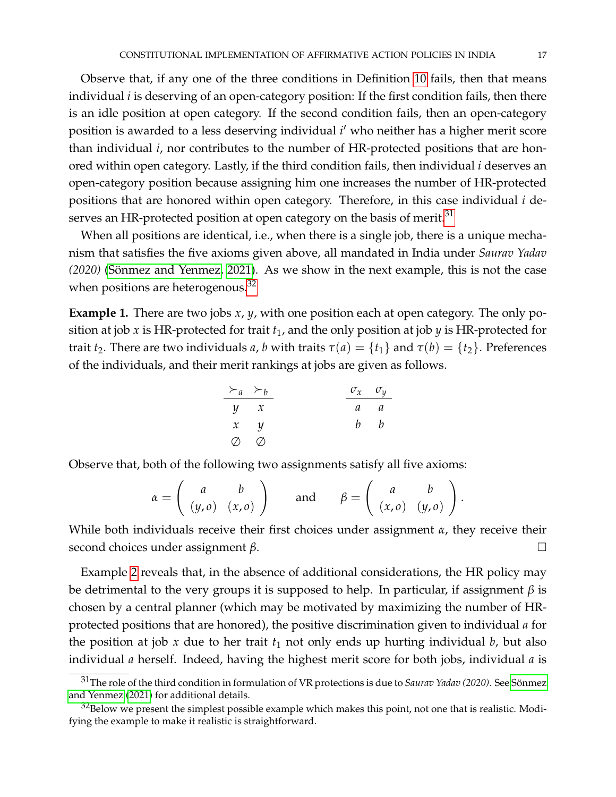Observe that, if any one of the three conditions in Definition [10](#page-15-2) fails, then that means individual *i* is deserving of an open-category position: If the first condition fails, then there is an idle position at open category. If the second condition fails, then an open-category position is awarded to a less deserving individual *i'* who neither has a higher merit score than individual *i*, nor contributes to the number of HR-protected positions that are honored within open category. Lastly, if the third condition fails, then individual *i* deserves an open-category position because assigning him one increases the number of HR-protected positions that are honored within open category. Therefore, in this case individual *i* de-serves an HR-protected position at open category on the basis of merit.<sup>[31](#page-16-0)</sup>

When all positions are identical, i.e., when there is a single job, there is a unique mechanism that satisfies the five axioms given above, all mandated in India under *Saurav Yadav (2020)* (Sönmez and Yenmez, 2021). As we show in the next example, this is not the case when positions are heterogenous.<sup>[32](#page-16-1)</sup>

**Example 1.** There are two jobs *x*, *y*, with one position each at open category. The only position at job  $x$  is HR-protected for trait  $t_1$ , and the only position at job  $y$  is HR-protected for trait *t*<sub>2</sub>. There are two individuals *a*, *b* with traits  $τ(a) = {t_1}$  and  $τ(b) = {t_2}$ . Preferences of the individuals, and their merit rankings at jobs are given as follows.

| $\succ_a$   | $\succ_b$   | $\sigma_x$ | $\sigma_y$ |
|-------------|-------------|------------|------------|
| $y$         | $x$         | $a$        | $a$        |
| $x$         | $y$         | $b$        | $b$        |
| $\emptyset$ | $\emptyset$ |            |            |

Observe that, both of the following two assignments satisfy all five axioms:

$$
\alpha = \left( \begin{array}{cc} a & b \\ (y, o) & (x, o) \end{array} \right) \quad \text{and} \quad \beta = \left( \begin{array}{cc} a & b \\ (x, o) & (y, o) \end{array} \right).
$$

While both individuals receive their first choices under assignment *α*, they receive their second choices under assignment *β*.

Example [2](#page-20-0) reveals that, in the absence of additional considerations, the HR policy may be detrimental to the very groups it is supposed to help. In particular, if assignment *β* is chosen by a central planner (which may be motivated by maximizing the number of HRprotected positions that are honored), the positive discrimination given to individual *a* for the position at job  $x$  due to her trait  $t_1$  not only ends up hurting individual  $b$ , but also individual *a* herself. Indeed, having the highest merit score for both jobs, individual *a* is

<span id="page-16-0"></span><sup>31</sup>The role of the third condition in formulation of VR protections is due to *Saurav Yadav (2020)*. See [Sonmez](#page-40-0) ¨ [and Yenmez](#page-40-0) [\(2021\)](#page-40-0) for additional details.

<span id="page-16-1"></span> $32$ Below we present the simplest possible example which makes this point, not one that is realistic. Modifying the example to make it realistic is straightforward.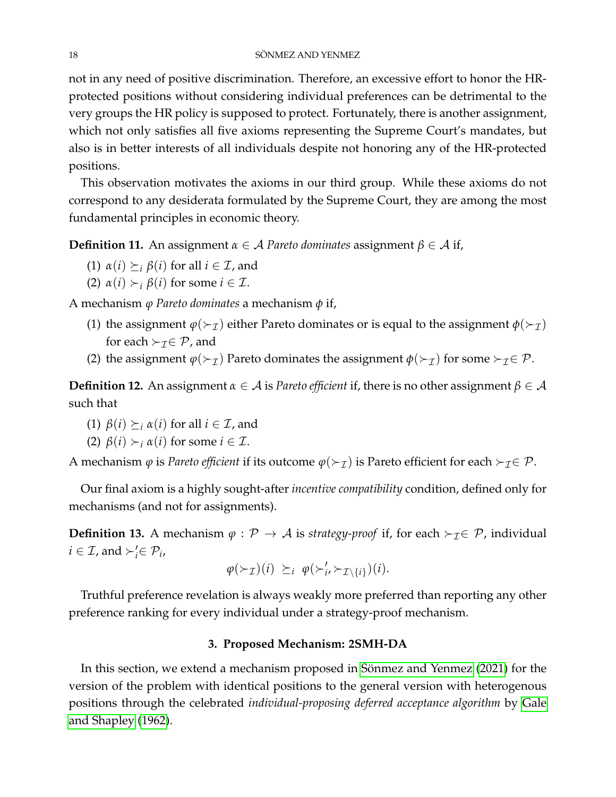not in any need of positive discrimination. Therefore, an excessive effort to honor the HRprotected positions without considering individual preferences can be detrimental to the very groups the HR policy is supposed to protect. Fortunately, there is another assignment, which not only satisfies all five axioms representing the Supreme Court's mandates, but also is in better interests of all individuals despite not honoring any of the HR-protected positions.

This observation motivates the axioms in our third group. While these axioms do not correspond to any desiderata formulated by the Supreme Court, they are among the most fundamental principles in economic theory.

**Definition 11.** An assignment  $\alpha \in A$  *Pareto dominates* assignment  $\beta \in A$  if,

- (1)  $\alpha(i) \succeq_i \beta(i)$  for all  $i \in \mathcal{I}$ , and
- (2)  $\alpha(i) \succ_i \beta(i)$  for some  $i \in \mathcal{I}$ .

A mechanism *ϕ Pareto dominates* a mechanism *φ* if,

- (1) the assignment  $\varphi(\succ_{\mathcal{I}})$  either Pareto dominates or is equal to the assignment  $\varphi(\succ_{\mathcal{I}})$ for each  $\succ_{\mathcal{I}} \in \mathcal{P}$ , and
- (2) the assignment  $\varphi(\succ_{\mathcal{I}})$  Pareto dominates the assignment  $\varphi(\succ_{\mathcal{I}})$  for some  $\succ_{\mathcal{I}} \in \mathcal{P}$ .

**Definition 12.** An assignment *α* ∈ A is *Pareto efficient* if, there is no other assignment *β* ∈ A such that

- (1)  $\beta(i) \succeq_i \alpha(i)$  for all  $i \in \mathcal{I}$ , and
- (2)  $β(i) \succ_i α(i)$  for some  $i \in \mathcal{I}$ .

A mechanism  $\varphi$  is *Pareto efficient* if its outcome  $\varphi(\succ_{\mathcal{I}})$  is Pareto efficient for each  $\succ_{\mathcal{I}} \in \mathcal{P}$ .

Our final axiom is a highly sought-after *incentive compatibility* condition, defined only for mechanisms (and not for assignments).

**Definition 13.** A mechanism  $\varphi$  :  $\mathcal{P} \to \mathcal{A}$  is *strategy-proof* if, for each  $\succ_{\mathcal{I}} \in \mathcal{P}$ , individual  $i \in \mathcal{I}$ , and  $\succ_i' \in \mathcal{P}_i$ ,

$$
\varphi(\succ_{\mathcal{I}})(i) \geq_i \varphi(\succ'_{i}, \succ_{\mathcal{I}\setminus\{i\}})(i).
$$

Truthful preference revelation is always weakly more preferred than reporting any other preference ranking for every individual under a strategy-proof mechanism.

### **3. Proposed Mechanism: 2SMH-DA**

In this section, we extend a mechanism proposed in Sönmez and Yenmez [\(2021\)](#page-40-0) for the version of the problem with identical positions to the general version with heterogenous positions through the celebrated *individual-proposing deferred acceptance algorithm* by [Gale](#page-40-1) [and Shapley](#page-40-1) [\(1962\)](#page-40-1).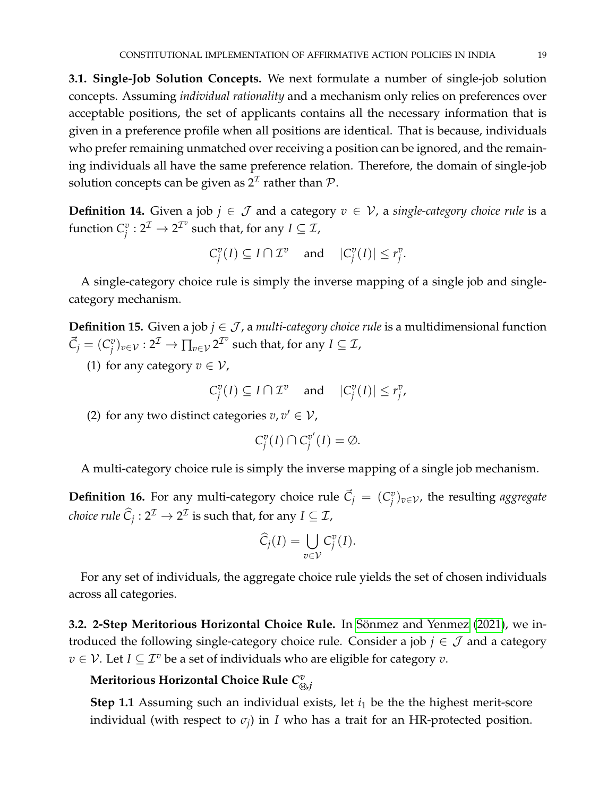**3.1. Single-Job Solution Concepts.** We next formulate a number of single-job solution concepts. Assuming *individual rationality* and a mechanism only relies on preferences over acceptable positions, the set of applicants contains all the necessary information that is given in a preference profile when all positions are identical. That is because, individuals who prefer remaining unmatched over receiving a position can be ignored, and the remaining individuals all have the same preference relation. Therefore, the domain of single-job solution concepts can be given as  $2^{\mathcal{I}}$  rather than  $\mathcal{P}.$ 

<span id="page-18-0"></span>**Definition 14.** Given a job *j* ∈  $J$  and a category  $v$  ∈  $V$ , a *single-category choice rule* is a function  $C_i^v$  $\frac{v}{j}: 2^{\mathcal{I}} \rightarrow 2^{\mathcal{I}^v}$  such that, for any  $I \subseteq \mathcal{I}$ ,

$$
C_j^v(I) \subseteq I \cap \mathcal{I}^v \quad \text{and} \quad |C_j^v(I)| \le r_j^v.
$$

A single-category choice rule is simply the inverse mapping of a single job and singlecategory mechanism.

**Definition 15.** Given a job  $j \in \mathcal{J}$ , a *multi-category choice rule* is a multidimensional function  $\vec{C}_j = (C_j^v)$  $g^v_j)_{v\in\mathcal{V}}:2^{\mathcal{I}}\rightarrow \prod_{v\in\mathcal{V}}2^{\mathcal{I}^v}$  such that, for any  $I\subseteq\mathcal{I}$ ,

(1) for any category  $v \in V$ ,

$$
C_j^v(I) \subseteq I \cap \mathcal{I}^v \quad \text{and} \quad |C_j^v(I)| \le r_j^v,
$$

(2) for any two distinct categories  $v, v' \in V$ ,

$$
C_j^v(I) \cap C_j^{v'}(I) = \emptyset.
$$

A multi-category choice rule is simply the inverse mapping of a single job mechanism.

<span id="page-18-1"></span>**Definition 16.** For any multi-category choice rule  $\vec{C}_j = (C_j^v)$ *j* )*v*∈V, the resulting *aggregate choice rule*  $\widehat{C}_j : 2^{\mathcal{I}} \to 2^{\mathcal{I}}$  is such that, for any  $I \subseteq \mathcal{I}$ ,

$$
\widehat{C}_j(I) = \bigcup_{v \in \mathcal{V}} C_j^v(I).
$$

For any set of individuals, the aggregate choice rule yields the set of chosen individuals across all categories.

**3.2. 2-Step Meritorious Horizontal Choice Rule.** In Sönmez and Yenmez [\(2021\)](#page-40-0), we introduced the following single-category choice rule. Consider a job  $j \in \mathcal{J}$  and a category *v* ∈ *V*. Let *I* ⊆  $\mathcal{I}^v$  be a set of individuals who are eligible for category *v*.

#### **Meritorious Horizontal Choice Rule** *C v*<sup>M</sup> **,***j*

**Step 1.1** Assuming such an individual exists, let  $i_1$  be the the highest merit-score individual (with respect to *σ<sup>j</sup>* ) in *I* who has a trait for an HR-protected position.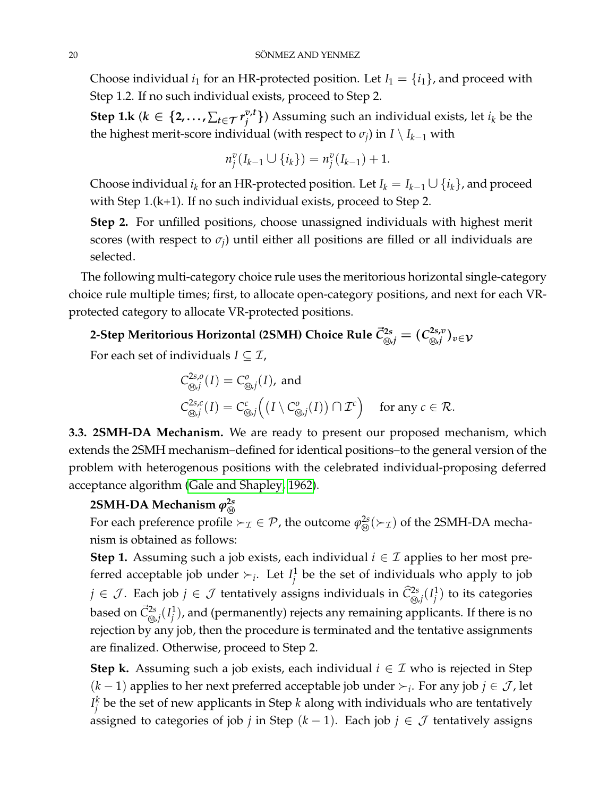Choose individual  $i_1$  for an HR-protected position. Let  $I_1 = \{i_1\}$ , and proceed with Step 1.2. If no such individual exists, proceed to Step 2.

 $\textsf{Step 1.k}$   $(k \in \{2, \dots, \sum_{t \in \mathcal{T}} r_i^{v,t}\}$  $\{v, t\}$ ) Assuming such an individual exists, let  $i_k$  be the the highest merit-score individual (with respect to  $\sigma_j$ ) in *I* \ *I<sub>k−1</sub>* with

$$
n_j^v(I_{k-1}\cup\{i_k\})=n_j^v(I_{k-1})+1.
$$

Choose individual  $i_k$  for an HR-protected position. Let  $I_k = I_{k-1} \cup \{i_k\}$ , and proceed with Step 1.(k+1). If no such individual exists, proceed to Step 2.

**Step 2.** For unfilled positions, choose unassigned individuals with highest merit scores (with respect to  $\sigma_j$ ) until either all positions are filled or all individuals are selected.

The following multi-category choice rule uses the meritorious horizontal single-category choice rule multiple times; first, to allocate open-category positions, and next for each VRprotected category to allocate VR-protected positions.

#### 2-Step Meritorious Horizontal (2SMH) Choice Rule  $\vec{C}^{2s}_{\circledcirc, j} = (C^{2s,v}_{\circledcirc, j})$ <sup>M</sup> **,***j* )*v*∈V

For each set of individuals  $I \subseteq \mathcal{I}$ ,

$$
C^{2s,o}_{\text{def}}(I) = C^o_{\text{def}}(I), \text{ and}
$$
  

$$
C^{2s,c}_{\text{def}}(I) = C^c_{\text{def}}((I \setminus C^o_{\text{def}}(I)) \cap \mathcal{I}^c) \text{ for any } c \in \mathcal{R}.
$$

<span id="page-19-0"></span>**3.3. 2SMH-DA Mechanism.** We are ready to present our proposed mechanism, which extends the 2SMH mechanism–defined for identical positions–to the general version of the problem with heterogenous positions with the celebrated individual-proposing deferred acceptance algorithm [\(Gale and Shapley, 1962\)](#page-40-1).

# **2SMH-DA Mechanism**  $\varphi^{2s}_{\widehat{M}}$

For each preference profile  $\succ_\mathcal{I} \in \mathcal{P}$ , the outcome  $\varphi_\mathfrak{A}^{2s}(\succ_\mathcal{I})$  of the 2SMH-DA mechanism is obtained as follows:

**Step 1.** Assuming such a job exists, each individual  $i \in \mathcal{I}$  applies to her most preferred acceptable job under  $\succ_i$ . Let  $I_i^1$ *j* be the set of individuals who apply to job  $j \in \mathcal{J}$ . Each job  $j \in \mathcal{J}$  tentatively assigns individuals in  $\widehat{\mathcal{C}}^{2s}_{\circledast,j}(I^1_j)$  $j^1$ ) to its categories based on  $\vec{C}_{\text{\tiny (0),}j}^{2s}(I_j^1)$  $j^1_j$ ), and (permanently) rejects any remaining applicants. If there is no rejection by any job, then the procedure is terminated and the tentative assignments are finalized. Otherwise, proceed to Step 2.

**Step k.** Assuming such a job exists, each individual  $i \in \mathcal{I}$  who is rejected in Step  $(k-1)$  applies to her next preferred acceptable job under  $\succ_i$ . For any job *j* ∈ *J*, let  $I_i^k$ *j* be the set of new applicants in Step *k* along with individuals who are tentatively assigned to categories of job *j* in Step  $(k - 1)$ . Each job  $j \in \mathcal{J}$  tentatively assigns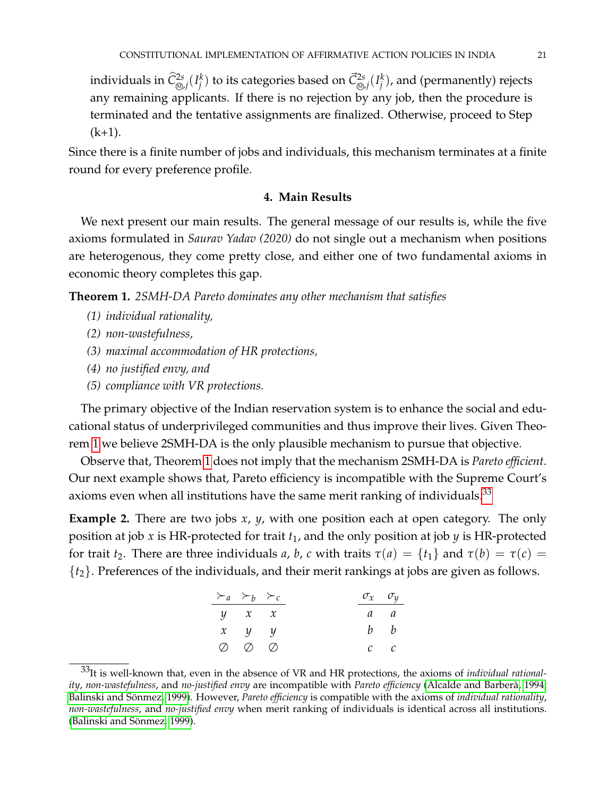individuals in  $\widehat C^{2s}_{\circledast,j}(I_j^k)$  $\bar{C}_{\text{\tiny (3)}j}^{k}$ ) to its categories based on  $\vec{C}_{\text{\tiny (3)}j}^{2s}(I_j^k)$  $j^{\left(k\right)}$ , and (permanently) rejects any remaining applicants. If there is no rejection by any job, then the procedure is terminated and the tentative assignments are finalized. Otherwise, proceed to Step  $(k+1)$ .

Since there is a finite number of jobs and individuals, this mechanism terminates at a finite round for every preference profile.

# **4. Main Results**

We next present our main results. The general message of our results is, while the five axioms formulated in *Saurav Yadav (2020)* do not single out a mechanism when positions are heterogenous, they come pretty close, and either one of two fundamental axioms in economic theory completes this gap.

<span id="page-20-1"></span>**Theorem 1.** *2SMH-DA Pareto dominates any other mechanism that satisfies*

- *(1) individual rationality,*
- *(2) non-wastefulness,*
- *(3) maximal accommodation of HR protections,*
- *(4) no justified envy, and*
- *(5) compliance with VR protections.*

The primary objective of the Indian reservation system is to enhance the social and educational status of underprivileged communities and thus improve their lives. Given Theorem [1](#page-20-1) we believe 2SMH-DA is the only plausible mechanism to pursue that objective.

Observe that, Theorem [1](#page-20-1) does not imply that the mechanism 2SMH-DA is *Pareto efficient*. Our next example shows that, Pareto efficiency is incompatible with the Supreme Court's axioms even when all institutions have the same merit ranking of individuals.<sup>[33](#page-20-2)</sup>

<span id="page-20-0"></span>**Example 2.** There are two jobs *x*, *y*, with one position each at open category. The only position at job *x* is HR-protected for trait *t*1, and the only position at job *y* is HR-protected for trait  $t_2$ . There are three individuals *a*, *b*, *c* with traits  $\tau(a) = \{t_1\}$  and  $\tau(b) = \tau(c)$ {*t*2}. Preferences of the individuals, and their merit rankings at jobs are given as follows.

| $\succ_a \succ_b \succ_c$     |  | $\sigma_x$ $\sigma_y$ |             |
|-------------------------------|--|-----------------------|-------------|
| $y \quad x \quad x$           |  | a a                   |             |
| $x \quad y \quad y$           |  |                       | $b \quad b$ |
| $\oslash$ $\oslash$ $\oslash$ |  |                       | $c \quad c$ |

<span id="page-20-2"></span><sup>33</sup>It is well-known that, even in the absence of VR and HR protections, the axioms of *individual rationality*, *non-wastefulness*, and *no-justified envy* are incompatible with *Pareto efficiency* [\(Alcalde and Barbera, 1994;](#page-39-3) ` Balinski and Sönmez, 1999). However, Pareto efficiency is compatible with the axioms of *individual rationality*, *non-wastefulness*, and *no-justified envy* when merit ranking of individuals is identical across all institutions. (Balinski and Sönmez, 1999).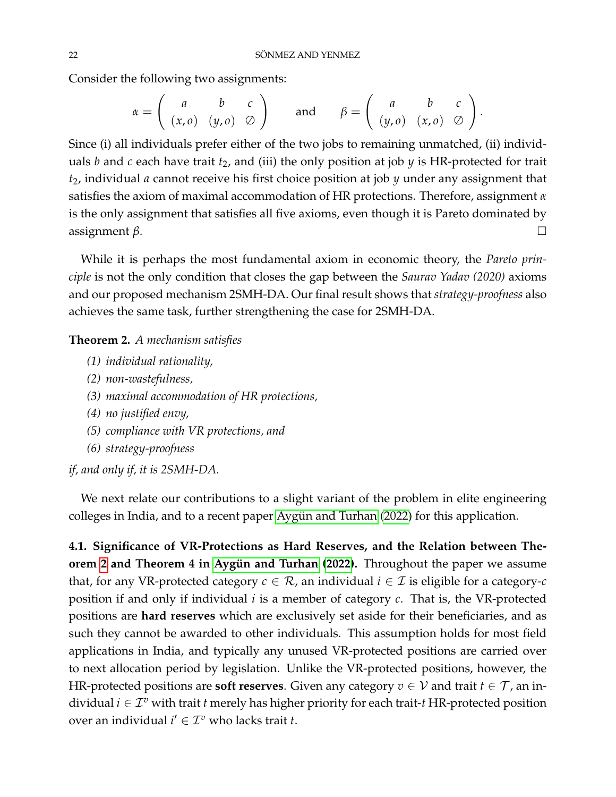Consider the following two assignments:

$$
\alpha = \left( \begin{array}{ccc} a & b & c \\ (x, o) & (y, o) & \oslash \end{array} \right) \quad \text{and} \quad \beta = \left( \begin{array}{ccc} a & b & c \\ (y, o) & (x, o) & \oslash \end{array} \right)
$$

.

Since (i) all individuals prefer either of the two jobs to remaining unmatched, (ii) individuals  $b$  and  $c$  each have trait  $t_2$ , and (iii) the only position at job  $y$  is HR-protected for trait *t*2, individual *a* cannot receive his first choice position at job *y* under any assignment that satisfies the axiom of maximal accommodation of HR protections. Therefore, assignment *α* is the only assignment that satisfies all five axioms, even though it is Pareto dominated by  $\Box$ assignment *β*.

While it is perhaps the most fundamental axiom in economic theory, the *Pareto principle* is not the only condition that closes the gap between the *Saurav Yadav (2020)* axioms and our proposed mechanism 2SMH-DA. Our final result shows that *strategy-proofness* also achieves the same task, further strengthening the case for 2SMH-DA.

<span id="page-21-0"></span>**Theorem 2.** *A mechanism satisfies*

- *(1) individual rationality,*
- *(2) non-wastefulness,*
- *(3) maximal accommodation of HR protections,*
- *(4) no justified envy,*
- *(5) compliance with VR protections, and*
- *(6) strategy-proofness*

*if, and only if, it is 2SMH-DA.*

We next relate our contributions to a slight variant of the problem in elite engineering colleges in India, and to a recent paper Aygün and Turhan [\(2022\)](#page-39-6) for this application.

<span id="page-21-1"></span>**4.1. Significance of VR-Protections as Hard Reserves, and the Relation between Theorem** [2](#page-21-0) and Theorem 4 in Aygün and Turhan [\(2022\)](#page-39-6). Throughout the paper we assume that, for any VR-protected category  $c \in \mathcal{R}$ , an individual  $i \in \mathcal{I}$  is eligible for a category- $c$ position if and only if individual *i* is a member of category *c*. That is, the VR-protected positions are **hard reserves** which are exclusively set aside for their beneficiaries, and as such they cannot be awarded to other individuals. This assumption holds for most field applications in India, and typically any unused VR-protected positions are carried over to next allocation period by legislation. Unlike the VR-protected positions, however, the HR-protected positions are **soft reserves**. Given any category  $v \in V$  and trait  $t \in \mathcal{T}$ , an individual  $i \in \mathcal{I}^v$  with trait  $t$  merely has higher priority for each trait- $t$  HR-protected position over an individual  $i' \in \mathcal{I}^v$  who lacks trait *t*.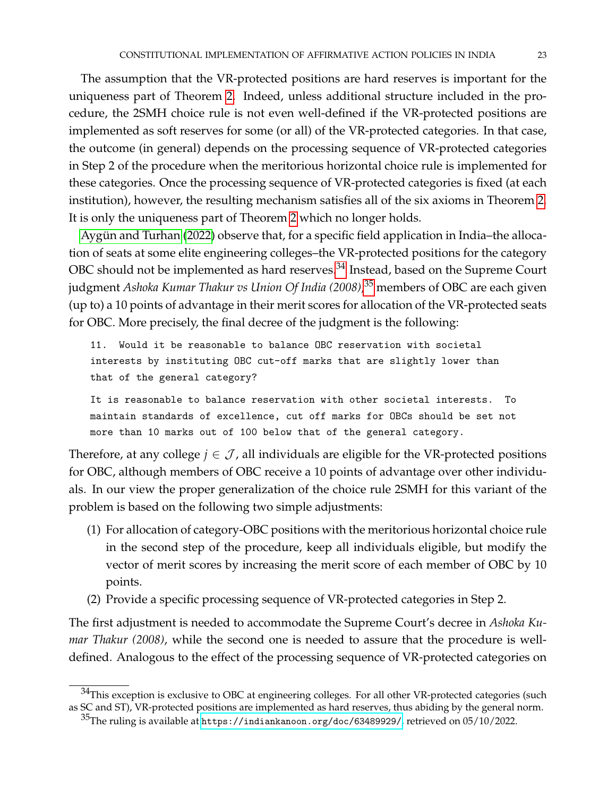The assumption that the VR-protected positions are hard reserves is important for the uniqueness part of Theorem [2.](#page-21-0) Indeed, unless additional structure included in the procedure, the 2SMH choice rule is not even well-defined if the VR-protected positions are implemented as soft reserves for some (or all) of the VR-protected categories. In that case, the outcome (in general) depends on the processing sequence of VR-protected categories in Step 2 of the procedure when the meritorious horizontal choice rule is implemented for these categories. Once the processing sequence of VR-protected categories is fixed (at each institution), however, the resulting mechanism satisfies all of the six axioms in Theorem [2.](#page-21-0) It is only the uniqueness part of Theorem [2](#page-21-0) which no longer holds.

Aygün and Turhan [\(2022\)](#page-39-6) observe that, for a specific field application in India-the allocation of seats at some elite engineering colleges–the VR-protected positions for the category OBC should not be implemented as hard reserves. $^{34}$  $^{34}$  $^{34}$  Instead, based on the Supreme Court judgment *Ashoka Kumar Thakur vs Union Of India (2008)*, [35](#page-22-1) members of OBC are each given (up to) a 10 points of advantage in their merit scores for allocation of the VR-protected seats for OBC. More precisely, the final decree of the judgment is the following:

11. Would it be reasonable to balance OBC reservation with societal interests by instituting OBC cut-off marks that are slightly lower than that of the general category?

It is reasonable to balance reservation with other societal interests. To maintain standards of excellence, cut off marks for OBCs should be set not more than 10 marks out of 100 below that of the general category.

Therefore, at any college  $j \in \mathcal{J}$ , all individuals are eligible for the VR-protected positions for OBC, although members of OBC receive a 10 points of advantage over other individuals. In our view the proper generalization of the choice rule 2SMH for this variant of the problem is based on the following two simple adjustments:

- (1) For allocation of category-OBC positions with the meritorious horizontal choice rule in the second step of the procedure, keep all individuals eligible, but modify the vector of merit scores by increasing the merit score of each member of OBC by 10 points.
- (2) Provide a specific processing sequence of VR-protected categories in Step 2.

The first adjustment is needed to accommodate the Supreme Court's decree in *Ashoka Kumar Thakur (2008)*, while the second one is needed to assure that the procedure is welldefined. Analogous to the effect of the processing sequence of VR-protected categories on

<span id="page-22-0"></span> $^{34}$ This exception is exclusive to OBC at engineering colleges. For all other VR-protected categories (such as SC and ST), VR-protected positions are implemented as hard reserves, thus abiding by the general norm.

<span id="page-22-1"></span><sup>35</sup>The ruling is available at <https://indiankanoon.org/doc/63489929/>, retrieved on 05/10/2022.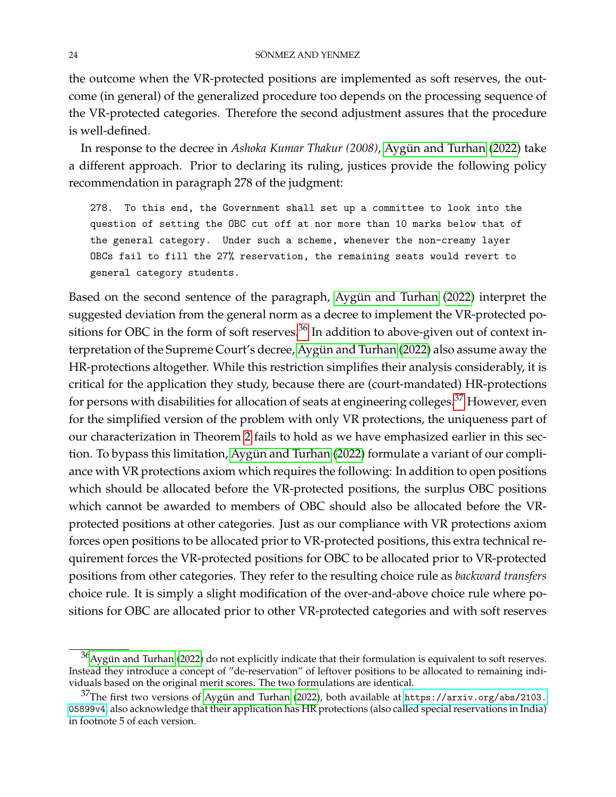the outcome when the VR-protected positions are implemented as soft reserves, the outcome (in general) of the generalized procedure too depends on the processing sequence of the VR-protected categories. Therefore the second adjustment assures that the procedure is well-defined.

In response to the decree in *Ashoka Kumar Thakur (2008)*, Aygün and Turhan [\(2022\)](#page-39-6) take a different approach. Prior to declaring its ruling, justices provide the following policy recommendation in paragraph 278 of the judgment:

278. To this end, the Government shall set up a committee to look into the question of setting the OBC cut off at nor more than 10 marks below that of the general category. Under such a scheme, whenever the non-creamy layer OBCs fail to fill the 27% reservation, the remaining seats would revert to general category students.

Based on the second sentence of the paragraph, Aygün and Turhan [\(2022\)](#page-39-6) interpret the suggested deviation from the general norm as a decree to implement the VR-protected po-sitions for OBC in the form of soft reserves.<sup>[36](#page-23-0)</sup> In addition to above-given out of context in-terpretation of the Supreme Court's decree, Aygün and Turhan [\(2022\)](#page-39-6) also assume away the HR-protections altogether. While this restriction simplifies their analysis considerably, it is critical for the application they study, because there are (court-mandated) HR-protections for persons with disabilities for allocation of seats at engineering colleges.[37](#page-23-1) However, even for the simplified version of the problem with only VR protections, the uniqueness part of our characterization in Theorem [2](#page-21-0) fails to hold as we have emphasized earlier in this sec-tion. To bypass this limitation, Aygün and Turhan [\(2022\)](#page-39-6) formulate a variant of our compliance with VR protections axiom which requires the following: In addition to open positions which should be allocated before the VR-protected positions, the surplus OBC positions which cannot be awarded to members of OBC should also be allocated before the VRprotected positions at other categories. Just as our compliance with VR protections axiom forces open positions to be allocated prior to VR-protected positions, this extra technical requirement forces the VR-protected positions for OBC to be allocated prior to VR-protected positions from other categories. They refer to the resulting choice rule as *backward transfers* choice rule. It is simply a slight modification of the over-and-above choice rule where positions for OBC are allocated prior to other VR-protected categories and with soft reserves

<span id="page-23-0"></span> $36$ [Aygun and Turhan](#page-39-6) [\(2022\)](#page-39-6) do not explicitly indicate that their formulation is equivalent to soft reserves. Instead they introduce a concept of "de-reservation" of leftover positions to be allocated to remaining individuals based on the original merit scores. The two formulations are identical.

<span id="page-23-1"></span> $37$ The first two versions of Aygün and Turhan [\(2022\)](#page-39-6), both available at [https://arxiv.org/abs/2103.](https://arxiv.org/abs/2103.05899v4) [05899v4](https://arxiv.org/abs/2103.05899v4), also acknowledge that their application has HR protections (also called special reservations in India) in footnote 5 of each version.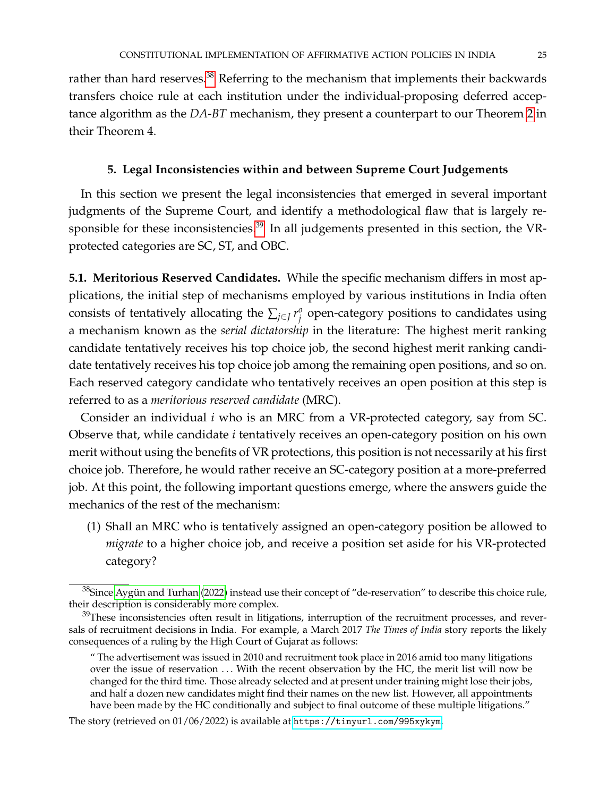rather than hard reserves.<sup>[38](#page-24-1)</sup> Referring to the mechanism that implements their backwards transfers choice rule at each institution under the individual-proposing deferred acceptance algorithm as the *DA-BT* mechanism, they present a counterpart to our Theorem [2](#page-21-0) in their Theorem 4.

#### **5. Legal Inconsistencies within and between Supreme Court Judgements**

<span id="page-24-0"></span>In this section we present the legal inconsistencies that emerged in several important judgments of the Supreme Court, and identify a methodological flaw that is largely re-sponsible for these inconsistencies.<sup>[39](#page-24-2)</sup> In all judgements presented in this section, the VRprotected categories are SC, ST, and OBC.

<span id="page-24-3"></span>**5.1. Meritorious Reserved Candidates.** While the specific mechanism differs in most applications, the initial step of mechanisms employed by various institutions in India often consists of tentatively allocating the  $\sum_{j \in J} r_j^o$  $\frac{\partial}{\partial j}$  open-category positions to candidates using a mechanism known as the *serial dictatorship* in the literature: The highest merit ranking candidate tentatively receives his top choice job, the second highest merit ranking candidate tentatively receives his top choice job among the remaining open positions, and so on. Each reserved category candidate who tentatively receives an open position at this step is referred to as a *meritorious reserved candidate* (MRC).

Consider an individual *i* who is an MRC from a VR-protected category, say from SC. Observe that, while candidate *i* tentatively receives an open-category position on his own merit without using the benefits of VR protections, this position is not necessarily at his first choice job. Therefore, he would rather receive an SC-category position at a more-preferred job. At this point, the following important questions emerge, where the answers guide the mechanics of the rest of the mechanism:

(1) Shall an MRC who is tentatively assigned an open-category position be allowed to *migrate* to a higher choice job, and receive a position set aside for his VR-protected category?

<span id="page-24-1"></span> $38$ Since Aygün and Turhan [\(2022\)](#page-39-6) instead use their concept of "de-reservation" to describe this choice rule, their description is considerably more complex.

<span id="page-24-2"></span> $39$ These inconsistencies often result in litigations, interruption of the recruitment processes, and reversals of recruitment decisions in India. For example, a March 2017 *The Times of India* story reports the likely consequences of a ruling by the High Court of Gujarat as follows:

<sup>&</sup>quot; The advertisement was issued in 2010 and recruitment took place in 2016 amid too many litigations over the issue of reservation ... With the recent observation by the HC, the merit list will now be changed for the third time. Those already selected and at present under training might lose their jobs, and half a dozen new candidates might find their names on the new list. However, all appointments have been made by the HC conditionally and subject to final outcome of these multiple litigations."

The story (retrieved on 01/06/2022) is available at <https://tinyurl.com/995xykym>.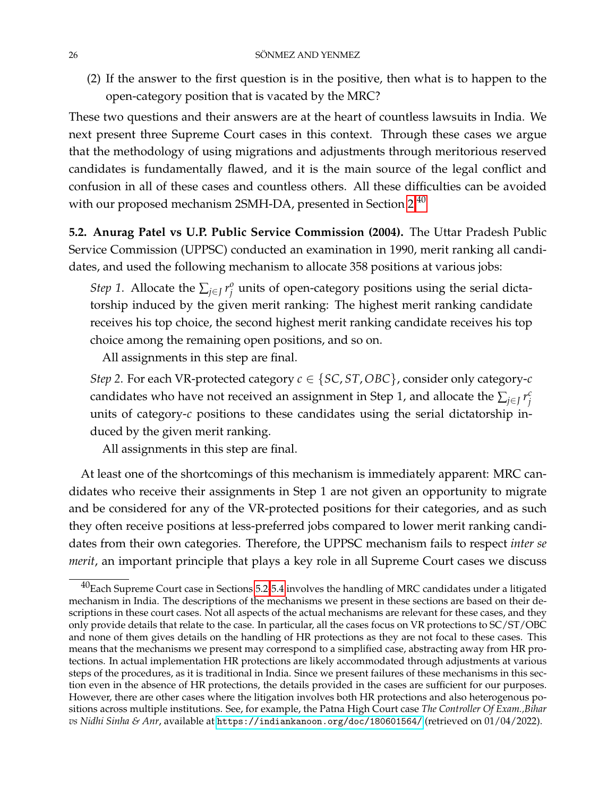(2) If the answer to the first question is in the positive, then what is to happen to the open-category position that is vacated by the MRC?

These two questions and their answers are at the heart of countless lawsuits in India. We next present three Supreme Court cases in this context. Through these cases we argue that the methodology of using migrations and adjustments through meritorious reserved candidates is fundamentally flawed, and it is the main source of the legal conflict and confusion in all of these cases and countless others. All these difficulties can be avoided with our proposed mechanism 2SMH-DA, presented in Section [2.](#page-7-2)<sup>[40](#page-25-0)</sup>

<span id="page-25-1"></span>**5.2. Anurag Patel vs U.P. Public Service Commission (2004).** The Uttar Pradesh Public Service Commission (UPPSC) conducted an examination in 1990, merit ranking all candidates, and used the following mechanism to allocate 358 positions at various jobs:

*Step* 1. Allocate the  $\sum_{j \in J} r_j^o$  $j^o_j$  units of open-category positions using the serial dictatorship induced by the given merit ranking: The highest merit ranking candidate receives his top choice, the second highest merit ranking candidate receives his top choice among the remaining open positions, and so on.

All assignments in this step are final.

*Step 2*. For each VR-protected category *c* ∈ {*SC*, *ST*,*OBC*}, consider only category-*c* candidates who have not received an assignment in Step 1, and allocate the  $\sum_{j\in J} r_j^c$ *j* units of category-*c* positions to these candidates using the serial dictatorship induced by the given merit ranking.

All assignments in this step are final.

At least one of the shortcomings of this mechanism is immediately apparent: MRC candidates who receive their assignments in Step 1 are not given an opportunity to migrate and be considered for any of the VR-protected positions for their categories, and as such they often receive positions at less-preferred jobs compared to lower merit ranking candidates from their own categories. Therefore, the UPPSC mechanism fails to respect *inter se merit*, an important principle that plays a key role in all Supreme Court cases we discuss

<span id="page-25-0"></span> $^{40}$ Each Supreme Court case in Sections [5.2-](#page-25-1)[5.4](#page-31-0) involves the handling of MRC candidates under a litigated mechanism in India. The descriptions of the mechanisms we present in these sections are based on their descriptions in these court cases. Not all aspects of the actual mechanisms are relevant for these cases, and they only provide details that relate to the case. In particular, all the cases focus on VR protections to SC/ST/OBC and none of them gives details on the handling of HR protections as they are not focal to these cases. This means that the mechanisms we present may correspond to a simplified case, abstracting away from HR protections. In actual implementation HR protections are likely accommodated through adjustments at various steps of the procedures, as it is traditional in India. Since we present failures of these mechanisms in this section even in the absence of HR protections, the details provided in the cases are sufficient for our purposes. However, there are other cases where the litigation involves both HR protections and also heterogenous positions across multiple institutions. See, for example, the Patna High Court case *The Controller Of Exam.,Bihar* vs Nidhi Sinha & Anr, available at <https://indiankanoon.org/doc/180601564/> (retrieved on 01/04/2022).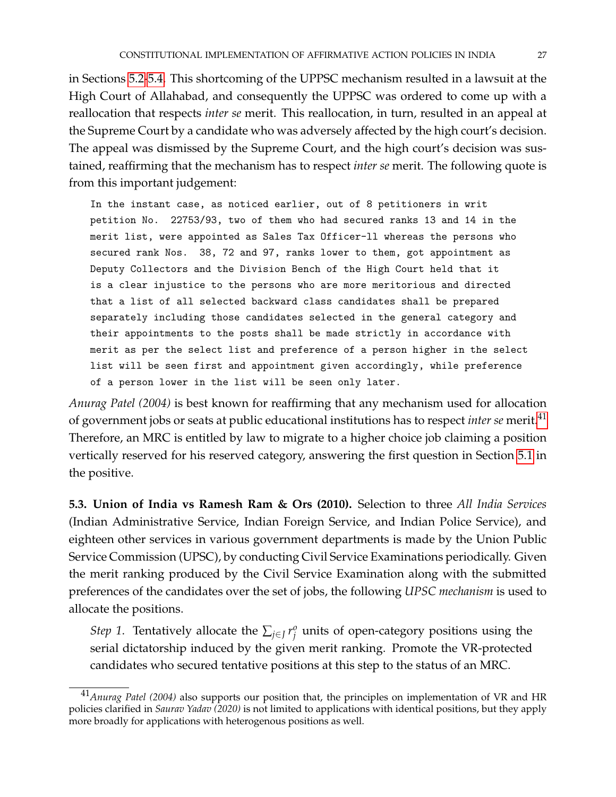in Sections [5.2](#page-25-1)[-5.4.](#page-31-0) This shortcoming of the UPPSC mechanism resulted in a lawsuit at the High Court of Allahabad, and consequently the UPPSC was ordered to come up with a reallocation that respects *inter se* merit. This reallocation, in turn, resulted in an appeal at the Supreme Court by a candidate who was adversely affected by the high court's decision. The appeal was dismissed by the Supreme Court, and the high court's decision was sustained, reaffirming that the mechanism has to respect *inter se* merit. The following quote is from this important judgement:

In the instant case, as noticed earlier, out of 8 petitioners in writ petition No. 22753/93, two of them who had secured ranks 13 and 14 in the merit list, were appointed as Sales Tax Officer-ll whereas the persons who secured rank Nos. 38, 72 and 97, ranks lower to them, got appointment as Deputy Collectors and the Division Bench of the High Court held that it is a clear injustice to the persons who are more meritorious and directed that a list of all selected backward class candidates shall be prepared separately including those candidates selected in the general category and their appointments to the posts shall be made strictly in accordance with merit as per the select list and preference of a person higher in the select list will be seen first and appointment given accordingly, while preference of a person lower in the list will be seen only later.

*Anurag Patel (2004)* is best known for reaffirming that any mechanism used for allocation of government jobs or seats at public educational institutions has to respect *inter se* merit.[41](#page-26-0) Therefore, an MRC is entitled by law to migrate to a higher choice job claiming a position vertically reserved for his reserved category, answering the first question in Section [5.1](#page-24-3) in the positive.

<span id="page-26-1"></span>**5.3. Union of India vs Ramesh Ram & Ors (2010).** Selection to three *All India Services* (Indian Administrative Service, Indian Foreign Service, and Indian Police Service), and eighteen other services in various government departments is made by the Union Public Service Commission (UPSC), by conducting Civil Service Examinations periodically. Given the merit ranking produced by the Civil Service Examination along with the submitted preferences of the candidates over the set of jobs, the following *UPSC mechanism* is used to allocate the positions.

*Step 1*. Tentatively allocate the  $\sum_{j \in J} r_j^o$  $j^o_j$  units of open-category positions using the serial dictatorship induced by the given merit ranking. Promote the VR-protected candidates who secured tentative positions at this step to the status of an MRC.

<span id="page-26-0"></span><sup>41</sup>*Anurag Patel (2004)* also supports our position that, the principles on implementation of VR and HR policies clarified in *Saurav Yadav (2020)* is not limited to applications with identical positions, but they apply more broadly for applications with heterogenous positions as well.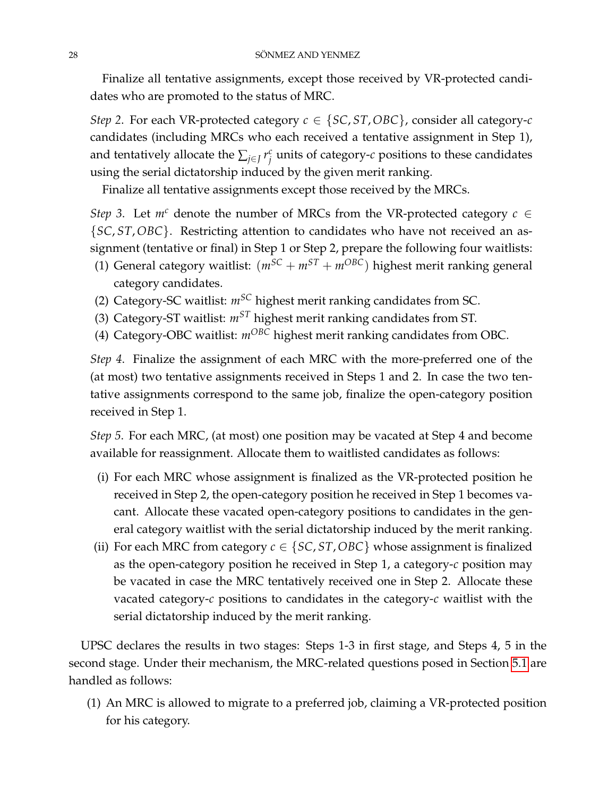Finalize all tentative assignments, except those received by VR-protected candidates who are promoted to the status of MRC.

*Step* 2. For each VR-protected category  $c \in \{SC, ST, OBC\}$ , consider all category- $c$ candidates (including MRCs who each received a tentative assignment in Step 1), and tentatively allocate the  $\sum_{j\in J} r_j^c$ *j* units of category-*c* positions to these candidates using the serial dictatorship induced by the given merit ranking.

Finalize all tentative assignments except those received by the MRCs.

*Step 3*. Let  $m^c$  denote the number of MRCs from the VR-protected category  $c \in$ {*SC*, *ST*,*OBC*}. Restricting attention to candidates who have not received an assignment (tentative or final) in Step 1 or Step 2, prepare the following four waitlists:

- (1) General category waitlist:  $(m^{SC} + m^{ST} + m^{OBC})$  highest merit ranking general category candidates.
- (2) Category-SC waitlist: *mSC* highest merit ranking candidates from SC.
- (3) Category-ST waitlist: *mST* highest merit ranking candidates from ST.
- (4) Category-OBC waitlist: *mOBC* highest merit ranking candidates from OBC.

*Step 4*. Finalize the assignment of each MRC with the more-preferred one of the (at most) two tentative assignments received in Steps 1 and 2. In case the two tentative assignments correspond to the same job, finalize the open-category position received in Step 1.

*Step 5*. For each MRC, (at most) one position may be vacated at Step 4 and become available for reassignment. Allocate them to waitlisted candidates as follows:

- (i) For each MRC whose assignment is finalized as the VR-protected position he received in Step 2, the open-category position he received in Step 1 becomes vacant. Allocate these vacated open-category positions to candidates in the general category waitlist with the serial dictatorship induced by the merit ranking.
- (ii) For each MRC from category  $c \in \{SC, ST, OBC\}$  whose assignment is finalized as the open-category position he received in Step 1, a category-*c* position may be vacated in case the MRC tentatively received one in Step 2. Allocate these vacated category-*c* positions to candidates in the category-*c* waitlist with the serial dictatorship induced by the merit ranking.

UPSC declares the results in two stages: Steps 1-3 in first stage, and Steps 4, 5 in the second stage. Under their mechanism, the MRC-related questions posed in Section [5.1](#page-24-3) are handled as follows:

(1) An MRC is allowed to migrate to a preferred job, claiming a VR-protected position for his category.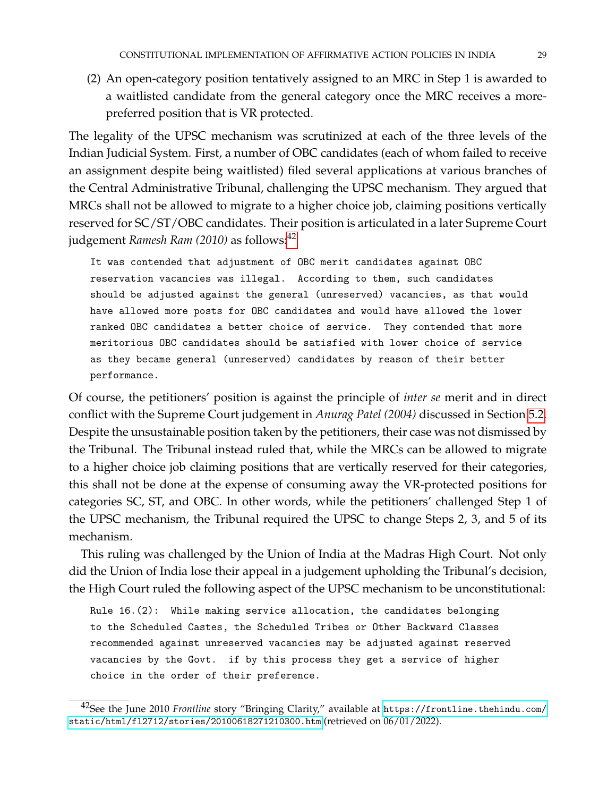(2) An open-category position tentatively assigned to an MRC in Step 1 is awarded to a waitlisted candidate from the general category once the MRC receives a morepreferred position that is VR protected.

The legality of the UPSC mechanism was scrutinized at each of the three levels of the Indian Judicial System. First, a number of OBC candidates (each of whom failed to receive an assignment despite being waitlisted) filed several applications at various branches of the Central Administrative Tribunal, challenging the UPSC mechanism. They argued that MRCs shall not be allowed to migrate to a higher choice job, claiming positions vertically reserved for SC/ST/OBC candidates. Their position is articulated in a later Supreme Court judgement *Ramesh Ram* (2010) as follows:<sup>[42](#page-28-0)</sup>

It was contended that adjustment of OBC merit candidates against OBC reservation vacancies was illegal. According to them, such candidates should be adjusted against the general (unreserved) vacancies, as that would have allowed more posts for OBC candidates and would have allowed the lower ranked OBC candidates a better choice of service. They contended that more meritorious OBC candidates should be satisfied with lower choice of service as they became general (unreserved) candidates by reason of their better performance.

Of course, the petitioners' position is against the principle of *inter se* merit and in direct conflict with the Supreme Court judgement in *Anurag Patel (2004)* discussed in Section [5.2.](#page-25-1) Despite the unsustainable position taken by the petitioners, their case was not dismissed by the Tribunal. The Tribunal instead ruled that, while the MRCs can be allowed to migrate to a higher choice job claiming positions that are vertically reserved for their categories, this shall not be done at the expense of consuming away the VR-protected positions for categories SC, ST, and OBC. In other words, while the petitioners' challenged Step 1 of the UPSC mechanism, the Tribunal required the UPSC to change Steps 2, 3, and 5 of its mechanism.

This ruling was challenged by the Union of India at the Madras High Court. Not only did the Union of India lose their appeal in a judgement upholding the Tribunal's decision, the High Court ruled the following aspect of the UPSC mechanism to be unconstitutional:

Rule 16.(2): While making service allocation, the candidates belonging to the Scheduled Castes, the Scheduled Tribes or Other Backward Classes recommended against unreserved vacancies may be adjusted against reserved vacancies by the Govt. if by this process they get a service of higher choice in the order of their preference.

<span id="page-28-0"></span><sup>42</sup>See the June 2010 *Frontline* story "Bringing Clarity," available at [https://frontline.thehindu.com/](https://frontline.thehindu.com/static/html/fl2712/stories/20100618271210300.htm) [static/html/fl2712/stories/20100618271210300.htm](https://frontline.thehindu.com/static/html/fl2712/stories/20100618271210300.htm) (retrieved on 06/01/2022).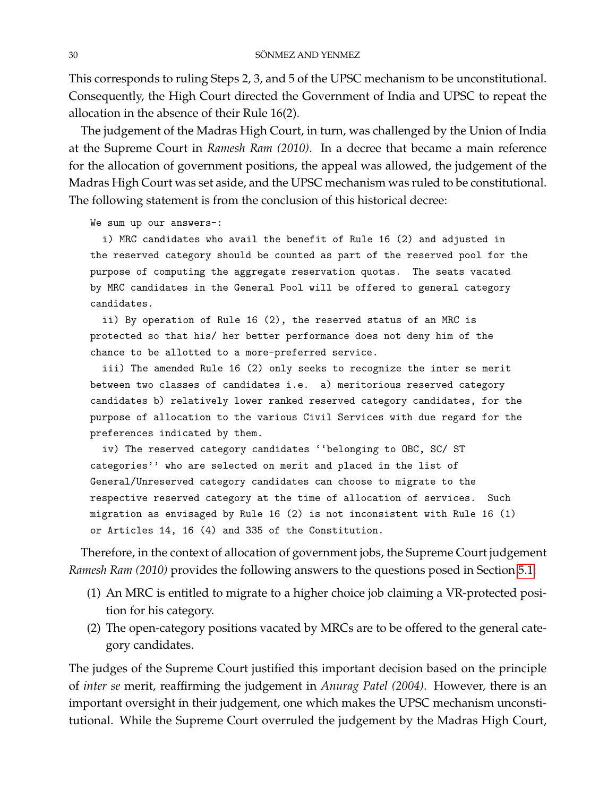This corresponds to ruling Steps 2, 3, and 5 of the UPSC mechanism to be unconstitutional. Consequently, the High Court directed the Government of India and UPSC to repeat the allocation in the absence of their Rule 16(2).

The judgement of the Madras High Court, in turn, was challenged by the Union of India at the Supreme Court in *Ramesh Ram (2010)*. In a decree that became a main reference for the allocation of government positions, the appeal was allowed, the judgement of the Madras High Court was set aside, and the UPSC mechanism was ruled to be constitutional. The following statement is from the conclusion of this historical decree:

We sum up our answers-:

i) MRC candidates who avail the benefit of Rule 16 (2) and adjusted in the reserved category should be counted as part of the reserved pool for the purpose of computing the aggregate reservation quotas. The seats vacated by MRC candidates in the General Pool will be offered to general category candidates.

ii) By operation of Rule 16 (2), the reserved status of an MRC is protected so that his/ her better performance does not deny him of the chance to be allotted to a more-preferred service.

iii) The amended Rule 16 (2) only seeks to recognize the inter se merit between two classes of candidates i.e. a) meritorious reserved category candidates b) relatively lower ranked reserved category candidates, for the purpose of allocation to the various Civil Services with due regard for the preferences indicated by them.

iv) The reserved category candidates ''belonging to OBC, SC/ ST categories'' who are selected on merit and placed in the list of General/Unreserved category candidates can choose to migrate to the respective reserved category at the time of allocation of services. Such migration as envisaged by Rule 16 (2) is not inconsistent with Rule 16 (1) or Articles 14, 16 (4) and 335 of the Constitution.

Therefore, in the context of allocation of government jobs, the Supreme Court judgement *Ramesh Ram (2010)* provides the following answers to the questions posed in Section [5.1:](#page-24-3)

- (1) An MRC is entitled to migrate to a higher choice job claiming a VR-protected position for his category.
- (2) The open-category positions vacated by MRCs are to be offered to the general category candidates.

The judges of the Supreme Court justified this important decision based on the principle of *inter se* merit, reaffirming the judgement in *Anurag Patel (2004)*. However, there is an important oversight in their judgement, one which makes the UPSC mechanism unconstitutional. While the Supreme Court overruled the judgement by the Madras High Court,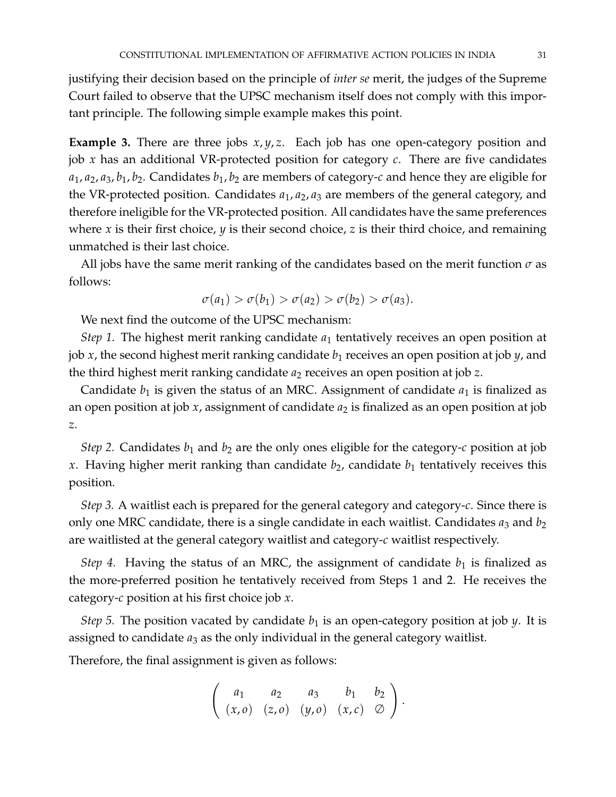justifying their decision based on the principle of *inter se* merit, the judges of the Supreme Court failed to observe that the UPSC mechanism itself does not comply with this important principle. The following simple example makes this point.

<span id="page-30-0"></span>**Example 3.** There are three jobs *x*, *y*, *z*. Each job has one open-category position and job *x* has an additional VR-protected position for category *c*. There are five candidates *a*1, *a*2, *a*3, *b*1, *b*2. Candidates *b*1, *b*<sup>2</sup> are members of category-*c* and hence they are eligible for the VR-protected position. Candidates  $a_1$ ,  $a_2$ ,  $a_3$  are members of the general category, and therefore ineligible for the VR-protected position. All candidates have the same preferences where  $x$  is their first choice,  $y$  is their second choice,  $z$  is their third choice, and remaining unmatched is their last choice.

All jobs have the same merit ranking of the candidates based on the merit function  $\sigma$  as follows:

$$
\sigma(a_1) > \sigma(b_1) > \sigma(a_2) > \sigma(b_2) > \sigma(a_3).
$$

We next find the outcome of the UPSC mechanism:

*Step 1.* The highest merit ranking candidate  $a_1$  tentatively receives an open position at job *x*, the second highest merit ranking candidate  $b_1$  receives an open position at job *y*, and the third highest merit ranking candidate *a*<sup>2</sup> receives an open position at job *z*.

Candidate  $b_1$  is given the status of an MRC. Assignment of candidate  $a_1$  is finalized as an open position at job *x*, assignment of candidate  $a_2$  is finalized as an open position at job *z*.

*Step 2.* Candidates  $b_1$  and  $b_2$  are the only ones eligible for the category-*c* position at job x. Having higher merit ranking than candidate  $b_2$ , candidate  $b_1$  tentatively receives this position.

*Step 3.* A waitlist each is prepared for the general category and category-*c*. Since there is only one MRC candidate, there is a single candidate in each waitlist. Candidates  $a_3$  and  $b_2$ are waitlisted at the general category waitlist and category-*c* waitlist respectively.

*Step 4.* Having the status of an MRC, the assignment of candidate  $b_1$  is finalized as the more-preferred position he tentatively received from Steps 1 and 2. He receives the category-*c* position at his first choice job *x*.

*Step 5.* The position vacated by candidate  $b_1$  is an open-category position at job  $y$ . It is assigned to candidate  $a_3$  as the only individual in the general category waitlist.

Therefore, the final assignment is given as follows:

$$
\left(\begin{array}{cccc}a_1&a_2&a_3&b_1&b_2\\(x,o)&(z,o)&(y,o)&(x,c)&\heartsuit\end{array}\right).
$$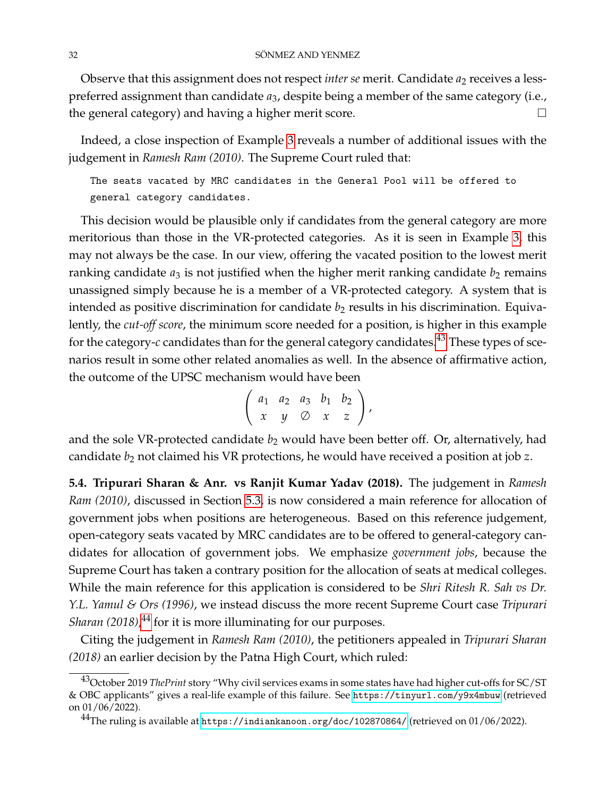Observe that this assignment does not respect *inter se* merit. Candidate  $a_2$  receives a lesspreferred assignment than candidate *a*3, despite being a member of the same category (i.e., the general category) and having a higher merit score.

Indeed, a close inspection of Example [3](#page-30-0) reveals a number of additional issues with the judgement in *Ramesh Ram (2010)*. The Supreme Court ruled that:

The seats vacated by MRC candidates in the General Pool will be offered to general category candidates.

This decision would be plausible only if candidates from the general category are more meritorious than those in the VR-protected categories. As it is seen in Example [3,](#page-30-0) this may not always be the case. In our view, offering the vacated position to the lowest merit ranking candidate  $a_3$  is not justified when the higher merit ranking candidate  $b_2$  remains unassigned simply because he is a member of a VR-protected category. A system that is intended as positive discrimination for candidate  $b_2$  results in his discrimination. Equivalently, the *cut-off score*, the minimum score needed for a position, is higher in this example for the category-*c* candidates than for the general category candidates.[43](#page-31-1) These types of scenarios result in some other related anomalies as well. In the absence of affirmative action, the outcome of the UPSC mechanism would have been

$$
\left(\begin{array}{cccc}a_1&a_2&a_3&b_1&b_2\\x&y&\oslash&x&z\end{array}\right),
$$

and the sole VR-protected candidate  $b_2$  would have been better off. Or, alternatively, had candidate *b*<sup>2</sup> not claimed his VR protections, he would have received a position at job *z*.

<span id="page-31-0"></span>**5.4. Tripurari Sharan & Anr. vs Ranjit Kumar Yadav (2018).** The judgement in *Ramesh Ram (2010)*, discussed in Section [5.3,](#page-26-1) is now considered a main reference for allocation of government jobs when positions are heterogeneous. Based on this reference judgement, open-category seats vacated by MRC candidates are to be offered to general-category candidates for allocation of government jobs. We emphasize *government jobs*, because the Supreme Court has taken a contrary position for the allocation of seats at medical colleges. While the main reference for this application is considered to be *Shri Ritesh R. Sah vs Dr. Y.L. Yamul & Ors (1996)*, we instead discuss the more recent Supreme Court case *Tripurari Sharan (2018)*, [44](#page-31-2) for it is more illuminating for our purposes.

Citing the judgement in *Ramesh Ram (2010)*, the petitioners appealed in *Tripurari Sharan (2018)* an earlier decision by the Patna High Court, which ruled:

<span id="page-31-1"></span><sup>43</sup>October 2019 *ThePrint* story "Why civil services exams in some states have had higher cut-offs for SC/ST & OBC applicants" gives a real-life example of this failure. See <https://tinyurl.com/y9x4mbuw> (retrieved on 01/06/2022).

<span id="page-31-2"></span><sup>44</sup>The ruling is available at <https://indiankanoon.org/doc/102870864/> (retrieved on 01/06/2022).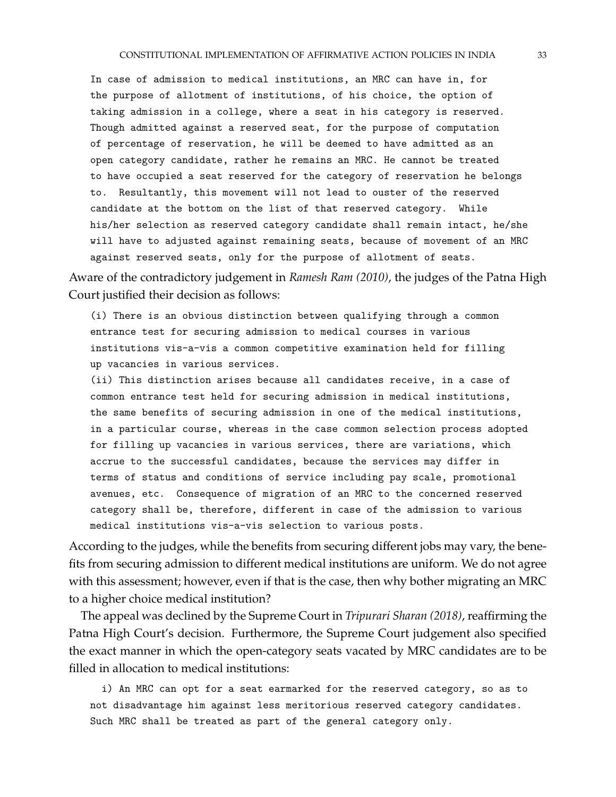In case of admission to medical institutions, an MRC can have in, for the purpose of allotment of institutions, of his choice, the option of taking admission in a college, where a seat in his category is reserved. Though admitted against a reserved seat, for the purpose of computation of percentage of reservation, he will be deemed to have admitted as an open category candidate, rather he remains an MRC. He cannot be treated to have occupied a seat reserved for the category of reservation he belongs to. Resultantly, this movement will not lead to ouster of the reserved candidate at the bottom on the list of that reserved category. While his/her selection as reserved category candidate shall remain intact, he/she will have to adjusted against remaining seats, because of movement of an MRC against reserved seats, only for the purpose of allotment of seats.

Aware of the contradictory judgement in *Ramesh Ram (2010)*, the judges of the Patna High Court justified their decision as follows:

(i) There is an obvious distinction between qualifying through a common entrance test for securing admission to medical courses in various institutions vis-a-vis a common competitive examination held for filling up vacancies in various services.

(ii) This distinction arises because all candidates receive, in a case of common entrance test held for securing admission in medical institutions, the same benefits of securing admission in one of the medical institutions, in a particular course, whereas in the case common selection process adopted for filling up vacancies in various services, there are variations, which accrue to the successful candidates, because the services may differ in terms of status and conditions of service including pay scale, promotional avenues, etc. Consequence of migration of an MRC to the concerned reserved category shall be, therefore, different in case of the admission to various medical institutions vis-a-vis selection to various posts.

According to the judges, while the benefits from securing different jobs may vary, the benefits from securing admission to different medical institutions are uniform. We do not agree with this assessment; however, even if that is the case, then why bother migrating an MRC to a higher choice medical institution?

The appeal was declined by the Supreme Court in *Tripurari Sharan (2018)*, reaffirming the Patna High Court's decision. Furthermore, the Supreme Court judgement also specified the exact manner in which the open-category seats vacated by MRC candidates are to be filled in allocation to medical institutions:

i) An MRC can opt for a seat earmarked for the reserved category, so as to not disadvantage him against less meritorious reserved category candidates. Such MRC shall be treated as part of the general category only.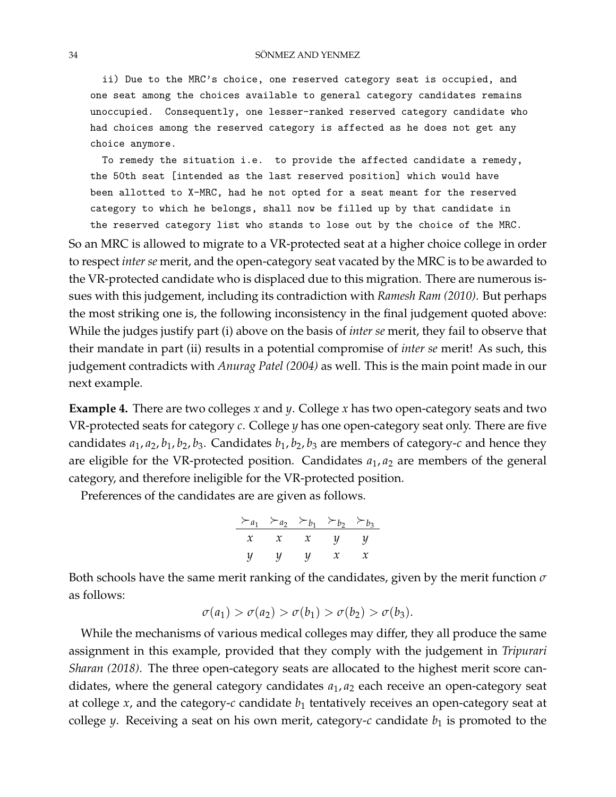ii) Due to the MRC's choice, one reserved category seat is occupied, and one seat among the choices available to general category candidates remains unoccupied. Consequently, one lesser-ranked reserved category candidate who had choices among the reserved category is affected as he does not get any choice anymore.

To remedy the situation i.e. to provide the affected candidate a remedy, the 50th seat [intended as the last reserved position] which would have been allotted to X-MRC, had he not opted for a seat meant for the reserved category to which he belongs, shall now be filled up by that candidate in the reserved category list who stands to lose out by the choice of the MRC.

So an MRC is allowed to migrate to a VR-protected seat at a higher choice college in order to respect *inter se* merit, and the open-category seat vacated by the MRC is to be awarded to the VR-protected candidate who is displaced due to this migration. There are numerous issues with this judgement, including its contradiction with *Ramesh Ram (2010)*. But perhaps the most striking one is, the following inconsistency in the final judgement quoted above: While the judges justify part (i) above on the basis of *inter se* merit, they fail to observe that their mandate in part (ii) results in a potential compromise of *inter se* merit! As such, this judgement contradicts with *Anurag Patel (2004)* as well. This is the main point made in our next example.

**Example 4.** There are two colleges *x* and *y*. College *x* has two open-category seats and two VR-protected seats for category *c*. College *y* has one open-category seat only. There are five candidates  $a_1$ ,  $a_2$ ,  $b_1$ ,  $b_2$ ,  $b_3$ . Candidates  $b_1$ ,  $b_2$ ,  $b_3$  are members of category-*c* and hence they are eligible for the VR-protected position. Candidates  $a_1, a_2$  are members of the general category, and therefore ineligible for the VR-protected position.

Preferences of the candidates are are given as follows.

$$
\frac{\succ_{a_1} \succ_{a_2} \succ_{b_1} \succ_{b_2} \succ_{b_3}}{x \quad x \quad x \quad y \quad y}
$$
  
y \quad y \quad y \quad x \quad x

Both schools have the same merit ranking of the candidates, given by the merit function *σ* as follows:

$$
\sigma(a_1) > \sigma(a_2) > \sigma(b_1) > \sigma(b_2) > \sigma(b_3).
$$

While the mechanisms of various medical colleges may differ, they all produce the same assignment in this example, provided that they comply with the judgement in *Tripurari Sharan (2018)*. The three open-category seats are allocated to the highest merit score candidates, where the general category candidates *a*1, *a*<sup>2</sup> each receive an open-category seat at college  $x$ , and the category- $c$  candidate  $b_1$  tentatively receives an open-category seat at college *y*. Receiving a seat on his own merit, category- $c$  candidate  $b_1$  is promoted to the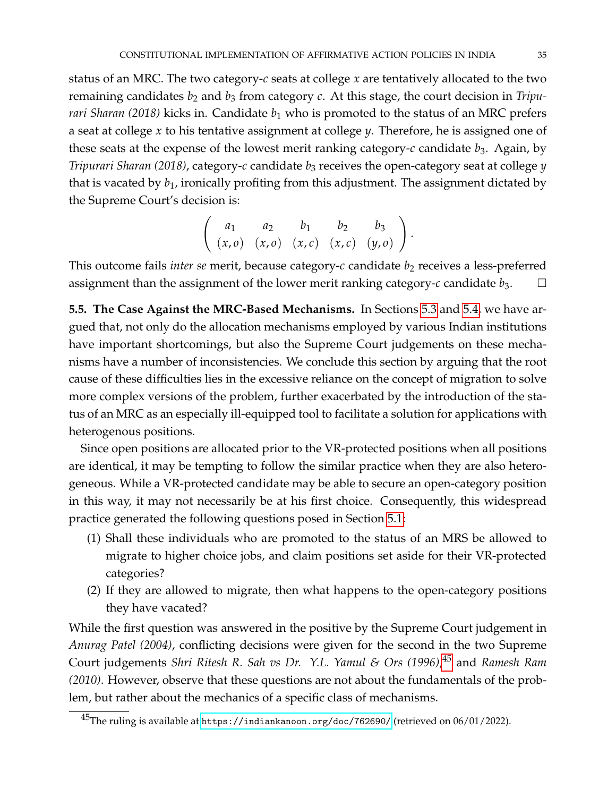status of an MRC. The two category-*c* seats at college *x* are tentatively allocated to the two remaining candidates *b*<sup>2</sup> and *b*<sup>3</sup> from category *c*. At this stage, the court decision in *Tripurari Sharan (2018)* kicks in. Candidate  $b_1$  who is promoted to the status of an MRC prefers a seat at college *x* to his tentative assignment at college *y*. Therefore, he is assigned one of these seats at the expense of the lowest merit ranking category- $c$  candidate  $b_3$ . Again, by *Tripurari Sharan (2018)*, category-*c* candidate *b*<sup>3</sup> receives the open-category seat at college *y* that is vacated by *b*1, ironically profiting from this adjustment. The assignment dictated by the Supreme Court's decision is:

$$
\left(\begin{array}{cccc} a_1 & a_2 & b_1 & b_2 & b_3 \\ (x, o) & (x, o) & (x, c) & (x, c) & (y, o) \end{array}\right).
$$

This outcome fails *inter se* merit, because category-c candidate  $b_2$  receives a less-preferred assignment than the assignment of the lower merit ranking category- $c$  candidate  $b_3$ .

<span id="page-34-1"></span>**5.5. The Case Against the MRC-Based Mechanisms.** In Sections [5.3](#page-26-1) and [5.4,](#page-31-0) we have argued that, not only do the allocation mechanisms employed by various Indian institutions have important shortcomings, but also the Supreme Court judgements on these mechanisms have a number of inconsistencies. We conclude this section by arguing that the root cause of these difficulties lies in the excessive reliance on the concept of migration to solve more complex versions of the problem, further exacerbated by the introduction of the status of an MRC as an especially ill-equipped tool to facilitate a solution for applications with heterogenous positions.

Since open positions are allocated prior to the VR-protected positions when all positions are identical, it may be tempting to follow the similar practice when they are also heterogeneous. While a VR-protected candidate may be able to secure an open-category position in this way, it may not necessarily be at his first choice. Consequently, this widespread practice generated the following questions posed in Section [5.1:](#page-24-3)

- (1) Shall these individuals who are promoted to the status of an MRS be allowed to migrate to higher choice jobs, and claim positions set aside for their VR-protected categories?
- (2) If they are allowed to migrate, then what happens to the open-category positions they have vacated?

While the first question was answered in the positive by the Supreme Court judgement in *Anurag Patel (2004)*, conflicting decisions were given for the second in the two Supreme Court judgements *Shri Ritesh R. Sah vs Dr. Y.L. Yamul & Ors (1996)*, [45](#page-34-0) and *Ramesh Ram (2010)*. However, observe that these questions are not about the fundamentals of the problem, but rather about the mechanics of a specific class of mechanisms.

<span id="page-34-0"></span><sup>45</sup>The ruling is available at <https://indiankanoon.org/doc/762690/> (retrieved on 06/01/2022).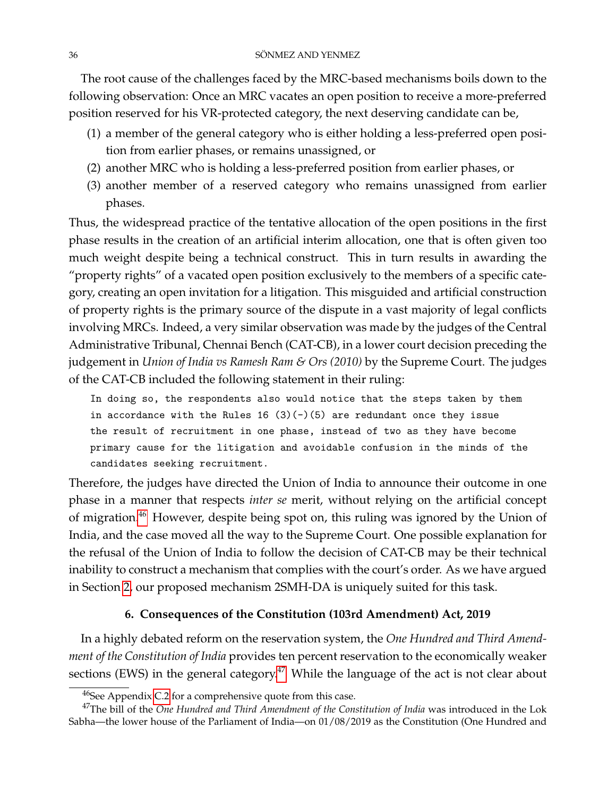The root cause of the challenges faced by the MRC-based mechanisms boils down to the following observation: Once an MRC vacates an open position to receive a more-preferred position reserved for his VR-protected category, the next deserving candidate can be,

- (1) a member of the general category who is either holding a less-preferred open position from earlier phases, or remains unassigned, or
- (2) another MRC who is holding a less-preferred position from earlier phases, or
- (3) another member of a reserved category who remains unassigned from earlier phases.

Thus, the widespread practice of the tentative allocation of the open positions in the first phase results in the creation of an artificial interim allocation, one that is often given too much weight despite being a technical construct. This in turn results in awarding the "property rights" of a vacated open position exclusively to the members of a specific category, creating an open invitation for a litigation. This misguided and artificial construction of property rights is the primary source of the dispute in a vast majority of legal conflicts involving MRCs. Indeed, a very similar observation was made by the judges of the Central Administrative Tribunal, Chennai Bench (CAT-CB), in a lower court decision preceding the judgement in *Union of India vs Ramesh Ram & Ors (2010)* by the Supreme Court. The judges of the CAT-CB included the following statement in their ruling:

In doing so, the respondents also would notice that the steps taken by them in accordance with the Rules  $16 (3)(-)(5)$  are redundant once they issue the result of recruitment in one phase, instead of two as they have become primary cause for the litigation and avoidable confusion in the minds of the candidates seeking recruitment.

Therefore, the judges have directed the Union of India to announce their outcome in one phase in a manner that respects *inter se* merit, without relying on the artificial concept of migration.[46](#page-35-0) However, despite being spot on, this ruling was ignored by the Union of India, and the case moved all the way to the Supreme Court. One possible explanation for the refusal of the Union of India to follow the decision of CAT-CB may be their technical inability to construct a mechanism that complies with the court's order. As we have argued in Section [2,](#page-7-2) our proposed mechanism 2SMH-DA is uniquely suited for this task.

# **6. Consequences of the Constitution (103rd Amendment) Act, 2019**

In a highly debated reform on the reservation system, the *One Hundred and Third Amendment of the Constitution of India* provides ten percent reservation to the economically weaker sections (EWS) in the general category.<sup>[47](#page-35-1)</sup> While the language of the act is not clear about

<span id="page-35-1"></span><span id="page-35-0"></span><sup>46</sup>See Appendix [C.2](#page-58-0) for a comprehensive quote from this case.

<sup>&</sup>lt;sup>47</sup>The bill of the *One Hundred and Third Amendment of the Constitution of India* was introduced in the Lok Sabha—the lower house of the Parliament of India—on 01/08/2019 as the Constitution (One Hundred and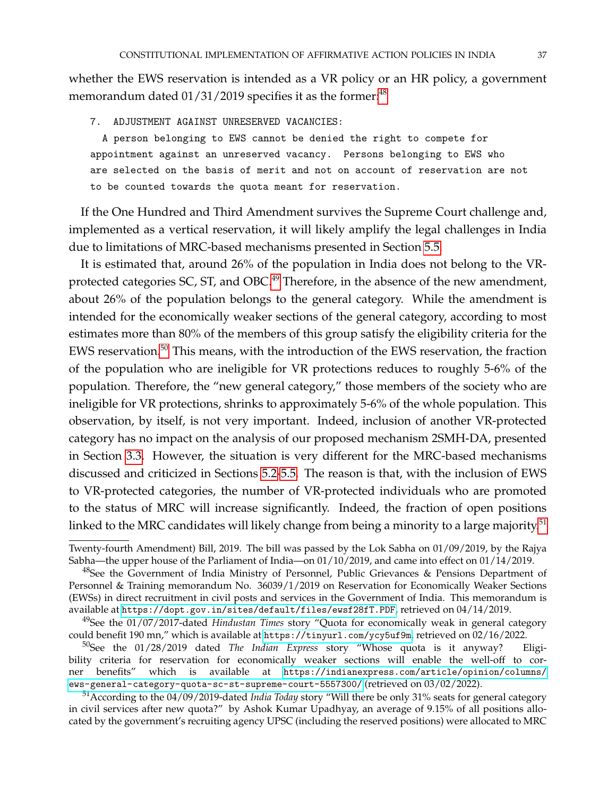whether the EWS reservation is intended as a VR policy or an HR policy, a government memorandum dated  $01/31/2019$  specifies it as the former:<sup>[48](#page-36-0)</sup>

7. ADJUSTMENT AGAINST UNRESERVED VACANCIES:

A person belonging to EWS cannot be denied the right to compete for appointment against an unreserved vacancy. Persons belonging to EWS who are selected on the basis of merit and not on account of reservation are not to be counted towards the quota meant for reservation.

If the One Hundred and Third Amendment survives the Supreme Court challenge and, implemented as a vertical reservation, it will likely amplify the legal challenges in India due to limitations of MRC-based mechanisms presented in Section [5.5.](#page-34-1)

It is estimated that, around 26% of the population in India does not belong to the VR-protected categories SC, ST, and OBC.<sup>[49](#page-36-1)</sup> Therefore, in the absence of the new amendment, about 26% of the population belongs to the general category. While the amendment is intended for the economically weaker sections of the general category, according to most estimates more than 80% of the members of this group satisfy the eligibility criteria for the EWS reservation.[50](#page-36-2) This means, with the introduction of the EWS reservation, the fraction of the population who are ineligible for VR protections reduces to roughly 5-6% of the population. Therefore, the "new general category," those members of the society who are ineligible for VR protections, shrinks to approximately 5-6% of the whole population. This observation, by itself, is not very important. Indeed, inclusion of another VR-protected category has no impact on the analysis of our proposed mechanism 2SMH-DA, presented in Section [3.3.](#page-19-0) However, the situation is very different for the MRC-based mechanisms discussed and criticized in Sections [5.2](#page-25-1)[-5.5.](#page-34-1) The reason is that, with the inclusion of EWS to VR-protected categories, the number of VR-protected individuals who are promoted to the status of MRC will increase significantly. Indeed, the fraction of open positions linked to the MRC candidates will likely change from being a minority to a large majority.<sup>[51](#page-36-3)</sup>

Twenty-fourth Amendment) Bill, 2019. The bill was passed by the Lok Sabha on 01/09/2019, by the Rajya Sabha—the upper house of the Parliament of India—on 01/10/2019, and came into effect on 01/14/2019.

<span id="page-36-0"></span><sup>&</sup>lt;sup>48</sup>See the Government of India Ministry of Personnel, Public Grievances & Pensions Department of Personnel & Training memorandum No. 36039/1/2019 on Reservation for Economically Weaker Sections (EWSs) in direct recruitment in civil posts and services in the Government of India. This memorandum is available at <https://dopt.gov.in/sites/default/files/ewsf28fT.PDF>, retrieved on 04/14/2019.

<span id="page-36-1"></span><sup>49</sup>See the 01/07/2017-dated *Hindustan Times* story "Quota for economically weak in general category could benefit 190 mn," which is available at <https://tinyurl.com/ycy5uf9m>, retrieved on 02/16/2022.

<span id="page-36-2"></span><sup>50</sup>See the 01/28/2019 dated *The Indian Express* story "Whose quota is it anyway? Eligibility criteria for reservation for economically weaker sections will enable the well-off to corner benefits" which is available at [https://indianexpress.com/article/opinion/columns/](https://indianexpress.com/article/opinion/columns/ews-general-category-quota-sc-st-supreme-court-5557300/) [ews-general-category-quota-sc-st-supreme-court-5557300/](https://indianexpress.com/article/opinion/columns/ews-general-category-quota-sc-st-supreme-court-5557300/) (retrieved on 03/02/2022).

<span id="page-36-3"></span><sup>51</sup>According to the 04/09/2019-dated *India Today* story "Will there be only 31% seats for general category in civil services after new quota?" by Ashok Kumar Upadhyay, an average of 9.15% of all positions allocated by the government's recruiting agency UPSC (including the reserved positions) were allocated to MRC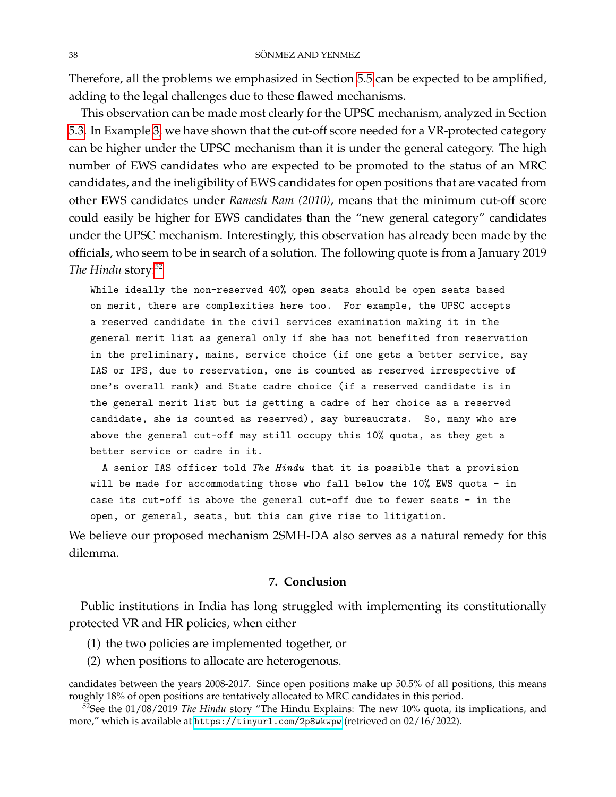Therefore, all the problems we emphasized in Section [5.5](#page-34-1) can be expected to be amplified, adding to the legal challenges due to these flawed mechanisms.

This observation can be made most clearly for the UPSC mechanism, analyzed in Section [5.3.](#page-26-1) In Example [3,](#page-30-0) we have shown that the cut-off score needed for a VR-protected category can be higher under the UPSC mechanism than it is under the general category. The high number of EWS candidates who are expected to be promoted to the status of an MRC candidates, and the ineligibility of EWS candidates for open positions that are vacated from other EWS candidates under *Ramesh Ram (2010)*, means that the minimum cut-off score could easily be higher for EWS candidates than the "new general category" candidates under the UPSC mechanism. Interestingly, this observation has already been made by the officials, who seem to be in search of a solution. The following quote is from a January 2019 The Hindu story:<sup>[52](#page-37-0)</sup>

While ideally the non-reserved 40% open seats should be open seats based on merit, there are complexities here too. For example, the UPSC accepts a reserved candidate in the civil services examination making it in the general merit list as general only if she has not benefited from reservation in the preliminary, mains, service choice (if one gets a better service, say IAS or IPS, due to reservation, one is counted as reserved irrespective of one's overall rank) and State cadre choice (if a reserved candidate is in the general merit list but is getting a cadre of her choice as a reserved candidate, she is counted as reserved), say bureaucrats. So, many who are above the general cut-off may still occupy this 10% quota, as they get a better service or cadre in it.

A senior IAS officer told *The Hindu* that it is possible that a provision will be made for accommodating those who fall below the 10% EWS quota - in case its cut-off is above the general cut-off due to fewer seats - in the open, or general, seats, but this can give rise to litigation.

We believe our proposed mechanism 2SMH-DA also serves as a natural remedy for this dilemma.

## **7. Conclusion**

Public institutions in India has long struggled with implementing its constitutionally protected VR and HR policies, when either

- (1) the two policies are implemented together, or
- (2) when positions to allocate are heterogenous.

candidates between the years 2008-2017. Since open positions make up 50.5% of all positions, this means roughly 18% of open positions are tentatively allocated to MRC candidates in this period.

<span id="page-37-0"></span><sup>&</sup>lt;sup>52</sup>See the 01/08/2019 *The Hindu* story "The Hindu Explains: The new 10% quota, its implications, and more," which is available at <https://tinyurl.com/2p8wkwpw> (retrieved on 02/16/2022).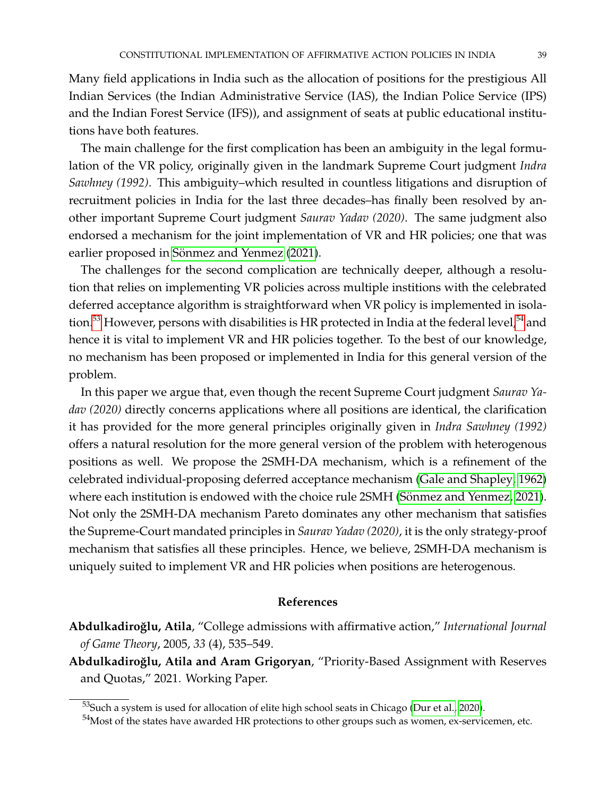Many field applications in India such as the allocation of positions for the prestigious All Indian Services (the Indian Administrative Service (IAS), the Indian Police Service (IPS) and the Indian Forest Service (IFS)), and assignment of seats at public educational institutions have both features.

The main challenge for the first complication has been an ambiguity in the legal formulation of the VR policy, originally given in the landmark Supreme Court judgment *Indra Sawhney (1992)*. This ambiguity–which resulted in countless litigations and disruption of recruitment policies in India for the last three decades–has finally been resolved by another important Supreme Court judgment *Saurav Yadav (2020)*. The same judgment also endorsed a mechanism for the joint implementation of VR and HR policies; one that was earlier proposed in Sönmez and Yenmez [\(2021\)](#page-40-0).

The challenges for the second complication are technically deeper, although a resolution that relies on implementing VR policies across multiple institions with the celebrated deferred acceptance algorithm is straightforward when VR policy is implemented in isola-tion.<sup>[53](#page-38-2)</sup> However, persons with disabilities is HR protected in India at the federal level,<sup>[54](#page-38-3)</sup> and hence it is vital to implement VR and HR policies together. To the best of our knowledge, no mechanism has been proposed or implemented in India for this general version of the problem.

In this paper we argue that, even though the recent Supreme Court judgment *Saurav Yadav (2020)* directly concerns applications where all positions are identical, the clarification it has provided for the more general principles originally given in *Indra Sawhney (1992)* offers a natural resolution for the more general version of the problem with heterogenous positions as well. We propose the 2SMH-DA mechanism, which is a refinement of the celebrated individual-proposing deferred acceptance mechanism [\(Gale and Shapley, 1962\)](#page-40-1) where each institution is endowed with the choice rule 2SMH (Sönmez and Yenmez, 2021). Not only the 2SMH-DA mechanism Pareto dominates any other mechanism that satisfies the Supreme-Court mandated principles in *Saurav Yadav (2020)*, it is the only strategy-proof mechanism that satisfies all these principles. Hence, we believe, 2SMH-DA mechanism is uniquely suited to implement VR and HR policies when positions are heterogenous.

#### **References**

<span id="page-38-1"></span>**Abdulkadiro ˘glu, Atila**, "College admissions with affirmative action," *International Journal of Game Theory*, 2005, *33* (4), 535–549.

<span id="page-38-0"></span>Abdulkadiroğlu, Atila and Aram Grigoryan, "Priority-Based Assignment with Reserves and Quotas," 2021. Working Paper.

<span id="page-38-2"></span> $\frac{53}{3}$ Such a system is used for allocation of elite high school seats in Chicago [\(Dur et al., 2020\)](#page-39-1).

<span id="page-38-3"></span><sup>&</sup>lt;sup>54</sup>Most of the states have awarded HR protections to other groups such as women, ex-servicemen, etc.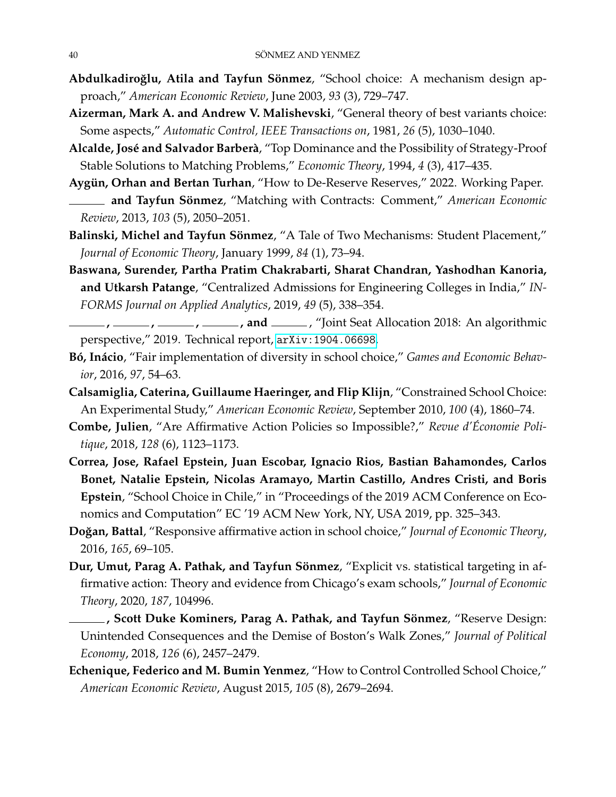- <span id="page-39-0"></span>Abdulkadiroğlu, Atila and Tayfun Sönmez, "School choice: A mechanism design approach," *American Economic Review*, June 2003, *93* (3), 729–747.
- <span id="page-39-15"></span>**Aizerman, Mark A. and Andrew V. Malishevski**, "General theory of best variants choice: Some aspects," *Automatic Control, IEEE Transactions on*, 1981, *26* (5), 1030–1040.
- <span id="page-39-3"></span>Alcalde, José and Salvador Barberà, "Top Dominance and the Possibility of Strategy-Proof Stable Solutions to Matching Problems," *Economic Theory*, 1994, *4* (3), 417–435.
- <span id="page-39-6"></span>Aygün, Orhan and Bertan Turhan, "How to De-Reserve Reserves," 2022. Working Paper.
- <span id="page-39-14"></span>**and Tayfun Sönmez**, "Matching with Contracts: Comment," American Economic *Review*, 2013, *103* (5), 2050–2051.
- <span id="page-39-4"></span>Balinski, Michel and Tayfun Sönmez, "A Tale of Two Mechanisms: Student Placement," *Journal of Economic Theory*, January 1999, *84* (1), 73–94.
- <span id="page-39-5"></span>**Baswana, Surender, Partha Pratim Chakrabarti, Sharat Chandran, Yashodhan Kanoria, and Utkarsh Patange**, "Centralized Admissions for Engineering Colleges in India," *IN-FORMS Journal on Applied Analytics*, 2019, *49* (5), 338–354.
- <span id="page-39-7"></span>**, , , , and** , "Joint Seat Allocation 2018: An algorithmic perspective," 2019. Technical report, <arXiv:1904.06698>.
- <span id="page-39-11"></span>Bó, Inácio, "Fair implementation of diversity in school choice," Games and Economic Behav*ior*, 2016, *97*, 54–63.
- <span id="page-39-10"></span>**Calsamiglia, Caterina, Guillaume Haeringer, and Flip Klijn**, "Constrained School Choice: An Experimental Study," *American Economic Review*, September 2010, *100* (4), 1860–74.
- <span id="page-39-13"></span>**Combe, Julien**, "Are Affirmative Action Policies so Impossible?," *Revue d'Economie Poli- ´ tique*, 2018, *128* (6), 1123–1173.
- <span id="page-39-2"></span>**Correa, Jose, Rafael Epstein, Juan Escobar, Ignacio Rios, Bastian Bahamondes, Carlos Bonet, Natalie Epstein, Nicolas Aramayo, Martin Castillo, Andres Cristi, and Boris Epstein**, "School Choice in Chile," in "Proceedings of the 2019 ACM Conference on Economics and Computation" EC '19 ACM New York, NY, USA 2019, pp. 325–343.
- <span id="page-39-12"></span>**Do ˘gan, Battal**, "Responsive affirmative action in school choice," *Journal of Economic Theory*, 2016, *165*, 69–105.
- <span id="page-39-1"></span>Dur, Umut, Parag A. Pathak, and Tayfun Sönmez, "Explicit vs. statistical targeting in affirmative action: Theory and evidence from Chicago's exam schools," *Journal of Economic Theory*, 2020, *187*, 104996.
- <span id="page-39-9"></span>**, Scott Duke Kominers, Parag A. Pathak, and Tayfun Sönmez**, "Reserve Design: Unintended Consequences and the Demise of Boston's Walk Zones," *Journal of Political Economy*, 2018, *126* (6), 2457–2479.
- <span id="page-39-8"></span>**Echenique, Federico and M. Bumin Yenmez**, "How to Control Controlled School Choice," *American Economic Review*, August 2015, *105* (8), 2679–2694.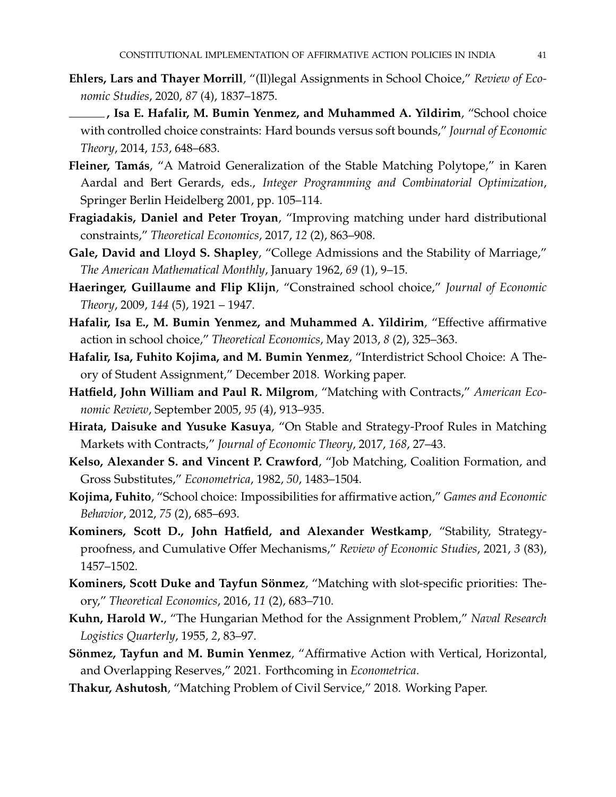- <span id="page-40-2"></span>**Ehlers, Lars and Thayer Morrill**, "(Il)legal Assignments in School Choice," *Review of Economic Studies*, 2020, *87* (4), 1837–1875.
- <span id="page-40-7"></span>**, Isa E. Hafalir, M. Bumin Yenmez, and Muhammed A. Yildirim**, "School choice with controlled choice constraints: Hard bounds versus soft bounds," *Journal of Economic Theory*, 2014, *153*, 648–683.
- <span id="page-40-13"></span>Fleiner, Tamás, "A Matroid Generalization of the Stable Matching Polytope," in Karen Aardal and Bert Gerards, eds., *Integer Programming and Combinatorial Optimization*, Springer Berlin Heidelberg 2001, pp. 105–114.
- <span id="page-40-9"></span>**Fragiadakis, Daniel and Peter Troyan**, "Improving matching under hard distributional constraints," *Theoretical Economics*, 2017, *12* (2), 863–908.
- <span id="page-40-1"></span>**Gale, David and Lloyd S. Shapley**, "College Admissions and the Stability of Marriage," *The American Mathematical Monthly*, January 1962, *69* (1), 9–15.
- <span id="page-40-5"></span>**Haeringer, Guillaume and Flip Klijn**, "Constrained school choice," *Journal of Economic Theory*, 2009, *144* (5), 1921 – 1947.
- <span id="page-40-4"></span>**Hafalir, Isa E., M. Bumin Yenmez, and Muhammed A. Yildirim**, "Effective affirmative action in school choice," *Theoretical Economics*, May 2013, *8* (2), 325–363.
- <span id="page-40-10"></span>**Hafalir, Isa, Fuhito Kojima, and M. Bumin Yenmez**, "Interdistrict School Choice: A Theory of Student Assignment," December 2018. Working paper.
- <span id="page-40-14"></span>**Hatfield, John William and Paul R. Milgrom**, "Matching with Contracts," *American Economic Review*, September 2005, *95* (4), 913–935.
- <span id="page-40-15"></span>**Hirata, Daisuke and Yusuke Kasuya**, "On Stable and Strategy-Proof Rules in Matching Markets with Contracts," *Journal of Economic Theory*, 2017, *168*, 27–43.
- <span id="page-40-12"></span>**Kelso, Alexander S. and Vincent P. Crawford**, "Job Matching, Coalition Formation, and Gross Substitutes," *Econometrica*, 1982, *50*, 1483–1504.
- <span id="page-40-6"></span>**Kojima, Fuhito**, "School choice: Impossibilities for affirmative action," *Games and Economic Behavior*, 2012, *75* (2), 685–693.
- <span id="page-40-16"></span>**Kominers, Scott D., John Hatfield, and Alexander Westkamp**, "Stability, Strategyproofness, and Cumulative Offer Mechanisms," *Review of Economic Studies*, 2021, *3* (83), 1457–1502.
- <span id="page-40-8"></span>Kominers, Scott Duke and Tayfun Sönmez, "Matching with slot-specific priorities: Theory," *Theoretical Economics*, 2016, *11* (2), 683–710.
- <span id="page-40-11"></span>**Kuhn, Harold W.**, "The Hungarian Method for the Assignment Problem," *Naval Research Logistics Quarterly*, 1955, *2*, 83–97.
- <span id="page-40-0"></span>Sönmez, Tayfun and M. Bumin Yenmez, "Affirmative Action with Vertical, Horizontal, and Overlapping Reserves," 2021. Forthcoming in *Econometrica*.
- <span id="page-40-3"></span>**Thakur, Ashutosh**, "Matching Problem of Civil Service," 2018. Working Paper.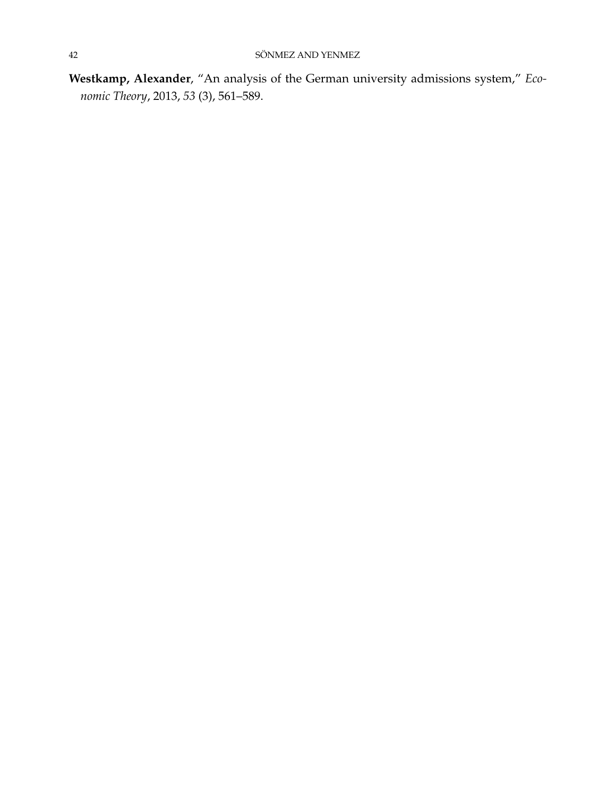<span id="page-41-0"></span>**Westkamp, Alexander**, "An analysis of the German university admissions system," *Economic Theory*, 2013, *53* (3), 561–589.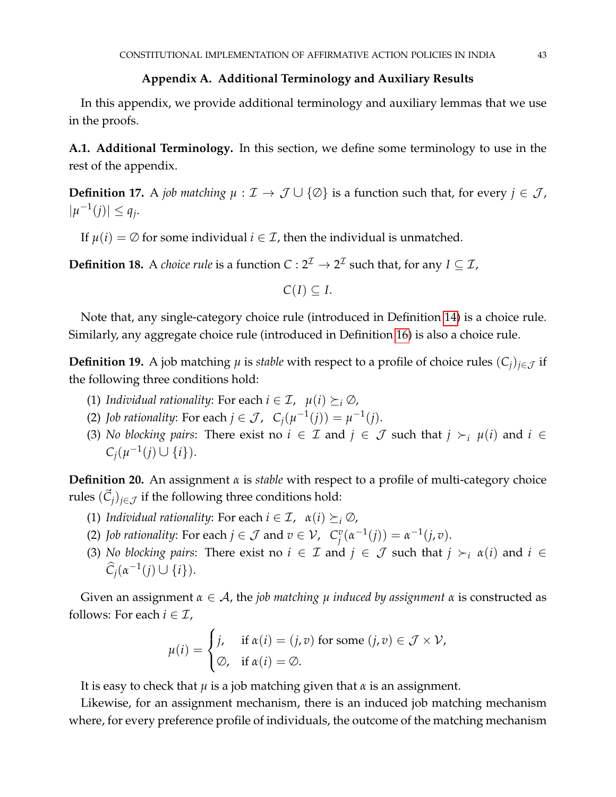#### **Appendix A. Additional Terminology and Auxiliary Results**

In this appendix, we provide additional terminology and auxiliary lemmas that we use in the proofs.

**A.1. Additional Terminology.** In this section, we define some terminology to use in the rest of the appendix.

**Definition 17.** A *job matching*  $\mu : \mathcal{I} \to \mathcal{J} \cup \{\emptyset\}$  is a function such that, for every  $j \in \mathcal{J}$ ,  $|\mu^{-1}(j)| \leq q_j$ .

If  $\mu(i) = \emptyset$  for some individual  $i \in \mathcal{I}$ , then the individual is unmatched.

**Definition 18.** A *choice rule* is a function  $C: 2^{\mathcal{I}} \to 2^{\mathcal{I}}$  such that, for any  $I \subseteq \mathcal{I}$ ,

 $C(I) \subseteq I$ .

Note that, any single-category choice rule (introduced in Definition [14\)](#page-18-0) is a choice rule. Similarly, any aggregate choice rule (introduced in Definition [16\)](#page-18-1) is also a choice rule.

**Definition 19.** A job matching  $\mu$  is *stable* with respect to a profile of choice rules  $(C_i)_{i \in \mathcal{J}}$  if the following three conditions hold:

- (1) *Individual rationality:* For each  $i \in \mathcal{I}$ ,  $\mu(i) \succeq_i \emptyset$ ,
- (2) *Job rationality*: For each  $j \in \mathcal{J}$ ,  $C_j(\mu^{-1}(j)) = \mu^{-1}(j)$ .
- (3) *No blocking pairs*: There exist no  $i \in \mathcal{I}$  and  $j \in \mathcal{J}$  such that  $j \succ_i \mu(i)$  and  $i \in \mathcal{I}$  $C_j(\mu^{-1}(j) \cup \{i\}).$

**Definition 20.** An assignment *α* is *stable* with respect to a profile of multi-category choice rules  $(\vec{C}_j)_{j\in\mathcal{J}}$  if the following three conditions hold:

- (1) *Individual rationality:* For each  $i \in \mathcal{I}$ ,  $\alpha(i) \succeq_i \emptyset$ ,
- (2) *Job rationality*: For each  $j \in \mathcal{J}$  and  $v \in \mathcal{V}$ ,  $C_i^v$  $j^v(\alpha^{-1}(j)) = \alpha^{-1}(j, v).$
- (3) *No blocking pairs*: There exist no  $i \in \mathcal{I}$  and  $j \in \mathcal{J}$  such that  $j \succ_i \alpha(i)$  and  $i \in \mathcal{I}$  $\widehat{C}_j(\alpha^{-1}(j) \cup \{i\}).$

Given an assignment *α* ∈ A, the *job matching µ induced by assignment α* is constructed as follows: For each  $i \in \mathcal{I}$ ,

$$
\mu(i) = \begin{cases} j, & \text{if } \alpha(i) = (j, v) \text{ for some } (j, v) \in \mathcal{J} \times \mathcal{V}, \\ \varnothing, & \text{if } \alpha(i) = \varnothing. \end{cases}
$$

It is easy to check that  $\mu$  is a job matching given that  $\alpha$  is an assignment.

Likewise, for an assignment mechanism, there is an induced job matching mechanism where, for every preference profile of individuals, the outcome of the matching mechanism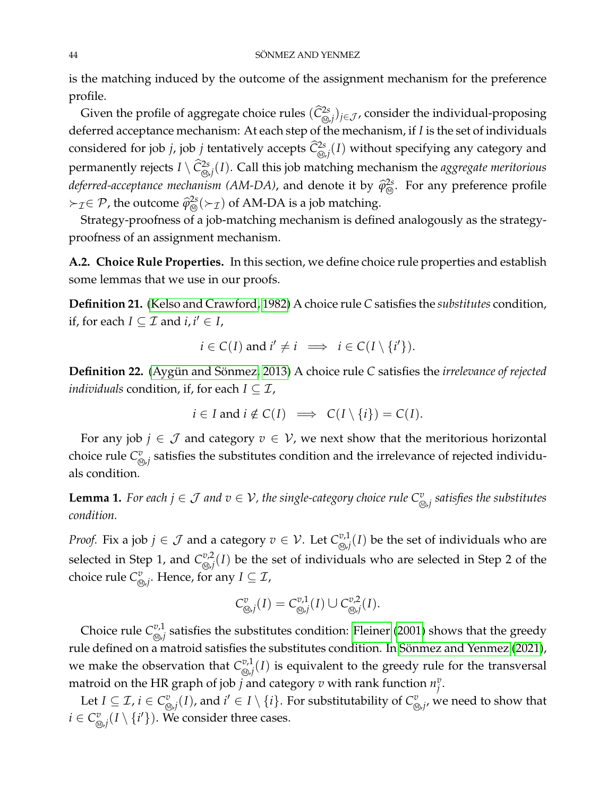is the matching induced by the outcome of the assignment mechanism for the preference profile.

Given the profile of aggregate choice rules  $(\widehat C^{2s}_{\circledast,j})_{j\in\mathcal J}$ , consider the individual-proposing deferred acceptance mechanism: At each step of the mechanism, if *I* is the set of individuals considered for job *j*, job *j* tentatively accepts  $\widehat{C}_{\omega,j}^{2s}(I)$  without specifying any category and permanently rejects  $I \setminus \widehat{C}^{2s}_{\text{\tiny \textcircled{S}}/I}(I)$ . Call this job matching mechanism the *aggregate meritorious deferred-acceptance mechanism (AM-DA)*, and denote it by  $\hat{\varphi}_{\circledcirc}^{2s}$ . For any preference profile  $\succ$ <sub>*T*</sub>∈ *P*, the outcome  $\hat{\varphi}_{\circledcirc}^{2s}(\succ_T)$  of AM-DA is a job matching.

Strategy-proofness of a job-matching mechanism is defined analogously as the strategyproofness of an assignment mechanism.

**A.2. Choice Rule Properties.** In this section, we define choice rule properties and establish some lemmas that we use in our proofs.

**Definition 21.** [\(Kelso and Crawford, 1982\)](#page-40-12) A choice rule *C* satisfies the *substitutes* condition, if, for each  $I \subseteq \mathcal{I}$  and  $i, i' \in I$ ,

$$
i \in C(I)
$$
 and  $i' \neq i \implies i \in C(I \setminus \{i'\})$ .

**Definition 22.** (Aygün and Sönmez, [2013\)](#page-39-14) A choice rule C satisfies the *irrelevance of rejected individuals* condition, if, for each  $I \subseteq \mathcal{I}$ ,

$$
i \in I
$$
 and  $i \notin C(I) \implies C(I \setminus \{i\}) = C(I)$ .

For any job  $j \in \mathcal{J}$  and category  $v \in \mathcal{V}$ , we next show that the meritorious horizontal choice rule  $C^v_{\alpha}$  $_{\mathbb{S},j}^v$  satisfies the substitutes condition and the irrelevance of rejected individuals condition.

<span id="page-43-0"></span>**Lemma 1.** For each  $j \in \mathcal{J}$  and  $v \in \mathcal{V}$ , the single-category choice rule  $C^v_{\otimes j}$  satisfies the substitutes *condition.*

*Proof.* Fix a job  $j \in \mathcal{J}$  and a category  $v \in \mathcal{V}$ . Let  $C_{\infty}^{v,1}$  $\sum_{i=1}^{v,1}(I)$  be the set of individuals who are selected in Step 1, and  $C_{\infty,i}^{v,2}$  $\sum_{i=1}^{n/2} (I)$  be the set of individuals who are selected in Step 2 of the choice rule  $C^v_{\alpha}$  $_{\mathbb{\mathbb{Z}}_{j^{\prime}}}^v$ . Hence, for any  $I\subseteq\mathcal{I}$ ,

$$
C^v_{\text{Q},j}(I) = C^{v,1}_{\text{Q},j}(I) \cup C^{v,2}_{\text{Q},j}(I).
$$

Choice rule  $C^{v,1}_{\otimes i}$  $\frac{\omega,1}{\omega}$  satisfies the substitutes condition: [Fleiner](#page-40-13) [\(2001\)](#page-40-13) shows that the greedy rule defined on a matroid satisfies the substitutes condition. In Sönmez and Yenmez [\(2021\)](#page-40-0), we make the observation that  $C^{v,1}_{\infty}$  $\sum_{i=1}^{p,1}(I)$  is equivalent to the greedy rule for the transversal matroid on the HR graph of job *j* and category  $v$  with rank function  $n_i^v$ *j* .

Let  $I \subseteq \mathcal{I}$ ,  $i \in C^v_{\Omega}$  $\frac{w}{\omega_{j}}(I)$ , and  $i'\in I\setminus\{i\}.$  For substitutability of  $C_{\mathbb{Q}}^{v}$  $_{\mathbb{D},j^{\prime}}^v$  we need to show that  $i \in C^v_\varnothing$  $\sum\limits_{i=0}^{n} (I \setminus \{i'\})$ . We consider three cases.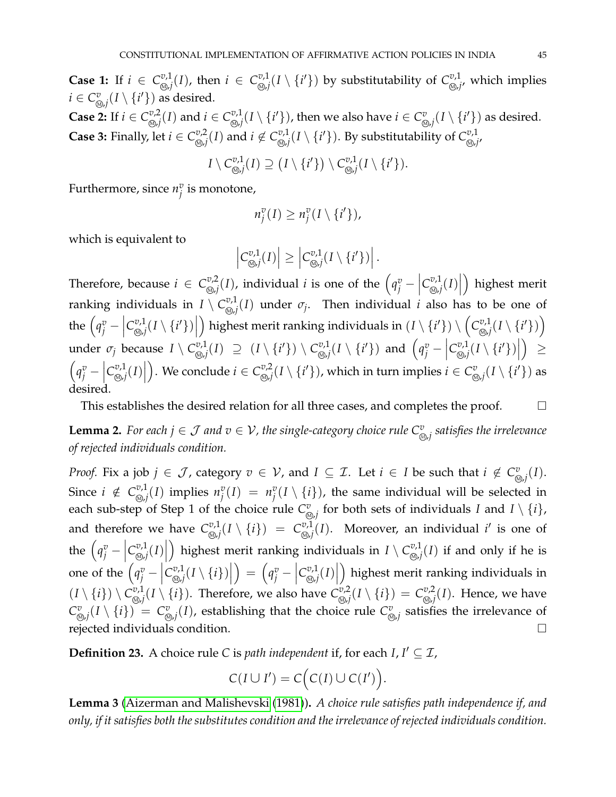**Case 1:** If  $i \in C_{\omega,i}^{v,1}$  $_{\mathbb{\mathbb{Z}}\text{,}j}^{\mathbb{\mathbb{Z}}\text{,}l}(I)$ , then  $i~\in~\mathcal{C}_{\mathbb{\mathbb{Q}}\text{,}j}^{\mathbb{\mathbb{Z}}\text{,}l}$  $\sum_{i \in \mathcal{N}}^{v,1}(I \setminus \{i'\})$  by substitutability of  $C_{\mathcal{N},j}^{v,1}$  $_{\mathcal{D},j^{\prime}}^{\omega,1}$ , which implies  $i \in C^v_\varnothing$  $\sum_{\mathcal{D},j}^{v}(I\setminus\{i'\})$  as desired.

**Case 2:** If  $i \in C_{\omega}^{v,2}$  $\sum_{i \in \mathcal{J}_i}^{v,2}(I)$  and  $i \in C_{\text{c},j}^{v,1}$  $\mathbb{E}^{v,1}_{\mathbb{D},j}(I\setminus\{i'\})$ , then we also have  $i\in\mathcal{C}^v_\mathbb{Q}$  $\int\limits_{\mathbb{R}^{d}}^{v} (I \setminus \{i'\})$  as desired. **Case 3:** Finally, let  $i \in C^{v,2}_{\text{on }i}$  $_{\mathbb{\omega},j}^{\mathbb{\omega},2}(I)$  and  $i \not\in C_{\mathbb{\omega},j}^{\mathbb{\omega},1}$  $\mathbb{E}^{v,1}_{\mathbb{Q},j}(I\setminus\{i'\})$ . By substitutability of  $C^{v,1}_{\mathbb{Q},j}$ 0,1<br><sub>M≀</sub>j′

$$
I\setminus \mathcal{C}^{v,1}_{\text{Q},j}(I)\supseteq \big(I\setminus\{i'\}\big)\setminus \mathcal{C}^{v,1}_{\text{Q},j}(I\setminus\{i'\}).
$$

Furthermore, since  $n_i^v$  $_j^v$  is monotone*,* 

$$
n_j^v(I) \geq n_j^v(I \setminus \{i'\}),
$$

which is equivalent to

$$
\left|C_{\text{Q},j}^{v,1}(I)\right| \geq \left|C_{\text{Q},j}^{v,1}(I \setminus \{i'\})\right|.
$$

Therefore, because  $i \in C_{\infty,i}^{\nu,2}$  $\left\{ \begin{array}{c} v,2 \\ \sqrt[3]{2} \end{array} \right\}$ , individual *i* is one of the  $\left( q_j^v - \begin{array}{c} v \\ v_j^v \end{array} \right)$  $C^{v,1}_{\omega}$  $\left\lbrack \mathcal{D},\mathcal{D},j\right\rbrack\left\lbrack J\right\rbrack$  highest merit ranking individuals in  $I \setminus C_{\infty,i}^{v,1}$  $\sum_{i=1}^{d} (I)$  under  $\sigma_j$ . Then individual *i* also has to be one of the  $\left(q_j^v - \right)$  $C_{\varpi,i}^{v,1}$  $\left| \sum_{i=1}^{m} (I \setminus \{i'\}) \right|$ ) highest merit ranking individuals in  $(I \setminus \{i'\}) \setminus (C^{v,1}_{\infty,i})$  $\left(\begin{smallmatrix}v,1\ \mathbb{R},j\end{smallmatrix}\right]$   $(I \setminus \{i'\})\Big)$ under  $\sigma_j$  because  $I \setminus C_{\text{\tiny (N)}}^{\text{\tiny U},1}$  $\cup_{i=1}^{w,1}(I) \supseteq (I \setminus \{i'\}) \setminus C_{\circledS,j}^{v,1}$  $\left\{ \left\langle \begin{array}{c} x \,, \, \\ y \,, \, \end{array} \right\rangle \left\langle I \setminus \{i'\}\right\rangle \right\}$  and  $\left\langle q_j^v - \right\rangle$  $C_{\scriptscriptstyle (\!\varsigma\!)i}^{\!\scriptscriptstyle v,1}$  $\left\langle \sum_{i=1}^{m} (I \setminus \{i'\}) \right|$  ≥  $\left(q_j^v - \right)$  $C_{\scriptscriptstyle (\!\varsigma\!)i}^{\!\scriptscriptstyle v,1}$  $\left\lbrack \mathcal{D},\mathcal{D},j\right\rbrack\left\lbrack J_{j}\right\rbrack$ . We conclude  $i \in C_{\infty,i}^{\nu,2}$  $\sum_{i=1}^{n/2}(I\setminus\{i'\})$ , which in turn implies  $i\in C^v_\mathbb{Q}$  $_{\mathcal{D},j}^v(I\setminus\{i'\})$  as desired.

This establishes the desired relation for all three cases, and completes the proof.  $\Box$ 

<span id="page-44-0"></span>**Lemma 2.** For each  $j \in \mathcal{J}$  and  $v \in \mathcal{V}$ , the single-category choice rule  $C^v_{\otimes j}$  satisfies the irrelevance *of rejected individuals condition.*

*Proof.* Fix a job  $j \in \mathcal{J}$ , category  $v \in \mathcal{V}$ , and  $I \subseteq \mathcal{I}$ . Let  $i \in I$  be such that  $i \notin C_{\infty}^v$  $_{\mathfrak{D},j}^{v}(I).$ Since  $i \notin C^{v,1}_{\text{on }i}$  $\sum_{i=1}^{v,1}(I)$  implies  $n_j^v$  $\int_j^v(I) = n_j^v$  $\binom{v}{j}$  (*I*  $\setminus$  {*i*}), the same individual will be selected in each sub-step of Step 1 of the choice rule  $C^v_{\varphi}$  $\int_{\mathbb{S}^{d}}$  for both sets of individuals *I* and *I* \ {*i*}, and therefore we have  $C^{v,1}_{\infty}$  $C^{v,1}_{\text{\tiny \textcircled{\tiny \textcircled{\tiny \textcircled{\tiny \textcircled{\tiny \textcircled{\tiny \textcircled{\tiny \textcircled{\tiny \textcircled{\tiny \textcircled{\tiny \tiny \textcircled{\tiny \tiny \textcircled{\tiny \tiny \textcircled{\tiny \tiny \textcircled{\tiny \tiny \textcircled{\tiny \tiny \tiny \textcircled{\tiny \tiny \tiny \textcircled{\tiny \tiny \tiny \textcircled{\tiny \tiny \tiny \tiny \textcircled{\tiny \tiny \tiny \tiny \textcircled{\tiny \tiny \tiny \tiny \tiny \textcircled{\tiny \tiny \tiny \tiny \tiny \textcircled{\tiny \tiny \tiny \tiny \tiny \textcircled{\tiny \tiny \tiny \tiny \textcircled{\tiny \tiny \tiny \tiny \tiny$  $\sum_{i=1}^{v,1}(I)$ . Moreover, an individual *i'* is one of the  $(q_j^v C_{\scriptscriptstyle (\!\varsigma\!)i}^{\!\scriptscriptstyle v,1}$  $\left\lbrack \mathcal{D},\mathcal{J}\left( I\right) \right\rbrack \oplus\left\lbrack \mathcal{J}\left( I\right) \right\rbrack$ ) highest merit ranking individuals in  $I \setminus C^{v,1}_{\omega}$  $\sum_{i=1}^{v,1}(I)$  if and only if he is one of the  $\left(q_j^v - \right)$  $C_{\scriptscriptstyle (\!\varsigma\!)i}^{\:\! v,1}$  $\left\lbrack \begin{smallmatrix} v,1 \ \mathbb{Q},j \end{smallmatrix} (I \setminus \{i\}) \right\rbrack$  $\left| \begin{array}{c} \rho_i^v - \rho_i^v \end{array} \right|$  $C_{\scriptscriptstyle (\!\varsigma\!)i}^{\!\scriptscriptstyle v,1}$  $\left\lbrack \mathcal{D},\mathcal{D},j\right\rbrack\left\lbrack J\right\rbrack$  highest merit ranking individuals in  $(I \setminus \{i\}) \setminus C^{v,1}_{\omega}$  $\mathbb{C}^{v,1}_{\mathbb{Q},j}(I\setminus\{i\}).$  Therefore, we also have  $C^{v,2}_{\mathbb{Q},j}$  $C^{v,2}_{\text{\tiny \textcircled{\tiny \textcircled{\tiny \textcircled{\tiny \textcircled{\tiny \textcircled{\tiny \textcircled{\tiny \textcircled{\tiny \textcircled{\tiny \textcircled{\tiny \tiny \textcircled{\tiny \tiny \textcircled{\tiny \tiny \textcircled{\tiny \tiny \textcircled{\tiny \tiny \textcircled{\tiny \tiny \tiny \textcircled{\tiny \tiny \tiny \textcircled{\tiny \tiny \tiny \backslash.}}}}}}}}}}\mathcal{V}}(I \setminus \{i\})\ =\ C^{v,2}_{\text{\tiny \textcircled{\tiny \textcircled{\tiny \tiny \tiny \tiny \textcircled{\tiny \tiny \tiny \tiny \backslash.}}}}\}$  $\sum_{i,j=1}^{w,z}(I)$ . Hence, we have  $C^v_{\alpha}$  $\mathcal{L}^v_{\mathcal{D},j}(I\setminus\{i\})~=~C^v_{\mathcal{D},j}$  $\frac{v}{\omega_{j}}(I)$ , establishing that the choice rule  $\mathcal{C}^v_\mathbb{Q}$  $_{\mathcal{D},j}^v$  satisfies the irrelevance of rejected individuals condition.

**Definition 23.** A choice rule *C* is *path independent* if, for each  $I, I' \subseteq I$ ,

$$
C(I \cup I') = C\Bigl(C(I) \cup C(I')\Bigr).
$$

<span id="page-44-1"></span>**Lemma 3** [\(Aizerman and Malishevski](#page-39-15) [\(1981\)](#page-39-15))**.** *A choice rule satisfies path independence if, and only, if it satisfies both the substitutes condition and the irrelevance of rejected individuals condition.*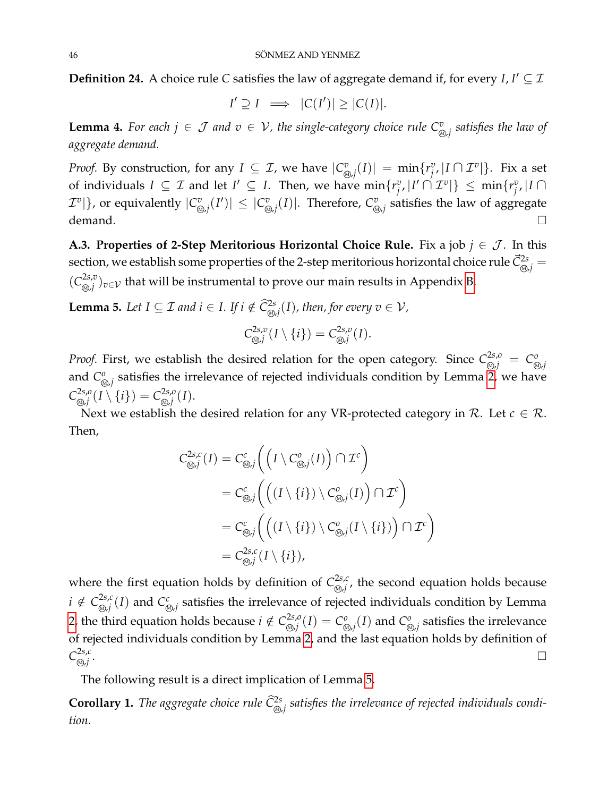**Definition 24.** A choice rule *C* satisfies the law of aggregate demand if, for every *I*,  $I' \subseteq I$ 

$$
I' \supseteq I \implies |C(I')| \ge |C(I)|.
$$

<span id="page-45-1"></span>**Lemma 4.** For each  $j \in \mathcal{J}$  and  $v \in \mathcal{V}$ , the single-category choice rule  $C^v_{\otimes j}$  satisfies the law of *aggregate demand.*

*Proof.* By construction, for any  $I \subseteq \mathcal{I}$ , we have  $|C_{\alpha}^v|$  $\lim_{\delta \to j} (I)$ | = min $\{r_j^v\}$  $\int\limits_{j}^{v}$ ,  $|I \cap \mathcal{I}^v|$ }. Fix a set of individuals  $I \subseteq \mathcal{I}$  and let  $I' \subseteq I$ . Then, we have  $\min\{r_i^v\}$  $\{g^v_j, |I' \cap \mathcal{I}^v|\} \leq \min\{r^v_j\}$ *j* , |*I* ∩  $\mathcal{I}^v$   $\vert$   $\}$ , or equivalently  $\vert C_{\varnothing}^v \vert$  $\left| \sum_{\alpha}^{v}(I') \right| \leq \left| C_{\alpha}^{v} \right|$  $\mathbb{E}^v_{\mathbb{Q},j}(I)|$ . Therefore,  $\mathcal{C}^v_{\mathbb{Q}}$  $_{\mathbb{\omega},j}^v$  satisfies the law of aggregate demand.  $\Box$ 

**A.3. Properties of 2-Step Meritorious Horizontal Choice Rule.** Fix a job  $j \in \mathcal{J}$ . In this section, we establish some properties of the 2-step meritorious horizontal choice rule  $\vec{C}^{2s}_{\omega, j}$  $(C_{\widehat{\omega},i}^{2s,v})$  $\sum_{\mathcal{D},j}^{2S,\mathcal{D}})_{\mathcal{U}} \in \mathcal{V}$  that will be instrumental to prove our main results in Appendix [B.](#page-47-0)

<span id="page-45-0"></span>**Lemma 5.** Let *I* ⊆ *I* and  $i \in$  *I*. If  $i \notin \widehat{C}^{2s}_{\textcircled{\scriptsize{\textcircled{\tiny\textcirc}}}}(I)$ , then, for every  $v \in V$ ,

$$
C^{2s,v}_{\text{def}}(I\setminus\{i\})=C^{2s,v}_{\text{def}}(I).
$$

*Proof.* First, we establish the desired relation for the open category. Since  $C_{\circledcirc,j}^{2s,o} \ = \ C_{\circledcirc}^o$ <sup>M</sup> ,*j* and *C o* $_{\mathcal{D},j}^o$  satisfies the irrelevance of rejected individuals condition by Lemma [2,](#page-44-0) we have  $C^{2s,o}_{\text{on }i}$  $C_{\mathbb{Q},j}^{2s,o}(I\setminus\{i\})=C_{\mathbb{Q},j}^{2s,o}$ <sup>M</sup> ,*j* (*I*).

Next we establish the desired relation for any VR-protected category in  $\mathcal{R}$ . Let  $c \in \mathcal{R}$ . Then,

$$
C_{\text{Q},j}^{2s,c}(I) = C_{\text{Q},j}^{c}\bigg(\Big(I \setminus C_{\text{Q},j}^{o}(I)\Big) \cap \mathcal{I}^{c}\bigg)
$$
  
= 
$$
C_{\text{Q},j}^{c}\bigg(\Big(\big(I \setminus \{i\}\big) \setminus C_{\text{Q},j}^{o}(I)\Big) \cap \mathcal{I}^{c}\bigg)
$$
  
= 
$$
C_{\text{Q},j}^{c}\bigg(\Big(\big(I \setminus \{i\}\big) \setminus C_{\text{Q},j}^{o}(I \setminus \{i\}\big)\Big) \cap \mathcal{I}^{c}\bigg)
$$
  
= 
$$
C_{\text{Q},j}^{2s,c}(I \setminus \{i\}),
$$

where the first equation holds by definition of  $C^{2s,c}_{\infty,i}$  $\sum_{i,j}^{25, \ell}$ , the second equation holds because  $i \notin C^{2s,c}_{\text{on } i}$  $\sum\limits_{\mathcal{D},j}^{2s,c}(I)$  and  $C_{{\mathcal{C}}}^{c}$  $\mathcal{L}_{\mathcal{D},j}^c$  satisfies the irrelevance of rejected individuals condition by Lemma [2,](#page-44-0) the third equation holds because  $i \notin C^{2s,o}_{\infty,i}$  $\mathcal{L}_{\mathcal{D},j}^{2s,o}(I)=\mathcal{C}_{\mathcal{D}}^{o}$  $\int_{\mathbb{R}^d}^{\infty} I(\overline{I})$  and  $C^o_{\mathbb{R}^d}$  $_{\mathcal{D},j}^{\mathcal{D}}$  satisfies the irrelevance of rejected individuals condition by Lemma [2,](#page-44-0) and the last equation holds by definition of  $C^{2s,c}_{\text{on }i}$ <sup>M</sup> ,*j* . In the contract of the contract of the contract of the contract of the contract of the contract of the contract of

The following result is a direct implication of Lemma [5.](#page-45-0)

<span id="page-45-2"></span> $\bf{Corollary~1.}$  *The aggregate choice rule*  $\widehat {\cal C}^{2s}_{\text{\tiny \textcircled{\tiny \textcircled{\tiny\textcircled{\tiny\textcirccl}}}}}$  *satisfies the irrelevance of rejected individuals condition.*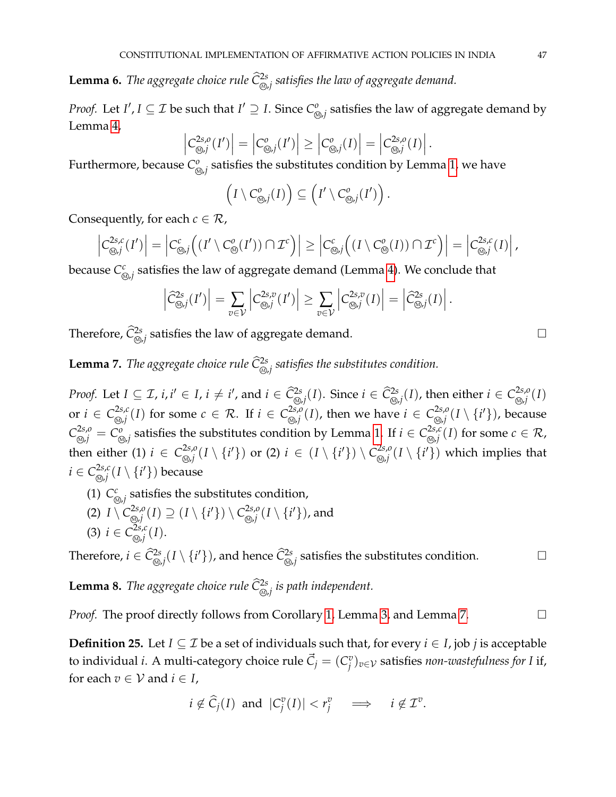<span id="page-46-2"></span>**Lemma 6.** *The aggregate choice rule*  $\widehat{C}_{\textcircled{\scriptsize{\textcirc}}}^{2s}$  *satisfies the law of aggregate demand.* 

*Proof.* Let *I'*,  $I \subseteq \mathcal{I}$  be such that  $I' \supseteq I$ . Since  $C^o_{\mathcal{I}}$  $\frac{\partial}{\partial x_j}$  satisfies the law of aggregate demand by Lemma [4,](#page-45-1)  $\overline{\phantom{a}}$ 

$$
\left|C^{2s,o}_{\text{Q},j}(I')\right| = \left|C^{o}_{\text{Q},j}(I')\right| \geq \left|C^{o}_{\text{Q},j}(I)\right| = \left|C^{2s,o}_{\text{Q},j}(I)\right|.
$$

Furthermore, because *C o* $\frac{\partial}{\partial \phi_j}$  satisfies the substitutes condition by Lemma [1,](#page-43-0) we have

$$
\left(I\setminus C^o_{\bigotimes j}(I)\right)\subseteq \left(I'\setminus C^o_{\bigotimes j}(I')\right).
$$

Consequently, for each  $c \in \mathcal{R}$ ,

$$
\left|C^{2s,c}_{\text{Q},j}(I')\right| = \left|C^c_{\text{Q},j}\left((I'\setminus C^o_{\text{Q}}(I'))\cap \mathcal{I}^c\right)\right| \geq \left|C^c_{\text{Q},j}\left((I\setminus C^o_{\text{Q}}(I))\cap \mathcal{I}^c\right)\right| = \left|C^{2s,c}_{\text{Q},j}(I)\right|,
$$

because *C c* $\mathcal{L}_{\mathcal{D},j}^c$  satisfies the law of aggregate demand (Lemma [4\)](#page-45-1). We conclude that

$$
\left|\widehat{C}_{\text{Q},j}^{2s}(I')\right| = \sum_{v \in \mathcal{V}} \left|C_{\text{Q},j}^{2s,v}(I')\right| \geq \sum_{v \in \mathcal{V}} \left|C_{\text{Q},j}^{2s,v}(I)\right| = \left|\widehat{C}_{\text{Q},j}^{2s}(I)\right|.
$$

Therefore,  $\widehat{C}_{\textcircled{\tiny \#}}^{2s}$  satisfies the law of aggregate demand.  $\hfill \Box$ 

<span id="page-46-0"></span>**Lemma** 7. *The aggregate choice rule*  $\widehat{\mathsf{C}}^{\text{2s}}_{\text{\o},j}$  *satisfies the substitutes condition.* 

*Proof.* Let  $I \subseteq \mathcal{I}$ ,  $i, i' \in I$ ,  $i \neq i'$ , and  $i \in \widehat{\mathcal{C}}^{2s}_{\text{def}}(I)$ . Since  $i \in \widehat{\mathcal{C}}^{2s}_{\text{def}}(I)$ , then either  $i \in \mathcal{C}^{2s,o}_{\text{def}}(I)$ <sup>M</sup> ,*j* (*I*) or  $i \in C^{2s,c}_{\text{on }i}$  $\sum_{i \in \mathcal{J}_i}^{2s,c}(I)$  for some  $c \in \mathcal{R}$ . If  $i \in C_{\text{def}}^{2s,o}$  $\sum_{i \in \mathcal{J}_j}^{2s,o}(I)$ , then we have  $i \in C_{\mathcal{J}_j}^{2s,o}$  $_{\mathbb{\mathbb{Q}}\mathbb{J}}^{2s,o}(I\setminus\{i'\})$ , because  $C^{2s,o}_{\circledast,j} = C^{o}_{\circledast}$  $\sum_{i \in \mathcal{J}_j}^{\infty}$  satisfies the substitutes condition by Lemma [1.](#page-43-0) If  $i \in C_{\circledcirc, j}^{2s,c}$  $\sum_{i \in \mathcal{J}_i}^{2S, \mathcal{C}} (I)$  for some  $c \in \mathcal{R}$ , then either (1)  $i \in C^{2s,o}_{\text{on }i}$  $\sum_{i \in \mathcal{J}_j}^{2s,o}(I \setminus \{i'\}) \,\,\text{or} \,\,\text{(2) } \, i \,\in\, (I \setminus \{i'\}) \setminus C_{\text{def}}^{2s,o}$  $\sum_{i \in \mathcal{J}_j}^{2s,o}(I \setminus \{i'\})$  which implies that  $i \in C^{2s,c}_{\text{on }i}$  $_{\mathbb{\mathbb{Q}}\mathbb{J}}^{2s,c}(I\setminus\{i'\})$  because

- $(1) C<sub>6</sub>$  $\hat{\mathbb{S}}_{j,j}$  satisfies the substitutes condition,
- $(2)$   $I \setminus C^{2s,o}_{\otimes i}$  $\mathcal{C}^{2s,o}_{\mathcal{D},j}(I) \supseteq (I \setminus \{i'\}) \setminus C^{2s,o}_{\mathcal{D},j}$  $_{\odot,j}^{2s,o}(I\setminus\{i'\})$  , and (3) *i* ∈  $C_{\text{ω, }i}^{2s,c}$ <sup>M</sup> ,*j* (*I*).

Therefore,  $i \in \widehat{C}_{\circledast j}^{2s}(I \setminus \{i'\})$ , and hence  $\widehat{C}_{\circledast j}^{2s}$  satisfies the substitutes condition.

<span id="page-46-1"></span>**Lemma 8.** *The aggregate choice rule*  $\widehat{\mathcal{C}}_{\textcircled{\scriptsize\textcircled{\tiny\textcirc}}}^{2s}$  *is path independent.* 

*Proof.* The proof directly follows from Corollary [1,](#page-45-2) Lemma [3,](#page-44-1) and Lemma [7.](#page-46-0)

**Definition 25.** Let *I* ⊆ *I* be a set of individuals such that, for every *i* ∈ *I*, job *j* is acceptable to individual *i*. A multi-category choice rule  $\vec{C}_j = (C^v_j)^T$ *j* )*v*∈V satisfies *non-wastefulness for I* if, for each  $v \in V$  and  $i \in I$ ,

$$
i \notin \widehat{C}_j(I)
$$
 and  $|C_j^v(I)| < r_j^v \implies i \notin \mathcal{I}^v$ .

$$
\Box
$$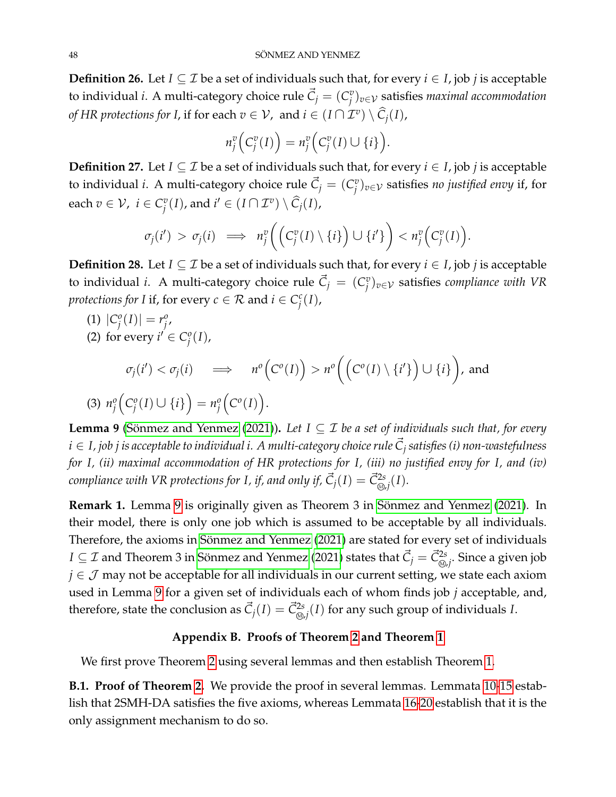**Definition 26.** Let *I* ⊆ *I* be a set of individuals such that, for every *i* ∈ *I*, job *j* is acceptable to individual *i*. A multi-category choice rule  $\vec{C}_j = (C^v_j)^T$ *j* )*v*∈V satisfies *maximal accommodation of HR protections for I,* if for each  $v \in V$ , and  $i \in (I \cap \mathcal{I}^v) \setminus \widehat{C}_j(I)$ ,

$$
n_j^v\Big(C_j^v(I)\Big) = n_j^v\Big(C_j^v(I)\cup\{i\}\Big).
$$

**Definition 27.** Let *I* ⊆ *I* be a set of individuals such that, for every *i* ∈ *I*, job *j* is acceptable to individual *i*. A multi-category choice rule  $\vec{C}_j = (C_j^v)$ *j* )*v*∈V satisfies *no justified envy* if, for each  $v \in \mathcal{V}$ ,  $i \in C_i^v$  $j^v(I)$ , and  $i' \in (I \cap \mathcal{I}^v) \setminus \widehat{C}_j(I)$ ,

$$
\sigma_j(i') > \sigma_j(i) \implies n_j^v \bigg( \bigg( C_j^v(I) \setminus \{i\} \bigg) \cup \{i'\} \bigg) < n_j^v \bigg( C_j^v(I) \bigg).
$$

**Definition 28.** Let *I* ⊆ *I* be a set of individuals such that, for every *i* ∈ *I*, job *j* is acceptable to individual *i*. A multi-category choice rule  $\vec{C}_j = (C_j^v)$ *j* )*v*∈V satisfies *compliance with VR protections for I* if, for every  $c \in \mathcal{R}$  and  $i \in C_i^c$ *j* (*I*),

 $(1) |C_i^o$  $\binom{o}{j}(I)| = r_j^o$ *j* , (2) for every  $i' \in C_i^o$ 

*j* (*I*),

$$
\sigma_j(i') < \sigma_j(i) \implies n^o\Big(C^o(I)\Big) > n^o\Big(\Big(C^o(I)\setminus\{i'\}\Big) \cup \{i\}\Big), \text{ and}
$$
\n
$$
(3) \ n_j^o\Big(C_j^o(I) \cup \{i\}\Big) = n_j^o\Big(C^o(I)\Big).
$$

<span id="page-47-1"></span>**Lemma 9** (Sönmez and Yenmez [\(2021\)](#page-40-0)). Let  $I \subseteq \mathcal{I}$  be a set of individuals such that, for every *i* ∈ *I, job j is acceptable to individual i. A multi-category choice rule C*~ *<sup>j</sup> satisfies (i) non-wastefulness for I, (ii) maximal accommodation of HR protections for I, (iii) no justified envy for I, and (iv)*  $f$  *compliance with VR protections for I, if, and only if,*  $\vec{C}_j(I) = \vec{C}_{\circledast,j}^{2s}(I).$ 

**Remark 1.** Lemma [9](#page-47-1) is originally given as Theorem 3 in Sönmez and Yenmez [\(2021\)](#page-40-0). In their model, there is only one job which is assumed to be acceptable by all individuals. Therefore, the axioms in Sönmez and Yenmez [\(2021\)](#page-40-0) are stated for every set of individuals  $I\subseteq\mathcal{I}$  and Theorem 3 in Sönmez and Yenmez [\(2021\)](#page-40-0) states that  $\vec{C}_j=\vec{C}^{2s}_{\circledast j}.$  Since a given job *j* ∈ *J* may not be acceptable for all individuals in our current setting, we state each axiom used in Lemma [9](#page-47-1) for a given set of individuals each of whom finds job *j* acceptable, and, therefore, state the conclusion as  $\vec{C}_j(I) = \vec{C}_{\textcircled{\scriptsize\#}}^{2s}(I)$  for any such group of individuals *I*.

## **Appendix B. Proofs of Theorem [2](#page-21-0) and Theorem [1](#page-20-1)**

<span id="page-47-0"></span>We first prove Theorem [2](#page-21-0) using several lemmas and then establish Theorem [1.](#page-20-1)

**B.1. Proof of Theorem [2.](#page-21-0)** We provide the proof in several lemmas. Lemmata [10](#page-48-0)[-15](#page-50-0) establish that 2SMH-DA satisfies the five axioms, whereas Lemmata [16](#page-50-1)[-20](#page-54-0) establish that it is the only assignment mechanism to do so.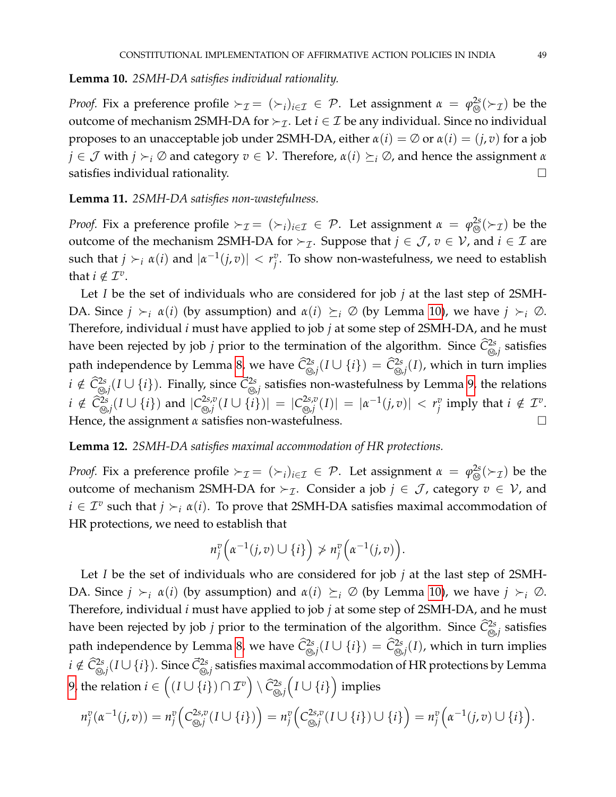## <span id="page-48-0"></span>**Lemma 10.** *2SMH-DA satisfies individual rationality.*

*Proof.* Fix a preference profile  $\succ_{\mathcal{I}} = (\succ_i)_{i \in \mathcal{I}} \in \mathcal{P}$ . Let assignment  $\alpha = \varphi_{\text{Q}}^{2s}(\succ_{\mathcal{I}})$  be the outcome of mechanism 2SMH-DA for  $\succ_{\mathcal{I}}$ . Let  $i \in \mathcal{I}$  be any individual. Since no individual proposes to an unacceptable job under 2SMH-DA, either  $\alpha(i) = \emptyset$  or  $\alpha(i) = (j, v)$  for a job *j*  $\in$  *J* with *j*  $\succ_i \emptyset$  and category  $v \in V$ . Therefore,  $\alpha(i) \succeq_i \emptyset$ , and hence the assignment  $\alpha$ satisfies individual rationality.

**Lemma 11.** *2SMH-DA satisfies non-wastefulness.*

*Proof.* Fix a preference profile  $\succ_{\mathcal{I}} = (\succ_i)_{i \in \mathcal{I}} \in \mathcal{P}$ . Let assignment  $\alpha = \varphi_{\text{Q}}^{2s}(\succ_{\mathcal{I}})$  be the outcome of the mechanism 2SMH-DA for  $\succ_{\mathcal{I}}$ . Suppose that  $j \in \mathcal{J}$ ,  $v \in \mathcal{V}$ , and  $i \in \mathcal{I}$  are such that  $j \succ_i \alpha(i)$  and  $|\alpha^{-1}(j, v)| < r_j^v$  $\stackrel{v}{j}$ . To show non-wastefulness, we need to establish that  $i \notin \mathcal{I}^v$ .

Let *I* be the set of individuals who are considered for job *j* at the last step of 2SMH-DA. Since  $j \succ_i \alpha(i)$  (by assumption) and  $\alpha(i) \succeq_i \emptyset$  (by Lemma [10\)](#page-48-0), we have  $j \succ_i \emptyset$ . Therefore, individual *i* must have applied to job *j* at some step of 2SMH-DA, and he must have been rejected by job *j* prior to the termination of the algorithm. Since  $\hat{C}^{2s}_{\text{\tiny (0)}}$  , satisfies path independence by Lemma [8,](#page-46-1) we have  $\widehat{C}_{\textcircled{b},j}^{2s}(I\cup\{i\})=\widehat{C}_{\textcircled{b},j}^{2s}(I)$ , which in turn implies *i* ∉  $\hat{C}^{2s}_{\text{\tiny (0,1)}}(I \cup \{i\})$ . Finally, since  $\vec{C}^{2s}_{\text{\tiny (0,1)}}$  satisfies non-wastefulness by Lemma [9,](#page-47-1) the relations  $i \notin \hat{C}^{2s}_{\text{\tiny (Q)},j}(I \cup \{i\})$  and  $|C^{2s,v}_{\text{\tiny (Q)},j}|$  $\vert C_{\mathcal{D},j}^{2s,v}(I\cup\{i\})\vert\ = \vert C_{\mathcal{D},j}^{2s,v}\ \vert$  $\vert \hat{f}^{2s,v}_{\mathcal{D},j}(I) \vert \ = \ \vert \alpha^{-1}(j,v) \vert \ < \ r_j^v$  $\int_{i}^{v}$  imply that  $i \notin \mathcal{I}^v$ . Hence, the assignment *α* satisfies non-wastefulness. □

**Lemma 12.** *2SMH-DA satisfies maximal accommodation of HR protections.*

*Proof.* Fix a preference profile  $\succ_{\mathcal{I}} = (\succ_i)_{i \in \mathcal{I}} \in \mathcal{P}$ . Let assignment  $\alpha = \varphi_{\circledcirc}^{2s}(\succ_{\mathcal{I}})$  be the outcome of mechanism 2SMH-DA for  $\succ_{\mathcal{I}}$ . Consider a job  $j \in \mathcal{J}$ , category  $v \in \mathcal{V}$ , and  $i \in \mathcal{I}^v$  such that  $j \succ_i \alpha(i)$ . To prove that 2SMH-DA satisfies maximal accommodation of HR protections, we need to establish that

$$
n_j^v\Big(\alpha^{-1}(j,v)\cup\{i\}\Big)\ngtr n_j^v\Big(\alpha^{-1}(j,v)\Big).
$$

Let *I* be the set of individuals who are considered for job *j* at the last step of 2SMH-DA. Since  $j \succ_i \alpha(i)$  (by assumption) and  $\alpha(i) \succeq_i \emptyset$  (by Lemma [10\)](#page-48-0), we have  $j \succ_i \emptyset$ . Therefore, individual *i* must have applied to job *j* at some step of 2SMH-DA, and he must have been rejected by job *j* prior to the termination of the algorithm. Since  $\hat{C}_{\text{\tiny (0)}}^{2s}$  satisfies path independence by Lemma [8,](#page-46-1) we have  $\widehat{C}_{\textcircled{b},j}^{2s}(I\cup\{i\})=\widehat{C}_{\textcircled{b},j}^{2s}(I)$ , which in turn implies  $i \notin \hat{C}^{2s}_{\text{Q},j}(I\cup\{i\}).$  Since  $\vec{C}^{2s}_{\text{Q},j}$  satisfies maximal accommodation of HR protections by Lemma [9,](#page-47-1) the relation  $i \in \left((I \cup \{i\}) \cap \mathcal{I}^v\right) \setminus \widehat{C}_{\circledS ,i}^{2s}\Big(I \cup \{i\}\Big)$  implies

$$
n_j^v(\alpha^{-1}(j,v)) = n_j^v\Big(C_{\text{S},j}^{2s,v}(I\cup\{i\})\Big) = n_j^v\Big(C_{\text{S},j}^{2s,v}(I\cup\{i\})\cup\{i\}\Big) = n_j^v\Big(\alpha^{-1}(j,v)\cup\{i\}\Big).
$$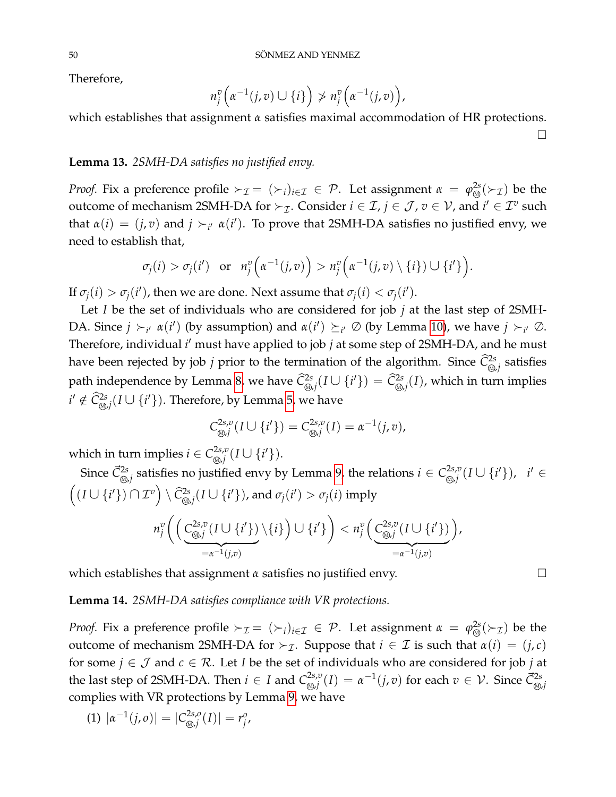Therefore,

$$
n_j^v\Big(\alpha^{-1}(j,v)\cup\{i\}\Big)\ngq n_j^v\Big(\alpha^{-1}(j,v)\Big),\,
$$

which establishes that assignment *α* satisfies maximal accommodation of HR protections.  $\Box$ 

## **Lemma 13.** *2SMH-DA satisfies no justified envy.*

*Proof.* Fix a preference profile  $\succ_{\mathcal{I}} = (\succ_i)_{i \in \mathcal{I}} \in \mathcal{P}$ . Let assignment  $\alpha = \varphi_{\text{Q}}^{2s}(\succ_{\mathcal{I}})$  be the outcome of mechanism 2SMH-DA for  $\succ_{\mathcal{I}}$ . Consider  $i \in \mathcal{I}$ ,  $j \in \mathcal{J}$ ,  $v \in \mathcal{V}$ , and  $i' \in \mathcal{I}^v$  such that  $\alpha(i) = (j, v)$  and  $j \succ_{i'} \alpha(i')$ . To prove that 2SMH-DA satisfies no justified envy, we need to establish that,

$$
\sigma_j(i) > \sigma_j(i') \quad \text{or} \quad n_j^v\Big(\alpha^{-1}(j,v)\Big) > n_j^v\Big(\alpha^{-1}(j,v)\setminus\{i\}\Big) \cup \{i'\}\Big).
$$

If  $\sigma_j(i) > \sigma_j(i')$ , then we are done. Next assume that  $\sigma_j(i) < \sigma_j(i')$ .

Let *I* be the set of individuals who are considered for job *j* at the last step of 2SMH-DA. Since  $j \succ_{i'} \alpha(i')$  (by assumption) and  $\alpha(i') \succeq_{i'} \emptyset$  (by Lemma [10\)](#page-48-0), we have  $j \succ_{i'} \emptyset$ . Therefore, individual *i'* must have applied to job *j* at some step of 2SMH-DA, and he must have been rejected by job *j* prior to the termination of the algorithm. Since  $\hat{C}^{2s}_{\text{\tiny (0)}}$  , satisfies path independence by Lemma [8,](#page-46-1) we have  $\widehat{C}^{2s}_{\text{\tiny \textcircled{S}},j}(I\cup\{i'\})=\widehat{C}^{2s}_{\text{\tiny \textcircled{S}},j}(I)$ , which in turn implies  $i' \notin \widehat{C}^{2s}_{\circledast, j}(I \cup \{i'\})$ . Therefore, by Lemma [5,](#page-45-0) we have

$$
C^{2s,v}_{\text{Q},j}(I \cup \{i'\}) = C^{2s,v}_{\text{Q},j}(I) = \alpha^{-1}(j,v),
$$

which in turn implies  $i \in C^{2s,v}_{\infty,i}$ 2s,v<sub>(</sub>I∪{i′}).

Since  $\vec{C}^{2s}_{\text{\tiny (0,1)}}$  satisfies no justified envy by Lemma [9,](#page-47-1) the relations  $i\in C^{2s,v}_{\text{\tiny (0,1)}}$  $_{\mathcal{D},j}^{2s,v}(I\cup\{i'\}),\;\;i'\in$  $((I \cup \{i'\}) \cap \mathcal{I}^v) \setminus \hat{C}^{2s}_{\omega,j}(I \cup \{i'\})$ , and  $\sigma_j(i') > \sigma_j(i)$  imply  $n_i^v$  $\stackrel{v}{j}$   $\Big($   $\Big( C_{\text{\tiny (A)},i}^{2s,v} \Big)$  $_{\mathcal{D},j}^{2s,v}(I\cup\{i'\})$  $= \alpha^{-1}(j,v)$  $\setminus \{i\}$   $\Big) \cup \{i'\}$   $\Big) < n_i^v$ *j C* 2*s*,*v* 2s,v<sub>(</sub>I∪{i'})  $=$  $\alpha^{-1}(j,v)$ ,

which establishes that assignment *α* satisfies no justified envy.

**Lemma 14.** *2SMH-DA satisfies compliance with VR protections.*

*Proof.* Fix a preference profile  $\succ_{\mathcal{I}} = (\succ_i)_{i \in \mathcal{I}} \in \mathcal{P}$ . Let assignment  $\alpha = \varphi_{\circledcirc}^{2s}(\succ_{\mathcal{I}})$  be the outcome of mechanism 2SMH-DA for ≻*τ*. Suppose that *i* ∈ *I* is such that  $α(i) = (j, c)$ for some  $j \in \mathcal{J}$  and  $c \in \mathcal{R}$ . Let *I* be the set of individuals who are considered for job *j* at the last step of 2SMH-DA. Then  $i \in I$  and  $C^{2s,v}_{\infty,i}$  $\chi_{\mathbb{S},j}^{2s,v}(I) = \alpha^{-1}(j,v)$  for each  $v \in \mathcal{V}$ . Since  $\vec{C}_{\mathbb{S},j}^{2s}$ complies with VR protections by Lemma [9,](#page-47-1) we have

$$
(1) | \alpha^{-1}(j, o) | = | C^{2s, o}_{\text{min}}(I) | = r_j^o,
$$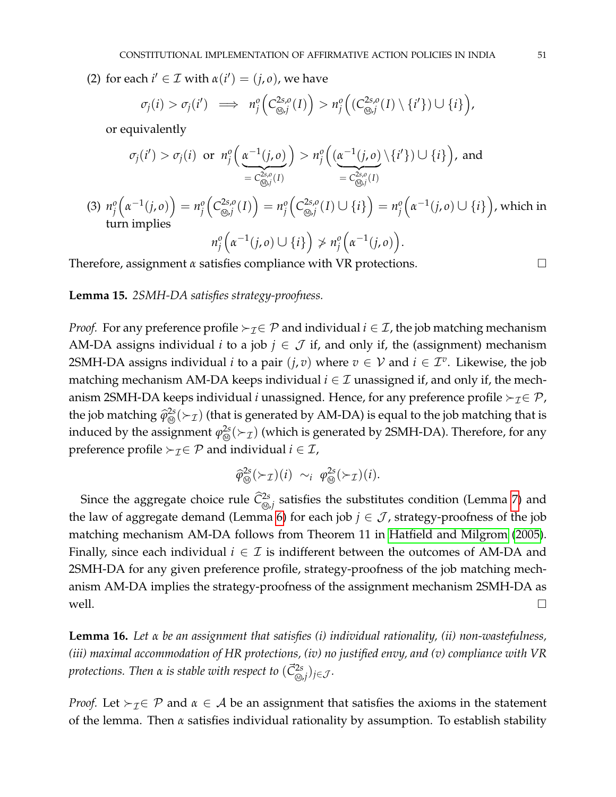(2) for each  $i' \in \mathcal{I}$  with  $\alpha(i') = (j, o)$ , we have

$$
\sigma_j(i) > \sigma_j(i') \implies n_j^o\left(C_{\text{Q},j}^{2s,o}(I)\right) > n_j^o\left((C_{\text{Q},j}^{2s,o}(I) \setminus \{i'\}) \cup \{i\}\right),
$$

or equivalently

$$
\sigma_j(i') > \sigma_j(i) \text{ or } n_j^o\left(\underbrace{\alpha^{-1}(j,o)}_{= C_{\text{Q0},j}^{2s,o}(I)}\right) > n_j^o\left(\underbrace{(\alpha^{-1}(j,o)}_{= C_{\text{Q0},j}^{2s,o}(I)}\setminus\{i'\}) \cup \{i\}\right), \text{ and}
$$
\n
$$
= C_{\text{Q0},j}^{2s,o}(I)
$$
\n
$$
(3) \ n_j^o\left(\alpha^{-1}(j,o)\right) = n_j^o\left(C_{\text{Q0},j}^{2s,o}(I)\right) = n_j^o\left(C_{\text{Q0},j}^{2s,o}(I)\cup\{i\}\right) = n_j^o\left(\alpha^{-1}(j,o)\cup\{i\}\right), \text{ which in turn implies}
$$
\n
$$
n_j^o\left(\alpha^{-1}(j,o)\cup\{i\}\right) \neq n_j^o\left(\alpha^{-1}(j,o)\right).
$$

Therefore, assignment *α* satisfies compliance with VR protections.

#### <span id="page-50-0"></span>**Lemma 15.** *2SMH-DA satisfies strategy-proofness.*

*Proof.* For any preference profile  $\succ_{\mathcal{I}} \in \mathcal{P}$  and individual  $i \in \mathcal{I}$ , the job matching mechanism AM-DA assigns individual *i* to a job  $j \in \mathcal{J}$  if, and only if, the (assignment) mechanism 2SMH-DA assigns individual *i* to a pair  $(j, v)$  where  $v \in V$  and  $i \in \mathcal{I}^v$ . Likewise, the job matching mechanism AM-DA keeps individual  $i \in \mathcal{I}$  unassigned if, and only if, the mechanism 2SMH-DA keeps individual *i* unassigned. Hence, for any preference profile  $\succ_{\mathcal{I}} \in \mathcal{P}$ , the job matching  $\hat{\varphi}_{\circledS}^{2s}(\succ_{\mathcal{I}})$  (that is generated by AM-DA) is equal to the job matching that is induced by the assignment  $\varphi_\mathfrak{M}^{2s}(\succ_\mathcal{I})$  (which is generated by 2SMH-DA). Therefore, for any preference profile  $\succ_{\mathcal{I}} \in \mathcal{P}$  and individual  $i \in \mathcal{I}$ ,

$$
\widehat{\varphi}_{\otimes}^{2s}(\succ_{\mathcal{I}})(i) \sim_i \varphi_{\otimes}^{2s}(\succ_{\mathcal{I}})(i).
$$

Since the aggregate choice rule  $\widehat{\mathcal{C}}^{2s}_{\circledast,j}$  satisfies the substitutes condition (Lemma [7\)](#page-46-0) and the law of aggregate demand (Lemma [6\)](#page-46-2) for each job  $j \in \mathcal{J}$ , strategy-proofness of the job matching mechanism AM-DA follows from Theorem 11 in [Hatfield and Milgrom](#page-40-14) [\(2005\)](#page-40-14). Finally, since each individual  $i \in \mathcal{I}$  is indifferent between the outcomes of AM-DA and 2SMH-DA for any given preference profile, strategy-proofness of the job matching mechanism AM-DA implies the strategy-proofness of the assignment mechanism 2SMH-DA as well.

<span id="page-50-1"></span>**Lemma 16.** *Let α be an assignment that satisfies (i) individual rationality, (ii) non-wastefulness, (iii) maximal accommodation of HR protections, (iv) no justified envy, and (v) compliance with VR protections. Then*  $\alpha$  *is stable with respect to*  $(\vec{\mathsf{C}}_{\circledcirc,j}^{2s})_{j\in\mathcal{J}}.$ 

*Proof.* Let  $\succ_{\mathcal{I}} \in \mathcal{P}$  and  $\alpha \in \mathcal{A}$  be an assignment that satisfies the axioms in the statement of the lemma. Then *α* satisfies individual rationality by assumption. To establish stability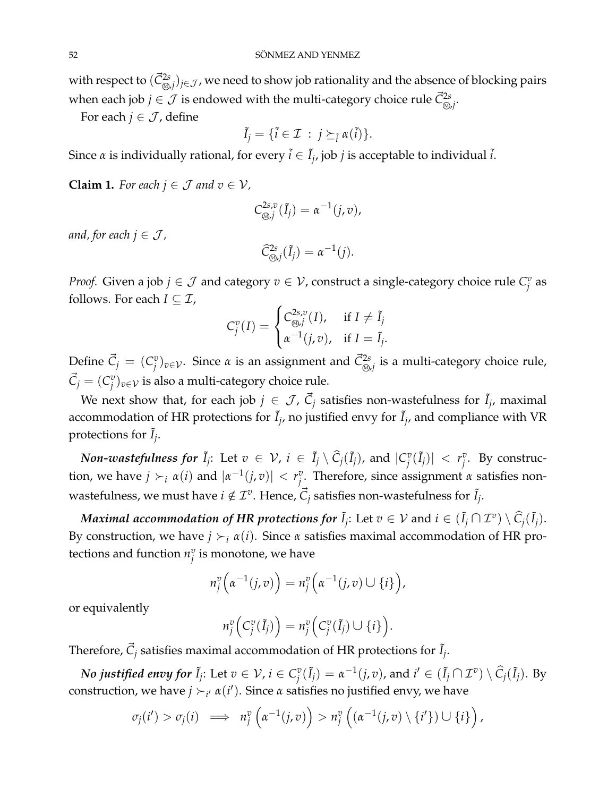with respect to  $(\vec{C}^{2s}_{\text{\tiny Q},j})_{j\in\mathcal J}$ , we need to show job rationality and the absence of blocking pairs when each job  $j \in \mathcal{J}$  is endowed with the multi-category choice rule  $\vec{\mathcal{C}}^{\text{2s}}_{\text{\tiny \textcircled{\tiny \textcirc,j}}}.$ 

For each  $j \in \mathcal{J}$ , define

$$
\tilde{I}_j = \{ \tilde{i} \in \mathcal{I} \; : \; j \succeq_{\tilde{i}} \alpha(\tilde{i}) \}.
$$

Since  $\alpha$  is individually rational, for every  $\tilde{i} \in \tilde{I}_j$ , job  $j$  is acceptable to individual  $\tilde{i}$ .

<span id="page-51-0"></span>**Claim 1.** For each  $j \in \mathcal{J}$  and  $v \in \mathcal{V}$ ,

$$
C^{2s,v}_{\text{def}}(\tilde{I}_j)=\alpha^{-1}(j,v),
$$

*and, for each*  $j \in \mathcal{J}$ ,

$$
\widehat{C}_{\text{Q},j}^{2s}(\tilde{I}_j)=\alpha^{-1}(j).
$$

*Proof.* Given a job  $j \in \mathcal{J}$  and category  $v \in \mathcal{V}$ , construct a single-category choice rule  $C_i^v$ *j* as follows. For each  $I \subseteq \mathcal{I}$ ,

$$
C_j^v(I) = \begin{cases} C_{\text{Q},j}^{2s,v}(I), & \text{if } I \neq \tilde{I}_j \\ \alpha^{-1}(j,v), & \text{if } I = \tilde{I}_j. \end{cases}
$$

Define  $\vec{C}_j = (C_j^v)$  $\vec{C}_{\odot j}^{v}$ ) $_{v \in \mathcal{V}}.$  Since *α* is an assignment and  $\vec{C}_{\odot j}^{2s}$  is a multi-category choice rule,  $\vec{C}_j = (C_j^v)$ *j* )*v*∈V is also a multi-category choice rule.

We next show that, for each job  $j\, \in\, {\cal J}$ ,  $\vec{C}_j$  satisfies non-wastefulness for  $\tilde{I}_j$ , maximal accommodation of HR protections for  $\tilde{I}_j$ , no justified envy for  $\tilde{I}_j$ , and compliance with VR protections for  $\tilde{I}_j$ .

*Non-wastefulness for*  $\tilde{I}_j$ : Let  $v \in \mathcal{V}$ ,  $i \in \tilde{I}_j \setminus \widehat{C}_j(\tilde{I}_j)$ , and  $|C_j^v|$  $\left| \begin{array}{c} v \\ j \end{array} \right| \left| \begin{array}{c} r \\ j \end{array} \right|$ *j* . By construction, we have  $j \succ_i \alpha(i)$  and  $|\alpha^{-1}(j, v)| < r_j^v$ *j* . Therefore, since assignment *α* satisfies nonwastefulness, we must have  $i \notin \mathcal{I}^v$ . Hence,  $\vec{C}_j$  satisfies non-wastefulness for  $\tilde{I}_j$ .

 $Maximal\ ac common\ of\ HR\ proteins\ for\ \tilde{I}_j$ : Let  $v\in\mathcal{V}$  and  $i\in(\tilde{I}_j\cap\mathcal{I}^v)\setminus\widehat{C}_j(\tilde{I}_j).$ By construction, we have  $j \succ_i \alpha(i)$ . Since  $\alpha$  satisfies maximal accommodation of HR protections and function  $n_i^v$  $\frac{v}{j}$  is monotone, we have

$$
n_j^v\left(\alpha^{-1}(j,v)\right)=n_j^v\left(\alpha^{-1}(j,v)\cup\{i\}\right),\,
$$

or equivalently

$$
n_j^v\Big(C_j^v(\tilde{I}_j)\Big)=n_j^v\Big(C_j^v(\tilde{I}_j)\cup\{i\}\Big).
$$

Therefore,  $\vec{C}_j$  satisfies maximal accommodation of HR protections for  $\tilde{I}_j$ .

*No justified envy for*  $\tilde{I}_j$ *: Let*  $v \in \mathcal{V}$ *,*  $i \in C^v_j$  $J_j^v(\tilde{I}_j) = \alpha^{-1}(j, v)$ , and  $i' \in (\tilde{I}_j \cap \mathcal{I}^v) \setminus \widehat{C}_j(\tilde{I}_j)$ . By construction, we have  $j \succ_{i'} \alpha(i')$ . Since  $\alpha$  satisfies no justified envy, we have

$$
\sigma_j(i') > \sigma_j(i) \implies n_j^v\left(\alpha^{-1}(j,v)\right) > n_j^v\left(\left(\alpha^{-1}(j,v)\setminus\{i'\}\right)\cup\{i\}\right),
$$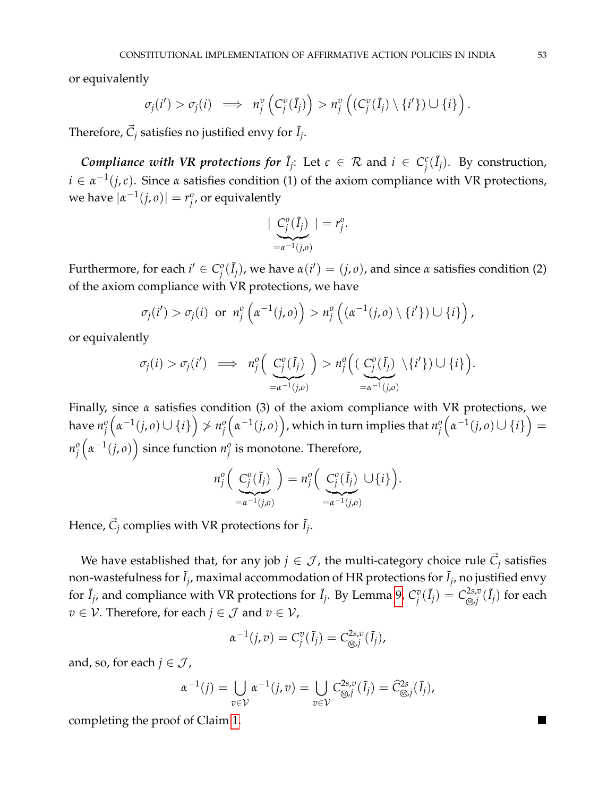or equivalently

$$
\sigma_j(i') > \sigma_j(i) \implies n_j^v\left(C_j^v(\tilde{I}_j)\right) > n_j^v\left((C_j^v(\tilde{I}_j) \setminus \{i'\}) \cup \{i\}\right).
$$

Therefore,  $\vec{C}_j$  satisfies no justified envy for  $\tilde{I}_j$ .

*Compliance with VR protections for*  $\tilde{I}_j$ : Let  $c \in \mathcal{R}$  and  $i \in C_j^c$  $\int_{i}^{c}(\tilde{I}_{j})$ . By construction,  $i \in \alpha^{-1}(j, c)$ . Since  $\alpha$  satisfies condition (1) of the axiom compliance with VR protections, we have  $|\alpha^{-1}(j, o)| = r_j^o$ *j* , or equivalently

$$
\mid \underbrace{C_j^o(\tilde{I}_j)}_{=\alpha^{-1}(j,o)}\mid = r_j^o.
$$

Furthermore, for each  $i' \in C_i^o$  $\hat{J}_j^o(\tilde{I}_j)$ , we have  $α(i') = (j, o)$ , and since *α* satisfies condition (2) of the axiom compliance with VR protections, we have

$$
\sigma_j(i') > \sigma_j(i) \text{ or } n_j^o\left(\alpha^{-1}(j,o)\right) > n_j^o\left(\left(\alpha^{-1}(j,o)\setminus\{i'\}\right)\cup\{i\}\right),
$$

or equivalently

$$
\sigma_j(i) > \sigma_j(i') \implies n_j^o\Big(\underbrace{C_j^o(\tilde{I}_j)}_{=\alpha^{-1}(j,o)}\Big) > n_j^o\Big(\big(\underbrace{C_j^o(\tilde{I}_j)}_{=\alpha^{-1}(j,o)}\setminus\{i'\}\big) \cup \{i\}\Big).
$$

Finally, since *α* satisfies condition (3) of the axiom compliance with VR protections, we have  $n_i^o$ *j*  $\left(\alpha^{-1}(j, o) \cup \{i\}\right) \nsucc n_i^o$ *j*  $(\alpha^{-1}(j, o))$ , which in turn implies that  $n_j^o$ *j*  $(\alpha^{-1}(j, o) \cup \{i\}) =$ *n o j*  $\left(\alpha^{-1}(j, o)\right)$  since function  $n_j^o$  $^o_j$  is monotone. Therefore*,* 

$$
n_j^o\Big(\underbrace{C_j^o(\tilde{I}_j)}_{=\alpha^{-1}(j,o)}\Big)=n_j^o\Big(\underbrace{C_j^o(\tilde{I}_j)}_{=\alpha^{-1}(j,o)}\cup\{i\}\Big).
$$

Hence,  $\vec{C}_j$  complies with VR protections for  $\tilde{I}_j$ .

We have established that, for any job  $j \in \mathcal{J}$ , the multi-category choice rule  $\vec{C}_j$  satisfies non-wastefulness for  $\tilde{I}_j$ , maximal accommodation of HR protections for  $\tilde{I}_j$ , no justified envy for  $\tilde{I}_j$ , and compliance with VR protections for  $\tilde{I}_j$ . By Lemma [9,](#page-47-1)  $C_j^v$  $\int\limits_{j}^{v}(\tilde{I}_{j}) = C_{\circledS ,i}^{2s,v}$  $_{\mathcal{D},j}^{2s,v}(\tilde{I}_j)$  for each *v* ∈  $V$ . Therefore, for each *j* ∈  $\mathcal{J}$  and *v* ∈  $V$ ,

$$
\alpha^{-1}(j,v)=C_j^v(\tilde{I}_j)=C_{\text{Q},j}^{2s,v}(\tilde{I}_j),
$$

and, so, for each  $j \in \mathcal{J}$ ,

$$
\alpha^{-1}(j) = \bigcup_{v \in \mathcal{V}} \alpha^{-1}(j, v) = \bigcup_{v \in \mathcal{V}} C^{2s, v}_{\text{def}}(\tilde{I}_j) = \hat{C}^{2s}_{\text{def}}(\tilde{I}_j),
$$

completing the proof of Claim [1.](#page-51-0)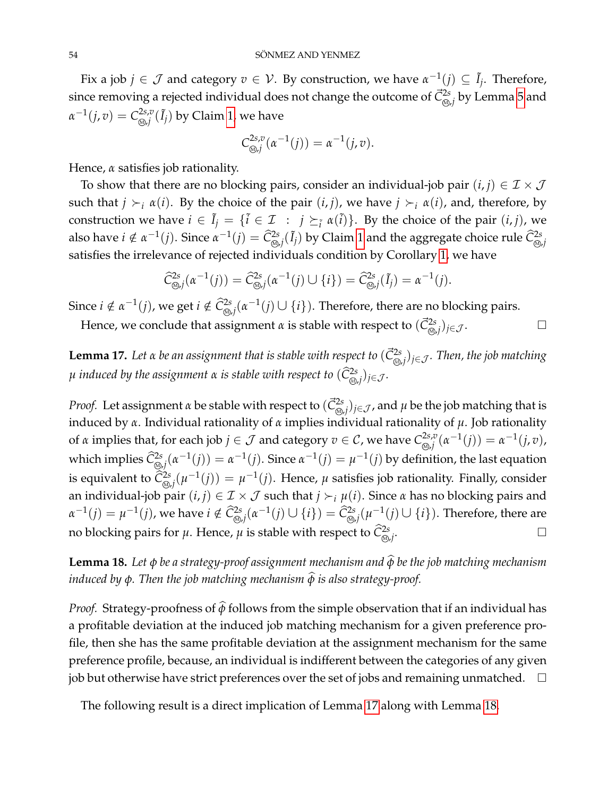Fix a job  $j \in \mathcal{J}$  and category  $v \in \mathcal{V}$ . By construction, we have  $\alpha^{-1}(j) \subseteq \tilde{I}_j$ . Therefore, since removing a rejected individual does not change the outcome of  $\vec{\mathcal{C}}^{\text{2s}}_{\otimes,j}$  by Lemma [5](#page-45-0) and  $\alpha^{-1}(j, v) = C^{2s, v}_{\text{\tiny (M)}, j}$  $\int_{\mathbb{Q}, j}^{2s, v} (\tilde I_j)$  by Claim [1,](#page-51-0) we have

$$
C^{2s,v}_{\text{Q},j}(\alpha^{-1}(j)) = \alpha^{-1}(j,v).
$$

Hence, *α* satisfies job rationality.

To show that there are no blocking pairs, consider an individual-job pair  $(i, j) \in \mathcal{I} \times \mathcal{J}$ such that  $j \succ_i \alpha(i)$ . By the choice of the pair  $(i, j)$ , we have  $j \succ_i \alpha(i)$ , and, therefore, by construction we have  $i \in \tilde{I}_j = \{\tilde{i} \in \mathcal{I} \ : \ j \succeq_{\tilde{i}} \alpha(\tilde{i})\}$ . By the choice of the pair  $(i, j)$ , we also have  $i \notin \alpha^{-1}(j)$ . Since  $\alpha^{-1}(j) = \widehat{\mathcal{C}}^{2s}_{\circledast,j}(\tilde{I}_j)$  by Claim [1](#page-51-0) and the aggregate choice rule  $\widehat{\mathcal{C}}^{2s}_{\circledast,j}$ satisfies the irrelevance of rejected individuals condition by Corollary [1,](#page-45-2) we have

$$
\widehat{C}^{2s}_{\text{S},j}(\alpha^{-1}(j)) = \widehat{C}^{2s}_{\text{S},j}(\alpha^{-1}(j) \cup \{i\}) = \widehat{C}^{2s}_{\text{S},j}(\tilde{I}_j) = \alpha^{-1}(j).
$$

Since  $i \notin \alpha^{-1}(j)$ , we get  $i \notin \widehat{C}^{2s}_{\text{def}}(\alpha^{-1}(j) \cup \{i\})$ . Therefore, there are no blocking pairs. Hence, we conclude that assignment  $\alpha$  is stable with respect to  $(\vec{C}^{2s}_{\circledast,j})_{j\in\mathcal{J}}.$ 

<span id="page-53-0"></span> ${\bf Lemma~17.}$  *Let*  $\alpha$  *be an assignment that is stable with respect to*  $(\vec{C}^{2s}_{\circledast j})_{j\in\mathcal J}.$  *Then, the job matching µ induced by the assignment α is stable with respect to*  $(\widehat{C}_{\textcircled{\scriptsize \partial},j}^{\text{2s}})_{j\in\mathcal{J}}.$ 

*Proof.* Let assignment *α* be stable with respect to  $(\vec{C}^2_{\text{\tiny (0, j)}})_{j\in\mathcal{J}}$ , and *μ* be the job matching that is induced by *α*. Individual rationality of *α* implies individual rationality of *µ*. Job rationality of *α* implies that, for each job  $j \in \mathcal{J}$  and category  $v \in \mathcal{C}$ , we have  $C^{2s,v}_{\text{\tiny QO},j}$  $\alpha^{2s,v}(\alpha^{-1}(j))=\alpha^{-1}(j,v)$ , which implies  $\widehat{C}_{\text{Q},j}^{2s}(\alpha^{-1}(j))=\alpha^{-1}(j).$  Since  $\alpha^{-1}(j)=\mu^{-1}(j)$  by definition, the last equation is equivalent to  $\widehat{C}_{\otimes,j}^{2s}(\mu^{-1}(j))=\mu^{-1}(j).$  Hence,  $\mu$  satisfies job rationality. Finally, consider an individual-job pair  $(i, j) \in \mathcal{I} \times \mathcal{J}$  such that  $j \succ_i \mu(i)$ . Since  $\alpha$  has no blocking pairs and  $\alpha^{-1}(j)=\mu^{-1}(j)$ , we have  $i\notin \widehat{\mathcal{C}}^{2s}_{\circledast,j}(\alpha^{-1}(j)\cup\{i\})=\widehat{\mathcal{C}}^{2s}_{\circledast,j}(\mu^{-1}(j)\cup\{i\}).$  Therefore, there are no blocking pairs for  $\mu$ . Hence,  $\mu$  is stable with respect to  $\hat{C}^{2s}_{\omega, j}$ . .

<span id="page-53-1"></span>**Lemma 18.** Let φ be a strategy-proof assignment mechanism and  $\hat{\varphi}$  be the job matching mechanism *induced by*  $\phi$ *. Then the job matching mechanism*  $\widehat{\phi}$  *is also strategy-proof.* 

*Proof.* Strategy-proofness of  $\hat{\phi}$  follows from the simple observation that if an individual has a profitable deviation at the induced job matching mechanism for a given preference profile, then she has the same profitable deviation at the assignment mechanism for the same preference profile, because, an individual is indifferent between the categories of any given job but otherwise have strict preferences over the set of jobs and remaining unmatched.  $\Box$ 

The following result is a direct implication of Lemma [17](#page-53-0) along with Lemma [18.](#page-53-1)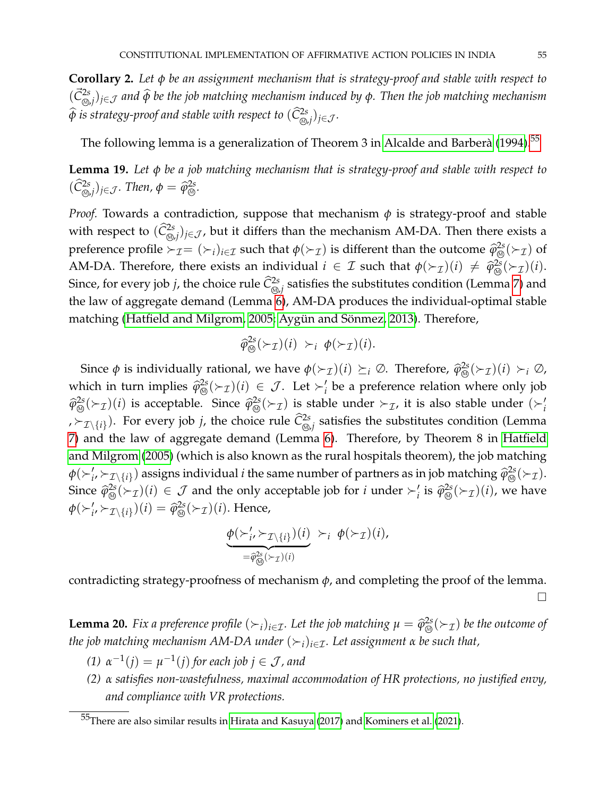<span id="page-54-2"></span>**Corollary 2.** *Let φ be an assignment mechanism that is strategy-proof and stable with respect to*  $(\vec{C}^{2s}_{\omega, j})_{j \in \mathcal{J}}$  and  $\widehat{\phi}$  be the job matching mechanism induced by  $\phi$ . Then the job matching mechanism  $\widehat{\phi}$  *is strategy-proof and stable with respect to*  $(\widehat{C}_{\circledcirc, j}^{2s})_{j \in \mathcal{J}}.$ 

The following lemma is a generalization of Theorem 3 in Alcalde and Barberà [\(1994\)](#page-39-3). $^{\rm 55}$  $^{\rm 55}$  $^{\rm 55}$ 

<span id="page-54-3"></span>**Lemma 19.** *Let φ be a job matching mechanism that is strategy-proof and stable with respect to*  $(\widehat{C}_{\text{\tiny (0),}j}^{\text{2s}})_{j\in\mathcal{J}}$ *. Then,*  $\phi = \widehat{\varphi}_{\text{\tiny (0)}}^{\text{2s}}$ *.* 

*Proof.* Towards a contradiction, suppose that mechanism *φ* is strategy-proof and stable with respect to  $(\widehat{C}^{2s}_{\text{\tiny (0)}})_{j\in\mathcal{J}}$ , but it differs than the mechanism AM-DA. Then there exists a preference profile  $\succ_{\mathcal{I}} = (\succ_i)_{i \in \mathcal{I}}$  such that  $\phi(\succ_{\mathcal{I}})$  is different than the outcome  $\widehat{\phi}_{\text{def}}^{2s}(\succ_{\mathcal{I}})$  of AM-DA. Therefore, there exists an individual  $i \in \mathcal{I}$  such that  $\phi(\succ_{\mathcal{I}})(i) \neq \hat{\varphi}_{\circledcirc}^{2s}(\succ_{\mathcal{I}})(i)$ . Since, for every job *j*, the choice rule  $\widehat{C}^{2s}_{\circledast,j}$  satisfies the substitutes condition (Lemma [7\)](#page-46-0) and the law of aggregate demand (Lemma [6\)](#page-46-2), AM-DA produces the individual-optimal stable matching [\(Hatfield and Milgrom, 2005;](#page-40-14) Aygün and Sönmez, [2013\)](#page-39-14). Therefore,

$$
\widehat{\varphi}_{\circledcirc}^{2s}(\succ_{\mathcal{I}})(i) \succ_i \phi(\succ_{\mathcal{I}})(i).
$$

Since  $\phi$  is individually rational, we have  $\phi(\succ_{\mathcal{I}})(i) \succeq_{i} \emptyset$ . Therefore,  $\widehat{\phi}_{\circledcirc}^{2s}(\succ_{\mathcal{I}})(i) \succ_{i} \emptyset$ , which in turn implies  $\hat{\varphi}_{\text{Q}}^{2s}(\succ_{\mathcal{I}})(i) \in \mathcal{J}$ . Let  $\succ'_{i}$  be a preference relation where only job  $\hat{\varphi}_{\circledS}^{2s}(\succ_{\mathcal{I}})(i)$  is acceptable. Since  $\hat{\varphi}_{\circledS}^{2s}(\succ_{\mathcal{I}})$  is stable under  $\succ_{\mathcal{I}}$ , it is also stable under  $(\succ_{i}^{'}$ ,  $\succ_{\mathcal{I}\setminus\{i\}}$ ). For every job *j*, the choice rule  $\widehat{\mathcal{C}}^{2s}_{\circledast,j}$  satisfies the substitutes condition (Lemma [7\)](#page-46-0) and the law of aggregate demand (Lemma [6\)](#page-46-2). Therefore, by Theorem 8 in [Hatfield](#page-40-14) [and Milgrom](#page-40-14) [\(2005\)](#page-40-14) (which is also known as the rural hospitals theorem), the job matching  $\phi(\succ_i', \succ_{\mathcal{I}\setminus\{i\}})$  assigns individual *i* the same number of partners as in job matching  $\hat{\varphi}_{\text{D}}^{2s}(\succ_{\mathcal{I}})$ . Since  $\hat{\varphi}_{\text{CD}}^{2s}(\succ_{\mathcal{I}})(i) \in \mathcal{J}$  and the only acceptable job for *i* under  $\succ_i'$  is  $\hat{\varphi}_{\text{CD}}^{2s}(\succ_{\mathcal{I}})(i)$ , we have  $\phi(\succ_i', \succ_{\mathcal{I}\setminus\{i\}})(i) = \hat{\varphi}_{\circledcirc}^{2s}(\succ_{\mathcal{I}})(i)$ . Hence,

$$
\underbrace{\phi(\succ_i',\succ_{\mathcal{I}\setminus\{i\}})(i)}_{=\widehat{\phi}_{\bigotimes}^{2s}(\succ_{\mathcal{I}})(i)} \succ_i \phi(\succ_{\mathcal{I}})(i),
$$

contradicting strategy-proofness of mechanism *φ*, and completing the proof of the lemma.

 $\Box$ 

<span id="page-54-0"></span>**Lemma 20.** *Fix a preference profile*  $(\succ_i)_{i \in \mathcal{I}}$ *. Let the job matching*  $\mu = \hat{\varphi}_{\text{Q}}^{2s}(\succ_{\mathcal{I}})$  *be the outcome of the job matching mechanism AM-DA under*  $(\succ_i)_{i \in \mathcal{I}}$ *. Let assignment*  $\alpha$  *be such that*,

- $(1)$   $\alpha^{-1}(j) = \mu^{-1}(j)$  for each job  $j \in \mathcal{J}$  , and
- *(2) α satisfies non-wastefulness, maximal accommodation of HR protections, no justified envy, and compliance with VR protections.*

<span id="page-54-1"></span><sup>55</sup>There are also similar results in [Hirata and Kasuya](#page-40-15) [\(2017\)](#page-40-15) and [Kominers et al.](#page-40-16) [\(2021\)](#page-40-16).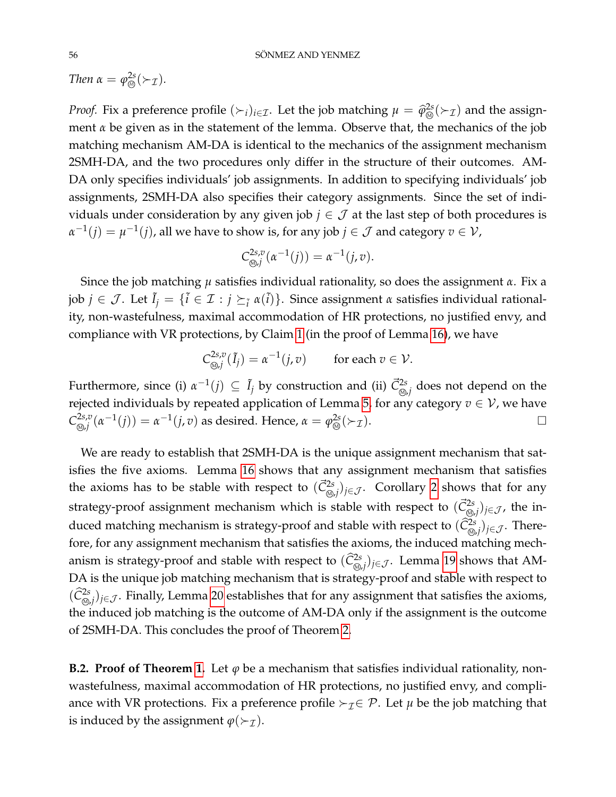*Then*  $\alpha = \varphi^{2s}_{\varpi}(\succ_{\mathcal{I}})$ *.* 

*Proof.* Fix a preference profile  $(\succ_i)_{i \in \mathcal{I}}$ . Let the job matching  $\mu = \hat{\varphi}_{\text{CD}}^{2s}(\succ_{\mathcal{I}})$  and the assignment *α* be given as in the statement of the lemma. Observe that, the mechanics of the job matching mechanism AM-DA is identical to the mechanics of the assignment mechanism 2SMH-DA, and the two procedures only differ in the structure of their outcomes. AM-DA only specifies individuals' job assignments. In addition to specifying individuals' job assignments, 2SMH-DA also specifies their category assignments. Since the set of individuals under consideration by any given job  $j \in \mathcal{J}$  at the last step of both procedures is  $\alpha^{-1}(j) = \mu^{-1}(j)$ , all we have to show is, for any job  $j \in \mathcal{J}$  and category  $v \in \mathcal{V}$ ,

$$
C^{2s,v}_{\mathfrak{G},j}(\alpha^{-1}(j))=\alpha^{-1}(j,v).
$$

Since the job matching *µ* satisfies individual rationality, so does the assignment *α*. Fix a  $j$ ob  $j\in\mathcal{J}.$  Let  $\tilde{I}_j=\{\tilde{i}\in\mathcal{I}:j\succeq_{\tilde{i}}\alpha(\tilde{i})\}.$  Since assignment  $\alpha$  satisfies individual rationality, non-wastefulness, maximal accommodation of HR protections, no justified envy, and compliance with VR protections, by Claim [1](#page-51-0) (in the proof of Lemma [16\)](#page-50-1), we have

$$
C^{2s,v}_{\otimes,j}(\tilde{I}_j) = \alpha^{-1}(j,v) \quad \text{for each } v \in \mathcal{V}.
$$

Furthermore, since (i)  $\alpha^{-1}(j) \subseteq \tilde{I}_j$  by construction and (ii)  $\vec{C}^{2s}_{\circledast,j}$  does not depend on the rejected individuals by repeated application of Lemma [5,](#page-45-0) for any category  $v \in V$ , we have  $C^{2s,v}_{\widehat{\omega}^j}$  $\lim_{\delta \downarrow 0}$  *(*α<sup>-1</sup>(*j*)) = α<sup>-1</sup>(*j, v*) as desired. Hence, α =  $\varphi_{\circledS}^{2s}$ (≻<sub>*T*</sub>).

We are ready to establish that 2SMH-DA is the unique assignment mechanism that satisfies the five axioms. Lemma [16](#page-50-1) shows that any assignment mechanism that satisfies the axioms has to be stable with respect to  $(\vec{C}^{2s}_{\text{\tiny (0, j)}})_{j\in\mathcal{J}}$ . Corollary [2](#page-54-2) shows that for any strategy-proof assignment mechanism which is stable with respect to  $(\vec{C}^{2s}_{\circledast,j})_{j\in\mathcal{J}}$ , the induced matching mechanism is strategy-proof and stable with respect to  $(\widehat C^{2s}_{\textcircled{\tiny \#}})_{j\in\mathcal J}.$  Therefore, for any assignment mechanism that satisfies the axioms, the induced matching mechanism is strategy-proof and stable with respect to  $(\widehat C^{2s}_{\text{\tiny (0, j)}})_{j\in\mathcal J}$ . Lemma [19](#page-54-3) shows that AM-DA is the unique job matching mechanism that is strategy-proof and stable with respect to  $(\widehat{C}_{\textcircled{b},j}^{2s})_{j\in\mathcal{J}}$ . Finally, Lemma [20](#page-54-0) establishes that for any assignment that satisfies the axioms, the induced job matching is the outcome of AM-DA only if the assignment is the outcome of 2SMH-DA. This concludes the proof of Theorem [2.](#page-21-0)

**B.2. Proof of Theorem [1.](#page-20-1)** Let  $\varphi$  be a mechanism that satisfies individual rationality, nonwastefulness, maximal accommodation of HR protections, no justified envy, and compliance with VR protections. Fix a preference profile  $\succ_{\mathcal{I}} \in \mathcal{P}$ . Let  $\mu$  be the job matching that is induced by the assignment  $\varphi(\succ_T)$ .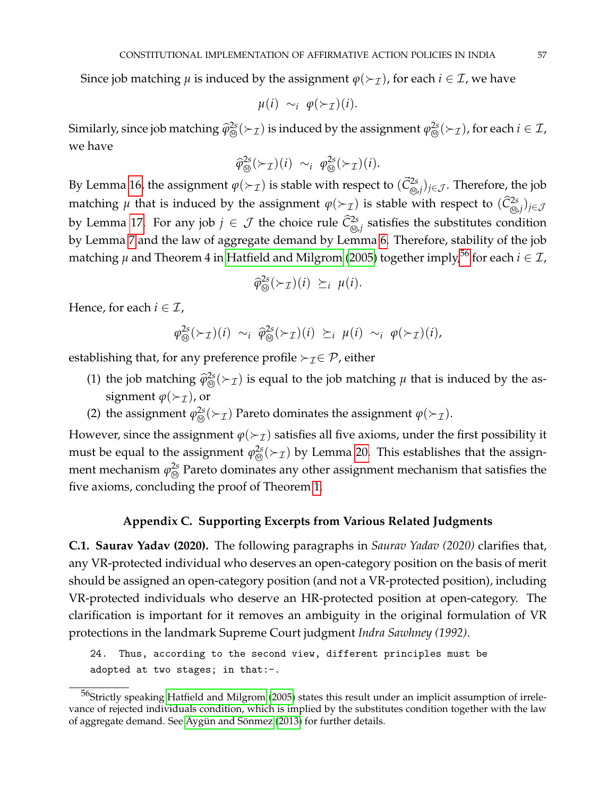Since job matching  $\mu$  is induced by the assignment  $\varphi(\succ_{\mathcal{I}})$ , for each  $i \in \mathcal{I}$ , we have

$$
\mu(i) \sim_i \varphi(\succ_{\mathcal{I}})(i).
$$

Similarly, since job matching  $\widehat{\varphi}_{\circledast}^{2s}(\succ_{\mathcal{I}})$  is induced by the assignment  $\varphi_{\circledast}^{2s}(\succ_{\mathcal{I}})$ , for each  $i\in\mathcal{I}$ , we have

$$
\widehat{\varphi}_{\circledcirc}^{2s}(\succ_{\mathcal{I}})(i) \sim_i \varphi_{\circledcirc}^{2s}(\succ_{\mathcal{I}})(i).
$$

By Lemma [16,](#page-50-1) the assignment  $\varphi(\succ_\mathcal{I})$  is stable with respect to  $(\vec{C}^{2s}_{\otimes,j})_{j\in\mathcal{J}}.$  Therefore, the job matching  $\mu$  that is induced by the assignment  $\varphi(\succ_\mathcal{I})$  is stable with respect to  $(\widehat{C}_{\text{\tiny \textcircled{\tiny \textcircled{\tiny\textcirc}}}^2j})_{j\in\mathcal{J}}$ by Lemma [17.](#page-53-0) For any job  $j \in \mathcal{J}$  the choice rule  $\widehat{\mathcal{C}}^{2s}_{\circledast,j}$  satisfies the substitutes condition by Lemma [7](#page-46-0) and the law of aggregate demand by Lemma [6.](#page-46-2) Therefore, stability of the job matching  $\mu$  and Theorem 4 in [Hatfield and Milgrom](#page-40-14) [\(2005\)](#page-40-14) together imply,<sup>[56](#page-56-1)</sup> for each  $i \in \mathcal{I}$ ,

$$
\widehat{\varphi}_{\otimes}^{2s}(\succ_{\mathcal{I}})(i) \succeq_{i} \mu(i).
$$

Hence, for each  $i \in \mathcal{I}$ ,

$$
\varphi_{\circledcirc}^{2s}(\succ_{\mathcal{I}})(i) \sim_i \widehat{\varphi}_{\circledcirc}^{2s}(\succ_{\mathcal{I}})(i) \succeq_i \mu(i) \sim_i \varphi(\succ_{\mathcal{I}})(i),
$$

establishing that, for any preference profile  $\succ_{\mathcal{I}} \in \mathcal{P}$ , either

- (1) the job matching  $\hat{\varphi}_{\circledcirc}^{2s}(\succ_T)$  is equal to the job matching  $\mu$  that is induced by the assignment  $\varphi(\succ_{\mathcal{I}})$ , or
- (2) the assignment  $\varphi_{\text{Q}}^{2s}(\succ_{\mathcal{I}})$  Pareto dominates the assignment  $\varphi(\succ_{\mathcal{I}})$ .

However, since the assignment  $\varphi(\succ_{\mathcal{I}})$  satisfies all five axioms, under the first possibility it must be equal to the assignment  $\varphi_{\circledcirc}^{2s}(\succ_{\mathcal{I}})$  by Lemma [20.](#page-54-0) This establishes that the assignment mechanism  $\varphi^{\text{2s}}_{\text{\tiny{(A)}}}$  Pareto dominates any other assignment mechanism that satisfies the five axioms, concluding the proof of Theorem [1.](#page-20-1)

# **Appendix C. Supporting Excerpts from Various Related Judgments**

<span id="page-56-0"></span>**C.1. Saurav Yadav (2020).** The following paragraphs in *Saurav Yadav (2020)* clarifies that, any VR-protected individual who deserves an open-category position on the basis of merit should be assigned an open-category position (and not a VR-protected position), including VR-protected individuals who deserve an HR-protected position at open-category. The clarification is important for it removes an ambiguity in the original formulation of VR protections in the landmark Supreme Court judgment *Indra Sawhney (1992)*.

24. Thus, according to the second view, different principles must be adopted at two stages; in that:-.

<span id="page-56-1"></span><sup>&</sup>lt;sup>56</sup>Strictly speaking [Hatfield and Milgrom](#page-40-14) [\(2005\)](#page-40-14) states this result under an implicit assumption of irrelevance of rejected individuals condition, which is implied by the substitutes condition together with the law of aggregate demand. See Aygün and Sönmez [\(2013\)](#page-39-14) for further details.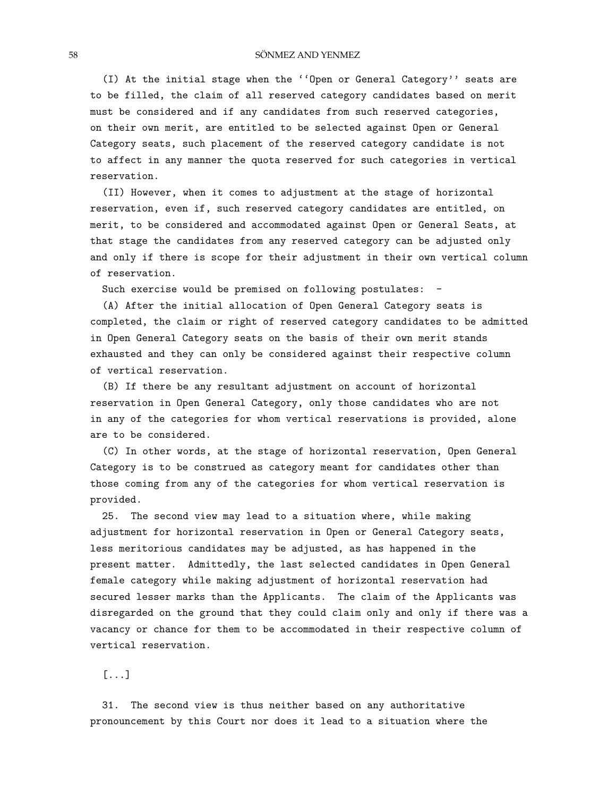#### 58 SÖNMEZ AND YENMEZ

(I) At the initial stage when the ''Open or General Category'' seats are to be filled, the claim of all reserved category candidates based on merit must be considered and if any candidates from such reserved categories, on their own merit, are entitled to be selected against Open or General Category seats, such placement of the reserved category candidate is not to affect in any manner the quota reserved for such categories in vertical reservation.

(II) However, when it comes to adjustment at the stage of horizontal reservation, even if, such reserved category candidates are entitled, on merit, to be considered and accommodated against Open or General Seats, at that stage the candidates from any reserved category can be adjusted only and only if there is scope for their adjustment in their own vertical column of reservation.

Such exercise would be premised on following postulates:

(A) After the initial allocation of Open General Category seats is completed, the claim or right of reserved category candidates to be admitted in Open General Category seats on the basis of their own merit stands exhausted and they can only be considered against their respective column of vertical reservation.

(B) If there be any resultant adjustment on account of horizontal reservation in Open General Category, only those candidates who are not in any of the categories for whom vertical reservations is provided, alone are to be considered.

(C) In other words, at the stage of horizontal reservation, Open General Category is to be construed as category meant for candidates other than those coming from any of the categories for whom vertical reservation is provided.

25. The second view may lead to a situation where, while making adjustment for horizontal reservation in Open or General Category seats, less meritorious candidates may be adjusted, as has happened in the present matter. Admittedly, the last selected candidates in Open General female category while making adjustment of horizontal reservation had secured lesser marks than the Applicants. The claim of the Applicants was disregarded on the ground that they could claim only and only if there was a vacancy or chance for them to be accommodated in their respective column of vertical reservation.

[...]

31. The second view is thus neither based on any authoritative pronouncement by this Court nor does it lead to a situation where the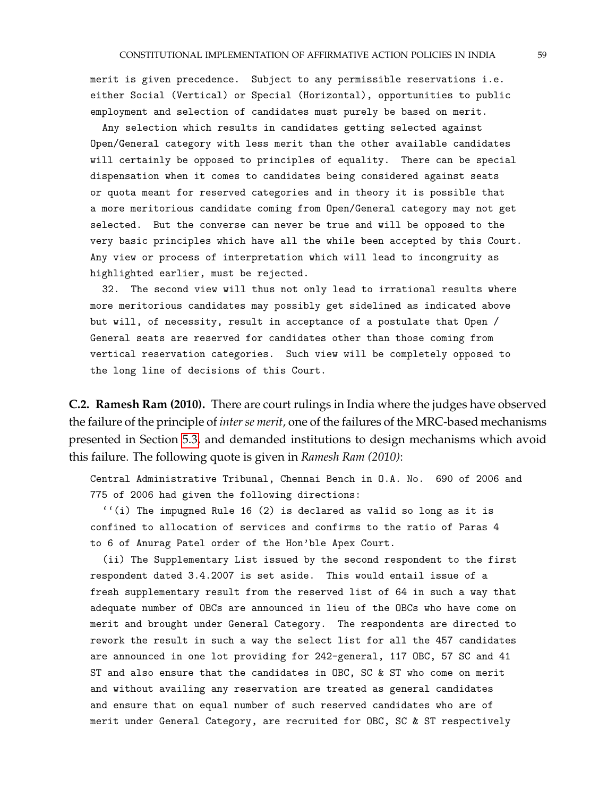merit is given precedence. Subject to any permissible reservations i.e. either Social (Vertical) or Special (Horizontal), opportunities to public employment and selection of candidates must purely be based on merit.

Any selection which results in candidates getting selected against Open/General category with less merit than the other available candidates will certainly be opposed to principles of equality. There can be special dispensation when it comes to candidates being considered against seats or quota meant for reserved categories and in theory it is possible that a more meritorious candidate coming from Open/General category may not get selected. But the converse can never be true and will be opposed to the very basic principles which have all the while been accepted by this Court. Any view or process of interpretation which will lead to incongruity as highlighted earlier, must be rejected.

32. The second view will thus not only lead to irrational results where more meritorious candidates may possibly get sidelined as indicated above but will, of necessity, result in acceptance of a postulate that Open / General seats are reserved for candidates other than those coming from vertical reservation categories. Such view will be completely opposed to the long line of decisions of this Court.

<span id="page-58-0"></span>**C.2. Ramesh Ram (2010).** There are court rulings in India where the judges have observed the failure of the principle of *inter se merit*, one of the failures of the MRC-based mechanisms presented in Section [5.3,](#page-26-1) and demanded institutions to design mechanisms which avoid this failure. The following quote is given in *Ramesh Ram (2010)*:

Central Administrative Tribunal, Chennai Bench in O.A. No. 690 of 2006 and 775 of 2006 had given the following directions:

''(i) The impugned Rule 16 (2) is declared as valid so long as it is confined to allocation of services and confirms to the ratio of Paras 4 to 6 of Anurag Patel order of the Hon'ble Apex Court.

(ii) The Supplementary List issued by the second respondent to the first respondent dated 3.4.2007 is set aside. This would entail issue of a fresh supplementary result from the reserved list of 64 in such a way that adequate number of OBCs are announced in lieu of the OBCs who have come on merit and brought under General Category. The respondents are directed to rework the result in such a way the select list for all the 457 candidates are announced in one lot providing for 242-general, 117 OBC, 57 SC and 41 ST and also ensure that the candidates in OBC, SC & ST who come on merit and without availing any reservation are treated as general candidates and ensure that on equal number of such reserved candidates who are of merit under General Category, are recruited for OBC, SC & ST respectively